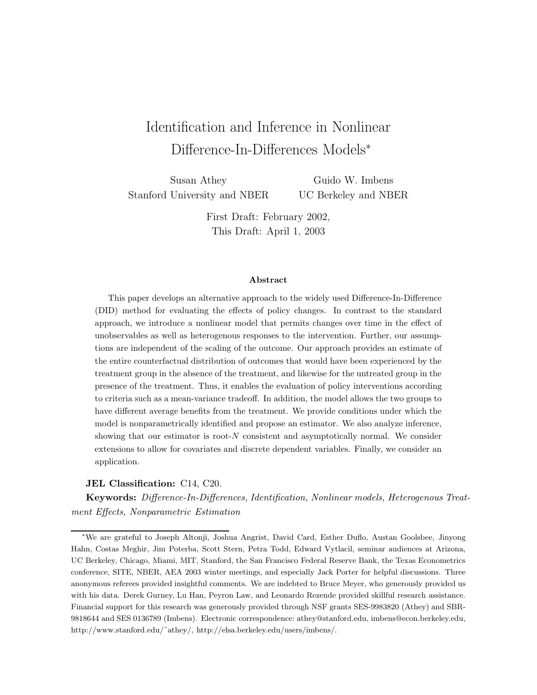# Identification and Inference in Nonlinear Difference-In-Differences Models<sup>∗</sup>

Susan Athey Stanford University and NBER

Guido W. Imbens UC Berkeley and NBER

First Draft: February 2002, This Draft: April 1, 2003

#### **Abstract**

This paper develops an alternative approach to the widely used Difference-In-Difference (DID) method for evaluating the effects of policy changes. In contrast to the standard approach, we introduce a nonlinear model that permits changes over time in the effect of unobservables as well as heterogenous responses to the intervention. Further, our assumptions are independent of the scaling of the outcome. Our approach provides an estimate of the entire counterfactual distribution of outcomes that would have been experienced by the treatment group in the absence of the treatment, and likewise for the untreated group in the presence of the treatment. Thus, it enables the evaluation of policy interventions according to criteria such as a mean-variance tradeoff. In addition, the model allows the two groups to have different average benefits from the treatment. We provide conditions under which the model is nonparametrically identified and propose an estimator. We also analyze inference, showing that our estimator is root-N consistent and asymptotically normal. We consider extensions to allow for covariates and discrete dependent variables. Finally, we consider an application.

#### **JEL Classification:** C14, C20.

**Keywords:** *Difference-In-Differences, Identification, Nonlinear models, Heterogenous Treatment Effects, Nonparametric Estimation*

<sup>∗</sup>We are grateful to Joseph Altonji, Joshua Angrist, David Card, Esther Duflo, Austan Goolsbee, Jinyong Hahn, Costas Meghir, Jim Poterba, Scott Stern, Petra Todd, Edward Vytlacil, seminar audiences at Arizona, UC Berkeley, Chicago, Miami, MIT, Stanford, the San Francisco Federal Reserve Bank, the Texas Econometrics conference, SITE, NBER, AEA 2003 winter meetings, and especially Jack Porter for helpful discussions. Three anonymous referees provided insightful comments. We are indebted to Bruce Meyer, who generously provided us with his data. Derek Gurney, Lu Han, Peyron Law, and Leonardo Rezende provided skillful research assistance. Financial support for this research was generously provided through NSF grants SES-9983820 (Athey) and SBR-9818644 and SES 0136789 (Imbens). Electronic correspondence: athey@stanford.edu, imbens@econ.berkeley.edu, http://www.stanford.edu/˜athey/, http://elsa.berkeley.edu/users/imbens/.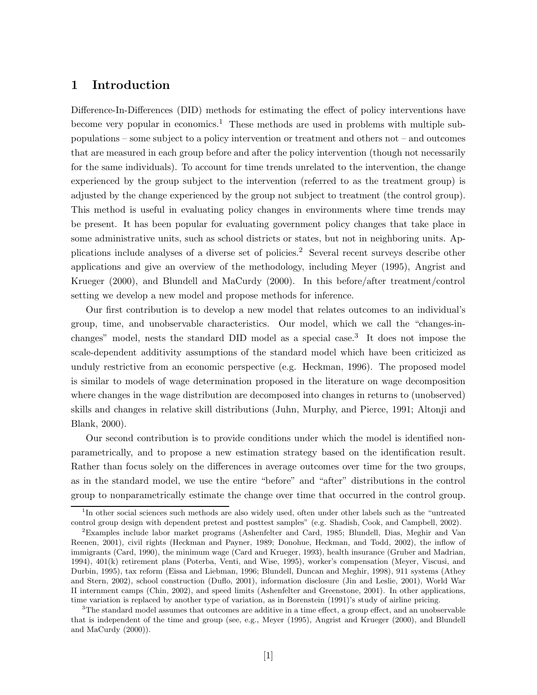# **1 Introduction**

Difference-In-Differences (DID) methods for estimating the effect of policy interventions have become very popular in economics.<sup>1</sup> These methods are used in problems with multiple subpopulations – some subject to a policy intervention or treatment and others not – and outcomes that are measured in each group before and after the policy intervention (though not necessarily for the same individuals). To account for time trends unrelated to the intervention, the change experienced by the group subject to the intervention (referred to as the treatment group) is adjusted by the change experienced by the group not subject to treatment (the control group). This method is useful in evaluating policy changes in environments where time trends may be present. It has been popular for evaluating government policy changes that take place in some administrative units, such as school districts or states, but not in neighboring units. Applications include analyses of a diverse set of policies.<sup>2</sup> Several recent surveys describe other applications and give an overview of the methodology, including Meyer (1995), Angrist and Krueger (2000), and Blundell and MaCurdy (2000). In this before/after treatment/control setting we develop a new model and propose methods for inference.

Our first contribution is to develop a new model that relates outcomes to an individual's group, time, and unobservable characteristics. Our model, which we call the "changes-inchanges" model, nests the standard DID model as a special case.<sup>3</sup> It does not impose the scale-dependent additivity assumptions of the standard model which have been criticized as unduly restrictive from an economic perspective (e.g. Heckman, 1996). The proposed model is similar to models of wage determination proposed in the literature on wage decomposition where changes in the wage distribution are decomposed into changes in returns to (unobserved) skills and changes in relative skill distributions (Juhn, Murphy, and Pierce, 1991; Altonji and Blank, 2000).

Our second contribution is to provide conditions under which the model is identified nonparametrically, and to propose a new estimation strategy based on the identification result. Rather than focus solely on the differences in average outcomes over time for the two groups, as in the standard model, we use the entire "before" and "after" distributions in the control group to nonparametrically estimate the change over time that occurred in the control group.

<sup>&</sup>lt;sup>1</sup>In other social sciences such methods are also widely used, often under other labels such as the "untreated control group design with dependent pretest and posttest samples" (e.g. Shadish, Cook, and Campbell, 2002).

 ${}^{2}$ Examples include labor market programs (Ashenfelter and Card, 1985; Blundell, Dias, Meghir and Van Reenen, 2001), civil rights (Heckman and Payner, 1989; Donohue, Heckman, and Todd, 2002), the inflow of immigrants (Card, 1990), the minimum wage (Card and Krueger, 1993), health insurance (Gruber and Madrian, 1994), 401(k) retirement plans (Poterba, Venti, and Wise, 1995), worker's compensation (Meyer, Viscusi, and Durbin, 1995), tax reform (Eissa and Liebman, 1996; Blundell, Duncan and Meghir, 1998), 911 systems (Athey and Stern, 2002), school construction (Duflo, 2001), information disclosure (Jin and Leslie, 2001), World War II internment camps (Chin, 2002), and speed limits (Ashenfelter and Greenstone, 2001). In other applications, time variation is replaced by another type of variation, as in Borenstein (1991)'s study of airline pricing.

 $3$ The standard model assumes that outcomes are additive in a time effect, a group effect, and an unobservable that is independent of the time and group (see, e.g., Meyer (1995), Angrist and Krueger (2000), and Blundell and MaCurdy (2000)).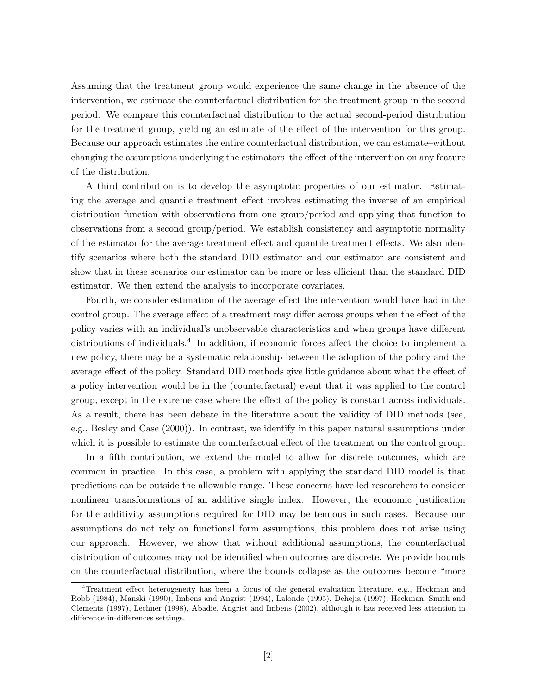Assuming that the treatment group would experience the same change in the absence of the intervention, we estimate the counterfactual distribution for the treatment group in the second period. We compare this counterfactual distribution to the actual second-period distribution for the treatment group, yielding an estimate of the effect of the intervention for this group. Because our approach estimates the entire counterfactual distribution, we can estimate–without changing the assumptions underlying the estimators–the effect of the intervention on any feature of the distribution.

A third contribution is to develop the asymptotic properties of our estimator. Estimating the average and quantile treatment effect involves estimating the inverse of an empirical distribution function with observations from one group/period and applying that function to observations from a second group/period. We establish consistency and asymptotic normality of the estimator for the average treatment effect and quantile treatment effects. We also identify scenarios where both the standard DID estimator and our estimator are consistent and show that in these scenarios our estimator can be more or less efficient than the standard DID estimator. We then extend the analysis to incorporate covariates.

Fourth, we consider estimation of the average effect the intervention would have had in the control group. The average effect of a treatment may differ across groups when the effect of the policy varies with an individual's unobservable characteristics and when groups have different distributions of individuals.<sup>4</sup> In addition, if economic forces affect the choice to implement a new policy, there may be a systematic relationship between the adoption of the policy and the average effect of the policy. Standard DID methods give little guidance about what the effect of a policy intervention would be in the (counterfactual) event that it was applied to the control group, except in the extreme case where the effect of the policy is constant across individuals. As a result, there has been debate in the literature about the validity of DID methods (see, e.g., Besley and Case (2000)). In contrast, we identify in this paper natural assumptions under which it is possible to estimate the counterfactual effect of the treatment on the control group.

In a fifth contribution, we extend the model to allow for discrete outcomes, which are common in practice. In this case, a problem with applying the standard DID model is that predictions can be outside the allowable range. These concerns have led researchers to consider nonlinear transformations of an additive single index. However, the economic justification for the additivity assumptions required for DID may be tenuous in such cases. Because our assumptions do not rely on functional form assumptions, this problem does not arise using our approach. However, we show that without additional assumptions, the counterfactual distribution of outcomes may not be identified when outcomes are discrete. We provide bounds on the counterfactual distribution, where the bounds collapse as the outcomes become "more

<sup>4</sup>Treatment effect heterogeneity has been a focus of the general evaluation literature, e.g., Heckman and Robb (1984), Manski (1990), Imbens and Angrist (1994), Lalonde (1995), Dehejia (1997), Heckman, Smith and Clements (1997), Lechner (1998), Abadie, Angrist and Imbens (2002), although it has received less attention in difference-in-differences settings.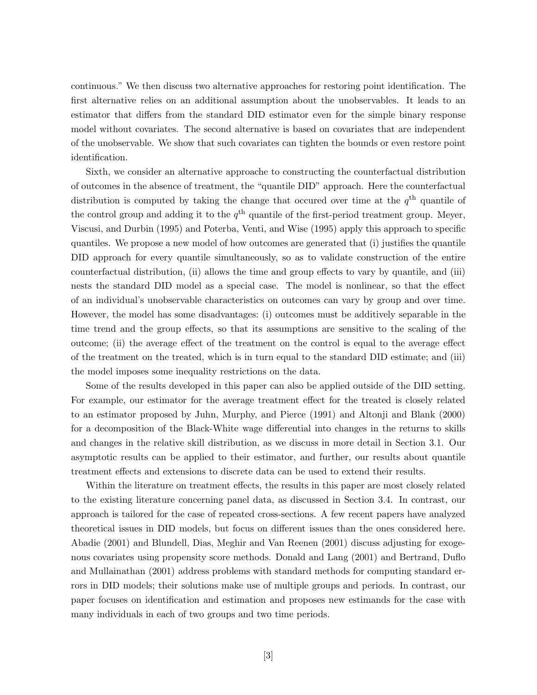continuous." We then discuss two alternative approaches for restoring point identification. The first alternative relies on an additional assumption about the unobservables. It leads to an estimator that differs from the standard DID estimator even for the simple binary response model without covariates. The second alternative is based on covariates that are independent of the unobservable. We show that such covariates can tighten the bounds or even restore point identification.

Sixth, we consider an alternative approache to constructing the counterfactual distribution of outcomes in the absence of treatment, the "quantile DID" approach. Here the counterfactual distribution is computed by taking the change that occured over time at the  $q<sup>th</sup>$  quantile of the control group and adding it to the  $q^{\text{th}}$  quantile of the first-period treatment group. Meyer, Viscusi, and Durbin (1995) and Poterba, Venti, and Wise (1995) apply this approach to specific quantiles. We propose a new model of how outcomes are generated that (i) justifies the quantile DID approach for every quantile simultaneously, so as to validate construction of the entire counterfactual distribution, (ii) allows the time and group effects to vary by quantile, and (iii) nests the standard DID model as a special case. The model is nonlinear, so that the effect of an individual's unobservable characteristics on outcomes can vary by group and over time. However, the model has some disadvantages: (i) outcomes must be additively separable in the time trend and the group effects, so that its assumptions are sensitive to the scaling of the outcome; (ii) the average effect of the treatment on the control is equal to the average effect of the treatment on the treated, which is in turn equal to the standard DID estimate; and (iii) the model imposes some inequality restrictions on the data.

Some of the results developed in this paper can also be applied outside of the DID setting. For example, our estimator for the average treatment effect for the treated is closely related to an estimator proposed by Juhn, Murphy, and Pierce (1991) and Altonji and Blank (2000) for a decomposition of the Black-White wage differential into changes in the returns to skills and changes in the relative skill distribution, as we discuss in more detail in Section 3.1. Our asymptotic results can be applied to their estimator, and further, our results about quantile treatment effects and extensions to discrete data can be used to extend their results.

Within the literature on treatment effects, the results in this paper are most closely related to the existing literature concerning panel data, as discussed in Section 3.4. In contrast, our approach is tailored for the case of repeated cross-sections. A few recent papers have analyzed theoretical issues in DID models, but focus on different issues than the ones considered here. Abadie (2001) and Blundell, Dias, Meghir and Van Reenen (2001) discuss adjusting for exogenous covariates using propensity score methods. Donald and Lang (2001) and Bertrand, Duflo and Mullainathan (2001) address problems with standard methods for computing standard errors in DID models; their solutions make use of multiple groups and periods. In contrast, our paper focuses on identification and estimation and proposes new estimands for the case with many individuals in each of two groups and two time periods.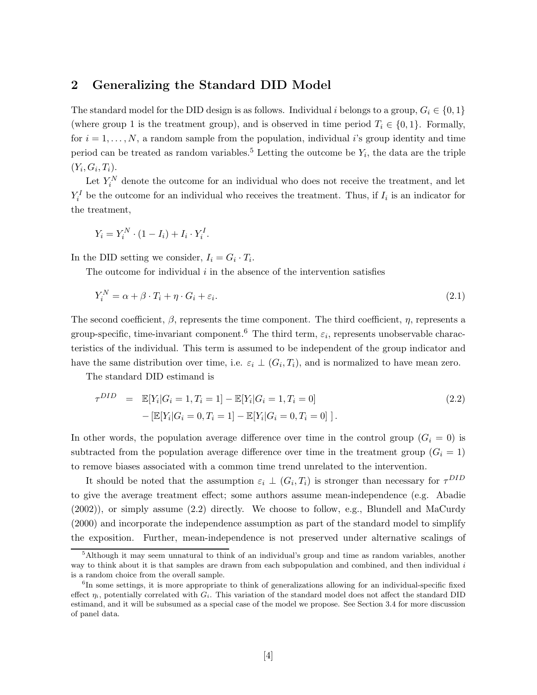# **2 Generalizing the Standard DID Model**

The standard model for the DID design is as follows. Individual i belongs to a group,  $G_i \in \{0, 1\}$ (where group 1 is the treatment group), and is observed in time period  $T_i \in \{0, 1\}$ . Formally, for  $i = 1, \ldots, N$ , a random sample from the population, individual i's group identity and time period can be treated as random variables.<sup>5</sup> Letting the outcome be  $Y_i$ , the data are the triple  $(Y_i, G_i, T_i).$ 

Let  $Y_i^N$  denote the outcome for an individual who does not receive the treatment, and let  $Y_i^I$  be the outcome for an individual who receives the treatment. Thus, if  $I_i$  is an indicator for the treatment,

$$
Y_i = Y_i^N \cdot (1 - I_i) + I_i \cdot Y_i^I.
$$

In the DID setting we consider,  $I_i = G_i \cdot T_i$ .

The outcome for individual  $i$  in the absence of the intervention satisfies

$$
Y_i^N = \alpha + \beta \cdot T_i + \eta \cdot G_i + \varepsilon_i. \tag{2.1}
$$

The second coefficient,  $\beta$ , represents the time component. The third coefficient,  $\eta$ , represents a group-specific, time-invariant component.<sup>6</sup> The third term,  $\varepsilon_i$ , represents unobservable characteristics of the individual. This term is assumed to be independent of the group indicator and have the same distribution over time, i.e.  $\varepsilon_i \perp (G_i, T_i)$ , and is normalized to have mean zero.

The standard DID estimand is

$$
\tau^{DID} = \mathbb{E}[Y_i | G_i = 1, T_i = 1] - \mathbb{E}[Y_i | G_i = 1, T_i = 0]
$$
  
 
$$
- [\mathbb{E}[Y_i | G_i = 0, T_i = 1] - \mathbb{E}[Y_i | G_i = 0, T_i = 0]]
$$
 (2.2)

In other words, the population average difference over time in the control group  $(G_i = 0)$  is subtracted from the population average difference over time in the treatment group  $(G<sub>i</sub> = 1)$ to remove biases associated with a common time trend unrelated to the intervention.

It should be noted that the assumption  $\varepsilon_i \perp (G_i, T_i)$  is stronger than necessary for  $\tau^{DID}$ to give the average treatment effect; some authors assume mean-independence (e.g. Abadie (2002)), or simply assume (2.2) directly. We choose to follow, e.g., Blundell and MaCurdy (2000) and incorporate the independence assumption as part of the standard model to simplify the exposition. Further, mean-independence is not preserved under alternative scalings of

<sup>&</sup>lt;sup>5</sup>Although it may seem unnatural to think of an individual's group and time as random variables, another way to think about it is that samples are drawn from each subpopulation and combined, and then individual i is a random choice from the overall sample.

 ${}^{6}$ In some settings, it is more appropriate to think of generalizations allowing for an individual-specific fixed effect  $\eta_i$ , potentially correlated with  $G_i$ . This variation of the standard model does not affect the standard DID estimand, and it will be subsumed as a special case of the model we propose. See Section 3.4 for more discussion of panel data.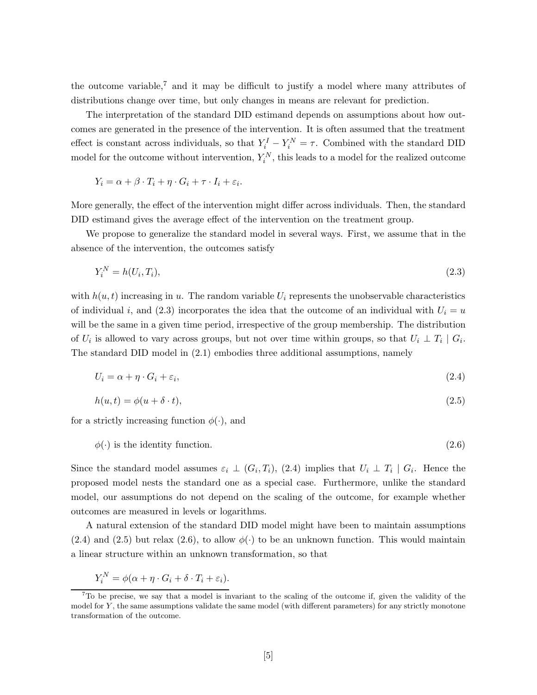the outcome variable,<sup>7</sup> and it may be difficult to justify a model where many attributes of distributions change over time, but only changes in means are relevant for prediction.

The interpretation of the standard DID estimand depends on assumptions about how outcomes are generated in the presence of the intervention. It is often assumed that the treatment effect is constant across individuals, so that  $Y_i^I - Y_i^N = \tau$ . Combined with the standard DID model for the outcome without intervention,  $Y_i^N$ , this leads to a model for the realized outcome

$$
Y_i = \alpha + \beta \cdot T_i + \eta \cdot G_i + \tau \cdot I_i + \varepsilon_i.
$$

More generally, the effect of the intervention might differ across individuals. Then, the standard DID estimand gives the average effect of the intervention on the treatment group.

We propose to generalize the standard model in several ways. First, we assume that in the absence of the intervention, the outcomes satisfy

$$
Y_i^N = h(U_i, T_i),\tag{2.3}
$$

with  $h(u, t)$  increasing in u. The random variable  $U_i$  represents the unobservable characteristics of individual i, and (2.3) incorporates the idea that the outcome of an individual with  $U_i = u$ will be the same in a given time period, irrespective of the group membership. The distribution of  $U_i$  is allowed to vary across groups, but not over time within groups, so that  $U_i \perp T_i \mid G_i$ . The standard DID model in (2.1) embodies three additional assumptions, namely

$$
U_i = \alpha + \eta \cdot G_i + \varepsilon_i,\tag{2.4}
$$

$$
h(u,t) = \phi(u+\delta \cdot t),\tag{2.5}
$$

for a strictly increasing function  $\phi(\cdot)$ , and

$$
\phi(\cdot) \text{ is the identity function.} \tag{2.6}
$$

Since the standard model assumes  $\varepsilon_i \perp (G_i, T_i)$ , (2.4) implies that  $U_i \perp T_i \mid G_i$ . Hence the proposed model nests the standard one as a special case. Furthermore, unlike the standard model, our assumptions do not depend on the scaling of the outcome, for example whether outcomes are measured in levels or logarithms.

A natural extension of the standard DID model might have been to maintain assumptions  $(2.4)$  and  $(2.5)$  but relax  $(2.6)$ , to allow  $\phi(\cdot)$  to be an unknown function. This would maintain a linear structure within an unknown transformation, so that

$$
Y_i^N = \phi(\alpha + \eta \cdot G_i + \delta \cdot T_i + \varepsilon_i).
$$

 $7\text{To}$  be precise, we say that a model is invariant to the scaling of the outcome if, given the validity of the model for Y, the same assumptions validate the same model (with different parameters) for any strictly monotone transformation of the outcome.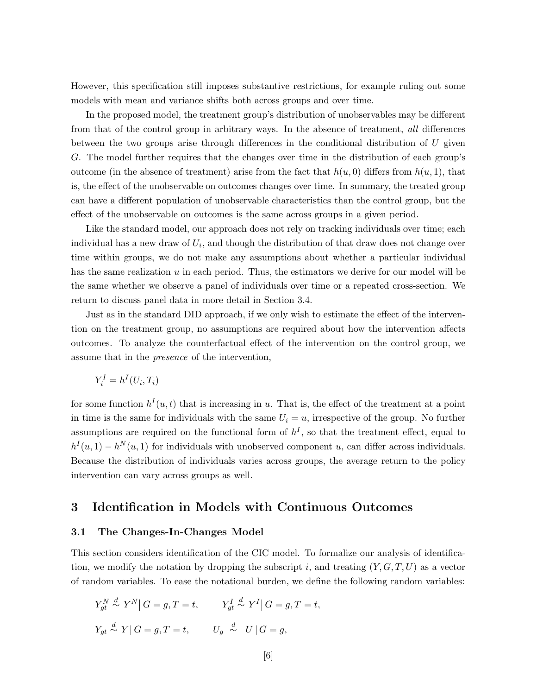However, this specification still imposes substantive restrictions, for example ruling out some models with mean and variance shifts both across groups and over time.

In the proposed model, the treatment group's distribution of unobservables may be different from that of the control group in arbitrary ways. In the absence of treatment, *all* differences between the two groups arise through differences in the conditional distribution of  $U$  given G. The model further requires that the changes over time in the distribution of each group's outcome (in the absence of treatment) arise from the fact that  $h(u, 0)$  differs from  $h(u, 1)$ , that is, the effect of the unobservable on outcomes changes over time. In summary, the treated group can have a different population of unobservable characteristics than the control group, but the effect of the unobservable on outcomes is the same across groups in a given period.

Like the standard model, our approach does not rely on tracking individuals over time; each individual has a new draw of  $U_i$ , and though the distribution of that draw does not change over time within groups, we do not make any assumptions about whether a particular individual has the same realization  $u$  in each period. Thus, the estimators we derive for our model will be the same whether we observe a panel of individuals over time or a repeated cross-section. We return to discuss panel data in more detail in Section 3.4.

Just as in the standard DID approach, if we only wish to estimate the effect of the intervention on the treatment group, no assumptions are required about how the intervention affects outcomes. To analyze the counterfactual effect of the intervention on the control group, we assume that in the *presence* of the intervention,

$$
Y_i^I = h^I(U_i, T_i)
$$

for some function  $h^I(u, t)$  that is increasing in u. That is, the effect of the treatment at a point in time is the same for individuals with the same  $U_i = u$ , irrespective of the group. No further assumptions are required on the functional form of  $h<sup>I</sup>$ , so that the treatment effect, equal to  $h^{I}(u, 1) - h^{N}(u, 1)$  for individuals with unobserved component u, can differ across individuals. Because the distribution of individuals varies across groups, the average return to the policy intervention can vary across groups as well.

# **3 Identification in Models with Continuous Outcomes**

#### **3.1 The Changes-In-Changes Model**

This section considers identification of the CIC model. To formalize our analysis of identification, we modify the notation by dropping the subscript i, and treating  $(Y, G, T, U)$  as a vector of random variables. To ease the notational burden, we define the following random variables:

$$
\begin{aligned} Y_{gt}^{N} & \stackrel{d}{\sim} Y^{N} | G=g, T=t, & Y_{gt}^{I} & \stackrel{d}{\sim} Y^{I} | G=g, T=t, \\ Y_{gt} & \stackrel{d}{\sim} Y | G=g, T=t, & U_{g} & \stackrel{d}{\sim} U | G=g, \end{aligned}
$$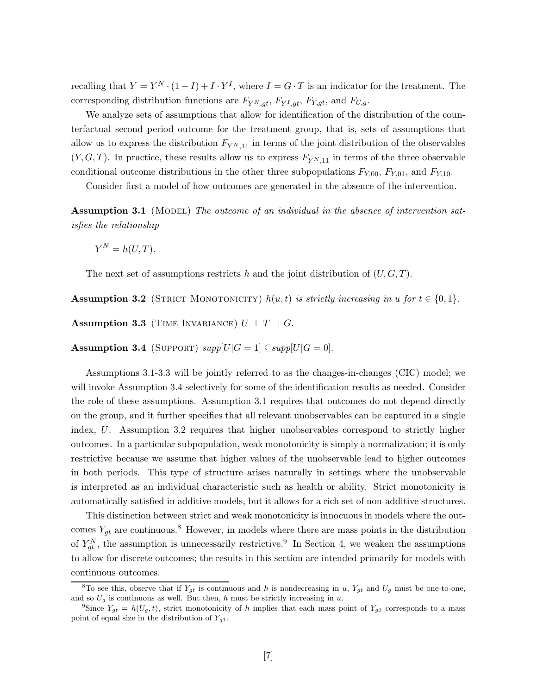recalling that  $Y = Y^N \cdot (1 - I) + I \cdot Y^I$ , where  $I = G \cdot T$  is an indicator for the treatment. The corresponding distribution functions are  $F_{Y^N,gt}$ ,  $F_{Y^I,gt}$ ,  $F_{Y,gt}$ , and  $F_{U,g}$ .

We analyze sets of assumptions that allow for identification of the distribution of the counterfactual second period outcome for the treatment group, that is, sets of assumptions that allow us to express the distribution  $F_{Y^N,11}$  in terms of the joint distribution of the observables  $(Y, G, T)$ . In practice, these results allow us to express  $F_{Y^{N},11}$  in terms of the three observable conditional outcome distributions in the other three subpopulations  $F_{Y,00}$ ,  $F_{Y,01}$ , and  $F_{Y,10}$ .

Consider first a model of how outcomes are generated in the absence of the intervention.

**Assumption 3.1** (MODEL) The outcome of an individual in the absence of intervention sat*isfies the relationship*

$$
Y^N = h(U, T).
$$

The next set of assumptions restricts h and the joint distribution of  $(U, G, T)$ .

**Assumption 3.2** (STRICT MONOTONICITY)  $h(u, t)$  *is strictly increasing in*  $u$  *for*  $t \in \{0, 1\}$ *.* 

**Assumption 3.3** (TIME INVARIANCE)  $U \perp T \parallel G$ .

**Assumption 3.4** (SUPPORT)  $supp[U|G=1] \subseteq supp[U|G=0].$ 

Assumptions 3.1-3.3 will be jointly referred to as the changes-in-changes (CIC) model; we will invoke Assumption 3.4 selectively for some of the identification results as needed. Consider the role of these assumptions. Assumption 3.1 requires that outcomes do not depend directly on the group, and it further specifies that all relevant unobservables can be captured in a single index, U. Assumption 3.2 requires that higher unobservables correspond to strictly higher outcomes. In a particular subpopulation, weak monotonicity is simply a normalization; it is only restrictive because we assume that higher values of the unobservable lead to higher outcomes in both periods. This type of structure arises naturally in settings where the unobservable is interpreted as an individual characteristic such as health or ability. Strict monotonicity is automatically satisfied in additive models, but it allows for a rich set of non-additive structures.

This distinction between strict and weak monotonicity is innocuous in models where the outcomes  $Y_{gt}$  are continuous.<sup>8</sup> However, in models where there are mass points in the distribution of  $Y_{gt}^N$ , the assumption is unnecessarily restrictive.<sup>9</sup> In Section 4, we weaken the assumptions to allow for discrete outcomes; the results in this section are intended primarily for models with continuous outcomes.

<sup>&</sup>lt;sup>8</sup>To see this, observe that if  $Y_{gt}$  is continuous and h is nondecreasing in u,  $Y_{gt}$  and  $U_g$  must be one-to-one, and so  $U_g$  is continuous as well. But then, h must be strictly increasing in u.

<sup>&</sup>lt;sup>9</sup>Since  $Y_{gt} = h(U_g, t)$ , strict monotonicity of h implies that each mass point of  $Y_{g0}$  corresponds to a mass point of equal size in the distribution of  $Y_{g1}$ .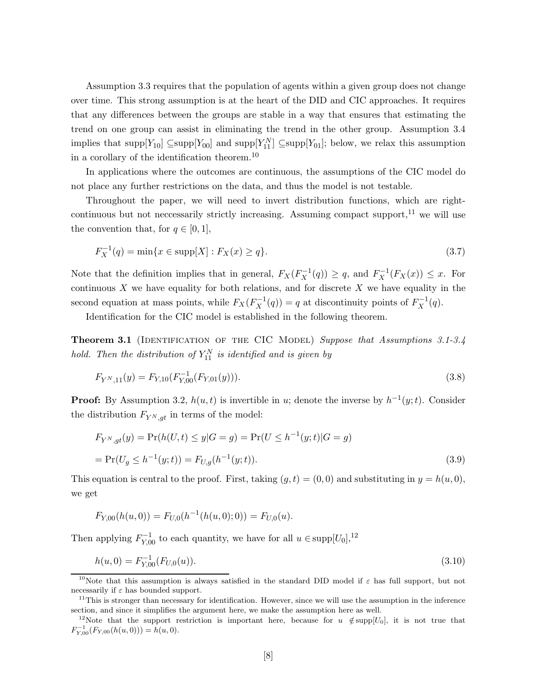Assumption 3.3 requires that the population of agents within a given group does not change over time. This strong assumption is at the heart of the DID and CIC approaches. It requires that any differences between the groups are stable in a way that ensures that estimating the trend on one group can assist in eliminating the trend in the other group. Assumption 3.4 implies that supp $[Y_{10}] \subseteq \text{supp}[Y_{00}]$  and supp $[Y_{11}^N] \subseteq \text{supp}[Y_{01}]$ ; below, we relax this assumption in a corollary of the identification theorem.<sup>10</sup>

In applications where the outcomes are continuous, the assumptions of the CIC model do not place any further restrictions on the data, and thus the model is not testable.

Throughout the paper, we will need to invert distribution functions, which are rightcontinuous but not neccessarily strictly increasing. Assuming compact support, $^{11}$  we will use the convention that, for  $q \in [0, 1]$ ,

$$
F_X^{-1}(q) = \min\{x \in \text{supp}[X] : F_X(x) \ge q\}.
$$
\n(3.7)

Note that the definition implies that in general,  $F_X(F_X^{-1}(q)) \ge q$ , and  $F_X^{-1}(F_X(x)) \le x$ . For continuous  $X$  we have equality for both relations, and for discrete  $X$  we have equality in the second equation at mass points, while  $F_X(F_X^{-1}(q)) = q$  at discontinuity points of  $F_X^{-1}(q)$ .

Identification for the CIC model is established in the following theorem.

**Theorem 3.1** (IDENTIFICATION OF THE CIC MODEL) *Suppose that Assumptions 3.1-3.4 hold. Then the distribution of*  $Y_{11}^N$  *is identified and is given by* 

$$
F_{Y^N,11}(y) = F_{Y,10}(F_{Y,00}^{-1}(F_{Y,01}(y))).
$$
\n(3.8)

**Proof:** By Assumption 3.2,  $h(u, t)$  is invertible in u; denote the inverse by  $h^{-1}(y; t)$ . Consider the distribution  $F_{Y^N,at}$  in terms of the model:

$$
F_{Y^N,gt}(y) = \Pr(h(U,t) \le y | G = g) = \Pr(U \le h^{-1}(y;t) | G = g)
$$
  
= 
$$
\Pr(U_g \le h^{-1}(y;t)) = F_{U,g}(h^{-1}(y;t)).
$$
 (3.9)

This equation is central to the proof. First, taking  $(q, t) = (0, 0)$  and substituting in  $y = h(u, 0)$ , we get

$$
F_{Y,00}(h(u,0)) = F_{U,0}(h^{-1}(h(u,0);0)) = F_{U,0}(u).
$$

Then applying  $F_{Y,00}^{-1}$  to each quantity, we have for all  $u \in \text{supp}[U_0]$ ,<sup>12</sup>

$$
h(u,0) = F_{Y,00}^{-1}(F_{U,0}(u)).
$$
\n(3.10)

<sup>&</sup>lt;sup>10</sup>Note that this assumption is always satisfied in the standard DID model if  $\varepsilon$  has full support, but not necessarily if  $\varepsilon$  has bounded support.

 $11$ This is stronger than necessary for identification. However, since we will use the assumption in the inference section, and since it simplifies the argument here, we make the assumption here as well.

<sup>&</sup>lt;sup>12</sup>Note that the support restriction is important here, because for u  $\notin$  supp[U<sub>0</sub>], it is not true that  $F_{Y,00}^{-1}(F_{Y,00}(h(u,0))) = h(u,0).$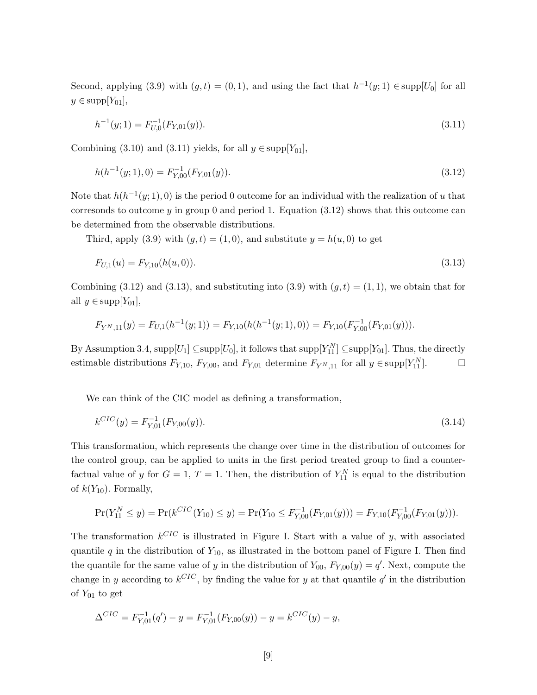Second, applying (3.9) with  $(g, t) = (0, 1)$ , and using the fact that  $h^{-1}(y; 1) \in \text{supp}[U_0]$  for all  $y \in \text{supp}[Y_{01}],$ 

$$
h^{-1}(y;1) = F_{U,0}^{-1}(F_{Y,01}(y)).
$$
\n(3.11)

Combining (3.10) and (3.11) yields, for all  $y \in \text{supp}[Y_{01}]$ ,

$$
h(h^{-1}(y; 1), 0) = F_{Y,00}^{-1}(F_{Y,01}(y)).
$$
\n(3.12)

Note that  $h(h^{-1}(y; 1), 0)$  is the period 0 outcome for an individual with the realization of u that corresonds to outcome  $y$  in group 0 and period 1. Equation (3.12) shows that this outcome can be determined from the observable distributions.

Third, apply (3.9) with  $(g, t) = (1, 0)$ , and substitute  $y = h(u, 0)$  to get

$$
F_{U,1}(u) = F_{Y,10}(h(u,0)).
$$
\n(3.13)

Combining (3.12) and (3.13), and substituting into (3.9) with  $(q, t) = (1, 1)$ , we obtain that for all  $y \in \text{supp}[Y_{01}],$ 

$$
F_{Y^N,11}(y) = F_{U,1}(h^{-1}(y;1)) = F_{Y,10}(h(h^{-1}(y;1),0)) = F_{Y,10}(F_{Y,00}^{-1}(F_{Y,01}(y))).
$$

By Assumption 3.4,  $supp[U_1] \subseteq supp[U_0]$ , it follows that  $supp[Y_{11}^N] \subseteq supp[Y_{01}]$ . Thus, the directly estimable distributions  $F_{Y,10}$ ,  $F_{Y,00}$ , and  $F_{Y,01}$  determine  $F_{Y^N,11}$  for all  $y \in \text{supp}[Y_{11}^N]$ .

We can think of the CIC model as defining a transformation,

$$
k^{CIC}(y) = F_{Y,01}^{-1}(F_{Y,00}(y)).
$$
\n(3.14)

This transformation, which represents the change over time in the distribution of outcomes for the control group, can be applied to units in the first period treated group to find a counterfactual value of y for  $G = 1, T = 1$ . Then, the distribution of  $Y_{11}^N$  is equal to the distribution of  $k(Y_{10})$ . Formally,

$$
\Pr(Y_{11}^N \le y) = \Pr(k^{CIC}(Y_{10}) \le y) = \Pr(Y_{10} \le F_{Y,00}^{-1}(F_{Y,01}(y))) = F_{Y,10}(F_{Y,00}^{-1}(F_{Y,01}(y))).
$$

The transformation  $k^{CIC}$  is illustrated in Figure I. Start with a value of y, with associated quantile q in the distribution of  $Y_{10}$ , as illustrated in the bottom panel of Figure I. Then find the quantile for the same value of y in the distribution of  $Y_{00}$ ,  $F_{Y,00}(y) = q'$ . Next, compute the change in y according to  $k^{CIC}$ , by finding the value for y at that quantile q' in the distribution of  $Y_{01}$  to get

$$
\Delta^{CIC} = F_{Y,01}^{-1}(q') - y = F_{Y,01}^{-1}(F_{Y,00}(y)) - y = k^{CIC}(y) - y,
$$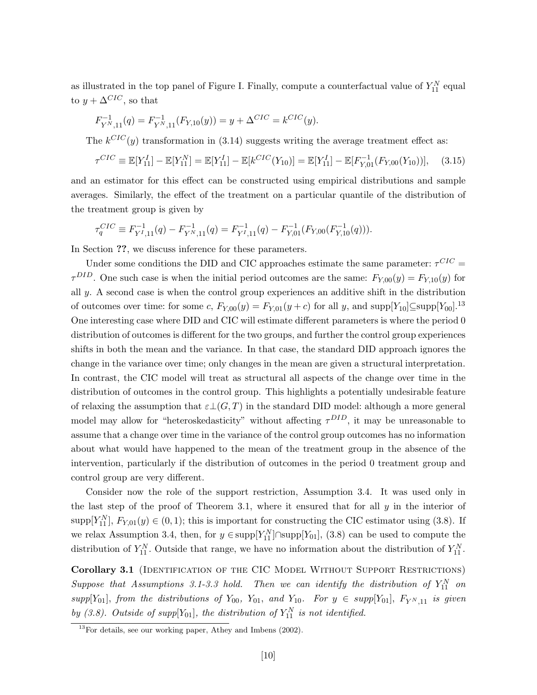as illustrated in the top panel of Figure I. Finally, compute a counterfactual value of  $Y_{11}^N$  equal to  $y + \Delta^{CIC}$ , so that

$$
F_{Y^N,11}^{-1}(q) = F_{Y^N,11}^{-1}(F_{Y,10}(y)) = y + \Delta^{CIC} = k^{CIC}(y).
$$

The  $k^{CIC}(y)$  transformation in (3.14) suggests writing the average treatment effect as:

$$
\tau^{CIC} \equiv \mathbb{E}[Y_{11}^I] - \mathbb{E}[Y_{11}^N] = \mathbb{E}[Y_{11}^I] - \mathbb{E}[k^{CIC}(Y_{10})] = \mathbb{E}[Y_{11}^I] - \mathbb{E}[F_{Y,01}^{-1}(F_{Y,00}(Y_{10}))], \quad (3.15)
$$

and an estimator for this effect can be constructed using empirical distributions and sample averages. Similarly, the effect of the treatment on a particular quantile of the distribution of the treatment group is given by

$$
\tau_q^{CIC} \equiv F_{Y^I,11}^{-1}(q) - F_{Y^N,11}^{-1}(q) = F_{Y^I,11}^{-1}(q) - F_{Y,01}^{-1}(F_{Y,00}(F_{Y,10}^{-1}(q))).
$$

In Section **??**, we discuss inference for these parameters.

Under some conditions the DID and CIC approaches estimate the same parameter:  $\tau^{CIC}$  =  $\tau^{DID}$ . One such case is when the initial period outcomes are the same:  $F_{Y,00}(y) = F_{Y,10}(y)$  for all  $y$ . A second case is when the control group experiences an additive shift in the distribution of outcomes over time: for some c,  $F_{Y,00}(y) = F_{Y,01}(y+c)$  for all y, and supp $[Y_{10}] \subseteq \text{supp}[Y_{00}]$ .<sup>13</sup> One interesting case where DID and CIC will estimate different parameters is where the period 0 distribution of outcomes is different for the two groups, and further the control group experiences shifts in both the mean and the variance. In that case, the standard DID approach ignores the change in the variance over time; only changes in the mean are given a structural interpretation. In contrast, the CIC model will treat as structural all aspects of the change over time in the distribution of outcomes in the control group. This highlights a potentially undesirable feature of relaxing the assumption that  $\varepsilon\bot(G,T)$  in the standard DID model: although a more general model may allow for "heteroskedasticity" without affecting  $\tau^{DID}$ , it may be unreasonable to assume that a change over time in the variance of the control group outcomes has no information about what would have happened to the mean of the treatment group in the absence of the intervention, particularly if the distribution of outcomes in the period 0 treatment group and control group are very different.

Consider now the role of the support restriction, Assumption 3.4. It was used only in the last step of the proof of Theorem 3.1, where it ensured that for all  $y$  in the interior of supp[ $Y_{11}^N$ ],  $F_{Y,01}(y) \in (0,1)$ ; this is important for constructing the CIC estimator using (3.8). If we relax Assumption 3.4, then, for  $y \in \text{supp}[Y_{11}^N] \cap \text{supp}[Y_{01}]$ , (3.8) can be used to compute the distribution of  $Y_{11}^N$ . Outside that range, we have no information about the distribution of  $Y_{11}^N$ .

Corollary 3.1 (IDENTIFICATION OF THE CIC MODEL WITHOUT SUPPORT RESTRICTIONS)  $Suppose$  that Assumptions 3.1-3.3 hold. Then we can identify the distribution of  $Y_{11}^N$  on  $supp[Y_{01}]$ , *from the distributions of*  $Y_{00}$ ,  $Y_{01}$ , *and*  $Y_{10}$ *. For*  $y \in supp[Y_{01}]$ ,  $F_{Y^N,11}$  *is given* by (3.8). Outside of supp $[Y_{01}]$ , the distribution of  $Y_{11}^N$  is not identified.

 $13$ For details, see our working paper, Athey and Imbens (2002).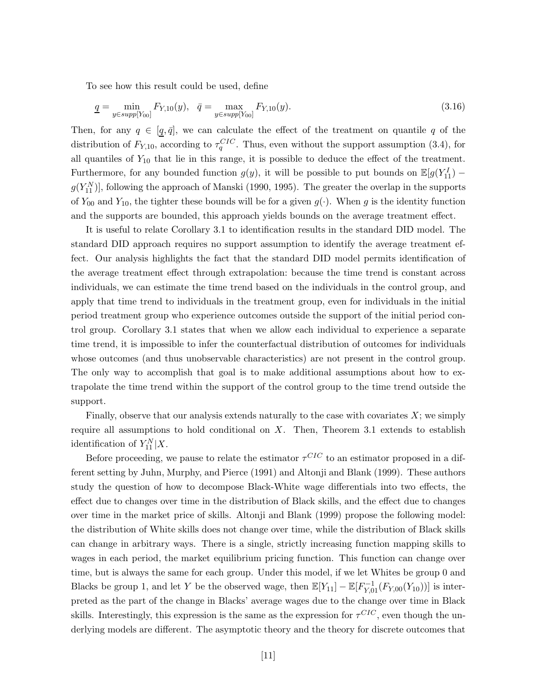To see how this result could be used, define

$$
\underline{q} = \min_{y \in supp[Y_{00}]} F_{Y,10}(y), \quad \overline{q} = \max_{y \in supp[Y_{00}]} F_{Y,10}(y). \tag{3.16}
$$

Then, for any  $q \in [q, \bar{q}]$ , we can calculate the effect of the treatment on quantile q of the distribution of  $F_{Y,10}$ , according to  $\tau_q^{CIC}$ . Thus, even without the support assumption (3.4), for all quantiles of  $Y_{10}$  that lie in this range, it is possible to deduce the effect of the treatment. Furthermore, for any bounded function  $g(y)$ , it will be possible to put bounds on  $\mathbb{E}[g(Y_{11}^I)$  –  $g(Y_{11}^N)$ , following the approach of Manski (1990, 1995). The greater the overlap in the supports of  $Y_{00}$  and  $Y_{10}$ , the tighter these bounds will be for a given  $g(\cdot)$ . When g is the identity function and the supports are bounded, this approach yields bounds on the average treatment effect.

It is useful to relate Corollary 3.1 to identification results in the standard DID model. The standard DID approach requires no support assumption to identify the average treatment effect. Our analysis highlights the fact that the standard DID model permits identification of the average treatment effect through extrapolation: because the time trend is constant across individuals, we can estimate the time trend based on the individuals in the control group, and apply that time trend to individuals in the treatment group, even for individuals in the initial period treatment group who experience outcomes outside the support of the initial period control group. Corollary 3.1 states that when we allow each individual to experience a separate time trend, it is impossible to infer the counterfactual distribution of outcomes for individuals whose outcomes (and thus unobservable characteristics) are not present in the control group. The only way to accomplish that goal is to make additional assumptions about how to extrapolate the time trend within the support of the control group to the time trend outside the support.

Finally, observe that our analysis extends naturally to the case with covariates  $X$ ; we simply require all assumptions to hold conditional on  $X$ . Then, Theorem 3.1 extends to establish identification of  $Y_{11}^N|X$ .

Before proceeding, we pause to relate the estimator  $\tau^{CIC}$  to an estimator proposed in a different setting by Juhn, Murphy, and Pierce (1991) and Altonji and Blank (1999). These authors study the question of how to decompose Black-White wage differentials into two effects, the effect due to changes over time in the distribution of Black skills, and the effect due to changes over time in the market price of skills. Altonji and Blank (1999) propose the following model: the distribution of White skills does not change over time, while the distribution of Black skills can change in arbitrary ways. There is a single, strictly increasing function mapping skills to wages in each period, the market equilibrium pricing function. This function can change over time, but is always the same for each group. Under this model, if we let Whites be group 0 and Blacks be group 1, and let Y be the observed wage, then  $\mathbb{E}[Y_{11}] - \mathbb{E}[F_{Y,01}^{-1}(F_{Y,00}(Y_{10}))]$  is interpreted as the part of the change in Blacks' average wages due to the change over time in Black skills. Interestingly, this expression is the same as the expression for  $\tau^{CIC}$ , even though the underlying models are different. The asymptotic theory and the theory for discrete outcomes that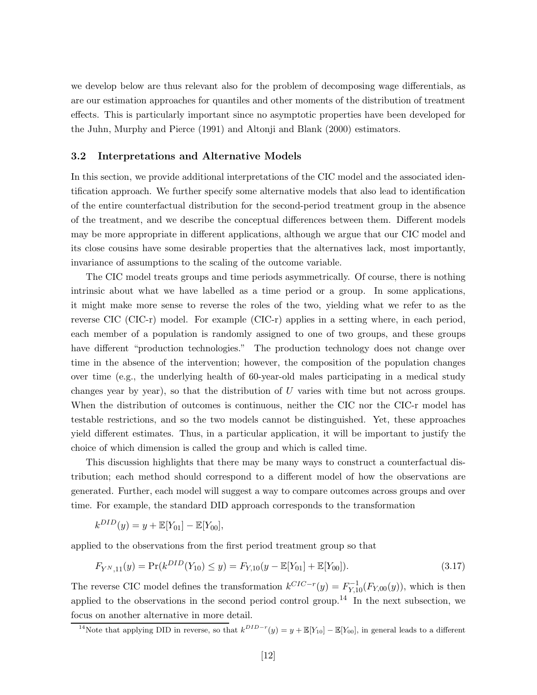we develop below are thus relevant also for the problem of decomposing wage differentials, as are our estimation approaches for quantiles and other moments of the distribution of treatment effects. This is particularly important since no asymptotic properties have been developed for the Juhn, Murphy and Pierce (1991) and Altonji and Blank (2000) estimators.

#### **3.2 Interpretations and Alternative Models**

In this section, we provide additional interpretations of the CIC model and the associated identification approach. We further specify some alternative models that also lead to identification of the entire counterfactual distribution for the second-period treatment group in the absence of the treatment, and we describe the conceptual differences between them. Different models may be more appropriate in different applications, although we argue that our CIC model and its close cousins have some desirable properties that the alternatives lack, most importantly, invariance of assumptions to the scaling of the outcome variable.

The CIC model treats groups and time periods asymmetrically. Of course, there is nothing intrinsic about what we have labelled as a time period or a group. In some applications, it might make more sense to reverse the roles of the two, yielding what we refer to as the reverse CIC (CIC-r) model. For example (CIC-r) applies in a setting where, in each period, each member of a population is randomly assigned to one of two groups, and these groups have different "production technologies." The production technology does not change over time in the absence of the intervention; however, the composition of the population changes over time (e.g., the underlying health of 60-year-old males participating in a medical study changes year by year), so that the distribution of U varies with time but not across groups. When the distribution of outcomes is continuous, neither the CIC nor the CIC-r model has testable restrictions, and so the two models cannot be distinguished. Yet, these approaches yield different estimates. Thus, in a particular application, it will be important to justify the choice of which dimension is called the group and which is called time.

This discussion highlights that there may be many ways to construct a counterfactual distribution; each method should correspond to a different model of how the observations are generated. Further, each model will suggest a way to compare outcomes across groups and over time. For example, the standard DID approach corresponds to the transformation

$$
k^{DID}(y) = y + \mathbb{E}[Y_{01}] - \mathbb{E}[Y_{00}],
$$

applied to the observations from the first period treatment group so that

$$
F_{Y^N,11}(y) = \Pr(k^{DID}(Y_{10}) \le y) = F_{Y,10}(y - \mathbb{E}[Y_{01}] + \mathbb{E}[Y_{00}]).
$$
\n(3.17)

The reverse CIC model defines the transformation  $k^{CIC-r}(y) = F_{Y,10}^{-1}(F_{Y,00}(y))$ , which is then applied to the observations in the second period control group.<sup>14</sup> In the next subsection, we focus on another alternative in more detail.

<sup>&</sup>lt;sup>14</sup>Note that applying DID in reverse, so that  $k^{DID-r}(y) = y + \mathbb{E}[Y_{10}] - \mathbb{E}[Y_{00}]$ , in general leads to a different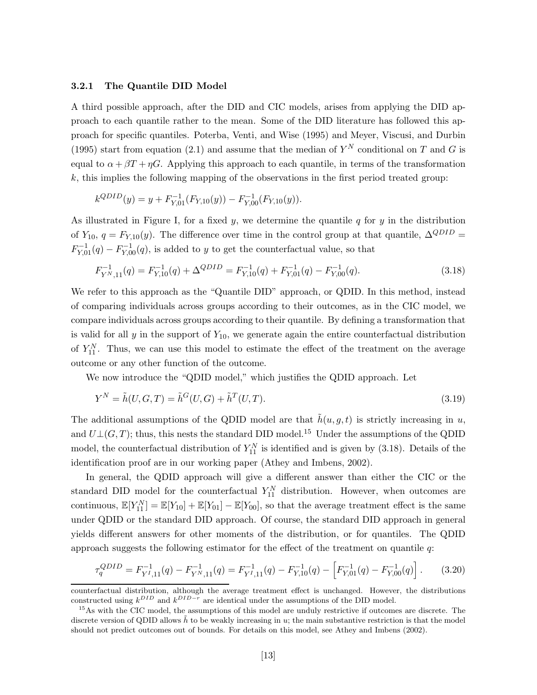#### **3.2.1 The Quantile DID Model**

A third possible approach, after the DID and CIC models, arises from applying the DID approach to each quantile rather to the mean. Some of the DID literature has followed this approach for specific quantiles. Poterba, Venti, and Wise (1995) and Meyer, Viscusi, and Durbin (1995) start from equation (2.1) and assume that the median of  $Y^N$  conditional on T and G is equal to  $\alpha + \beta T + \eta G$ . Applying this approach to each quantile, in terms of the transformation k, this implies the following mapping of the observations in the first period treated group:

$$
k^{QDID}(y) = y + F_{Y,01}^{-1}(F_{Y,10}(y)) - F_{Y,00}^{-1}(F_{Y,10}(y)).
$$

As illustrated in Figure I, for a fixed y, we determine the quantile q for y in the distribution of Y<sub>10</sub>,  $q = F_{Y,10}(y)$ . The difference over time in the control group at that quantile,  $\Delta^{QDID}$  $F_{Y,01}^{-1}(q) - F_{Y,00}^{-1}(q)$ , is added to y to get the counterfactual value, so that

$$
F_{Y^N,11}^{-1}(q) = F_{Y,10}^{-1}(q) + \Delta^{QDID} = F_{Y,10}^{-1}(q) + F_{Y,01}^{-1}(q) - F_{Y,00}^{-1}(q). \tag{3.18}
$$

We refer to this approach as the "Quantile DID" approach, or QDID. In this method, instead of comparing individuals across groups according to their outcomes, as in the CIC model, we compare individuals across groups according to their quantile. By defining a transformation that is valid for all  $y$  in the support of  $Y_{10}$ , we generate again the entire counterfactual distribution of  $Y_{11}^N$ . Thus, we can use this model to estimate the effect of the treatment on the average outcome or any other function of the outcome.

We now introduce the "QDID model," which justifies the QDID approach. Let

$$
Y^{N} = \tilde{h}(U, G, T) = \tilde{h}^{G}(U, G) + \tilde{h}^{T}(U, T).
$$
\n(3.19)

The additional assumptions of the QDID model are that  $\tilde{h}(u, g, t)$  is strictly increasing in u, and  $U\bot(G,T)$ ; thus, this nests the standard DID model.<sup>15</sup> Under the assumptions of the QDID model, the counterfactual distribution of  $Y_{11}^N$  is identified and is given by (3.18). Details of the identification proof are in our working paper (Athey and Imbens, 2002).

In general, the QDID approach will give a different answer than either the CIC or the standard DID model for the counterfactual  $Y_{11}^N$  distribution. However, when outcomes are continuous,  $\mathbb{E}[Y_{11}^N] = \mathbb{E}[Y_{10}] + \mathbb{E}[Y_{01}] - \mathbb{E}[Y_{00}]$ , so that the average treatment effect is the same under QDID or the standard DID approach. Of course, the standard DID approach in general yields different answers for other moments of the distribution, or for quantiles. The QDID approach suggests the following estimator for the effect of the treatment on quantile  $q$ :

$$
\tau_q^{QDID} = F_{Y^I,11}^{-1}(q) - F_{Y^N,11}^{-1}(q) = F_{Y^I,11}^{-1}(q) - F_{Y,10}^{-1}(q) - \left[ F_{Y,01}^{-1}(q) - F_{Y,00}^{-1}(q) \right]. \tag{3.20}
$$

counterfactual distribution, although the average treatment effect is unchanged. However, the distributions constructed using  $k^{DID}$  and  $k^{DID-r}$  are identical under the assumptions of the DID model.

<sup>&</sup>lt;sup>15</sup>As with the CIC model, the assumptions of this model are unduly restrictive if outcomes are discrete. The discrete version of QDID allows  $\tilde{h}$  to be weakly increasing in u; the main substantive restriction is that the model should not predict outcomes out of bounds. For details on this model, see Athey and Imbens (2002).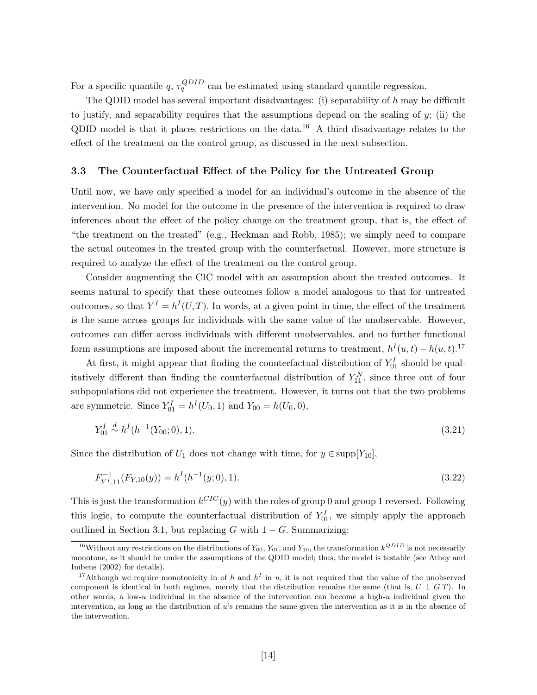For a specific quantile q,  $\tau_q^{QDID}$  can be estimated using standard quantile regression.

The QDID model has several important disadvantages: (i) separability of  $h$  may be difficult to justify, and separability requires that the assumptions depend on the scaling of  $y$ ; (ii) the QDID model is that it places restrictions on the data.<sup>16</sup> A third disadvantage relates to the effect of the treatment on the control group, as discussed in the next subsection.

#### **3.3 The Counterfactual Effect of the Policy for the Untreated Group**

Until now, we have only specified a model for an individual's outcome in the absence of the intervention. No model for the outcome in the presence of the intervention is required to draw inferences about the effect of the policy change on the treatment group, that is, the effect of "the treatment on the treated" (e.g., Heckman and Robb, 1985); we simply need to compare the actual outcomes in the treated group with the counterfactual. However, more structure is required to analyze the effect of the treatment on the control group.

Consider augmenting the CIC model with an assumption about the treated outcomes. It seems natural to specify that these outcomes follow a model analogous to that for untreated outcomes, so that  $Y^I = h^I(U,T)$ . In words, at a given point in time, the effect of the treatment is the same across groups for individuals with the same value of the unobservable. However, outcomes can differ across individuals with different unobservables, and no further functional form assumptions are imposed about the incremental returns to treatment,  $h^I(u, t) - h(u, t)$ .<sup>17</sup>

At first, it might appear that finding the counterfactual distribution of  $Y_{01}^I$  should be qualitatively different than finding the counterfactual distribution of  $Y_{11}^N$ , since three out of four subpopulations did not experience the treatment. However, it turns out that the two problems are symmetric. Since  $Y_{01}^I = h^I(U_0, 1)$  and  $Y_{00} = h(U_0, 0)$ ,

$$
Y_{01}^I \stackrel{d}{\sim} h^I(h^{-1}(Y_{00};0),1). \tag{3.21}
$$

Since the distribution of  $U_1$  does not change with time, for  $y \in \text{supp}[Y_{10}]$ ,

$$
F_{Y^I,11}^{-1}(F_{Y,10}(y)) = h^I(h^{-1}(y;0),1).
$$
\n(3.22)

This is just the transformation  $k^{CIC}(y)$  with the roles of group 0 and group 1 reversed. Following this logic, to compute the counterfactual distribution of  $Y_{01}^I$ , we simply apply the approach outlined in Section 3.1, but replacing  $G$  with  $1 - G$ . Summarizing:

<sup>&</sup>lt;sup>16</sup>Without any restrictions on the distributions of  $Y_{00}$ ,  $Y_{01}$ , and  $Y_{10}$ , the transformation  $k^{QDID}$  is not necessarily monotone, as it should be under the assumptions of the QDID model; thus, the model is testable (see Athey and Imbens (2002) for details).

<sup>&</sup>lt;sup>17</sup>Although we require monotonicity in of h and  $h^I$  in u, it is not required that the value of the unobserved component is identical in both regimes, merely that the distribution remains the same (that is,  $U \perp G(T)$ . In other words, a low-u individual in the absence of the intervention can become a high-u individual given the intervention, as long as the distribution of u's remains the same given the intervention as it is in the absence of the intervention.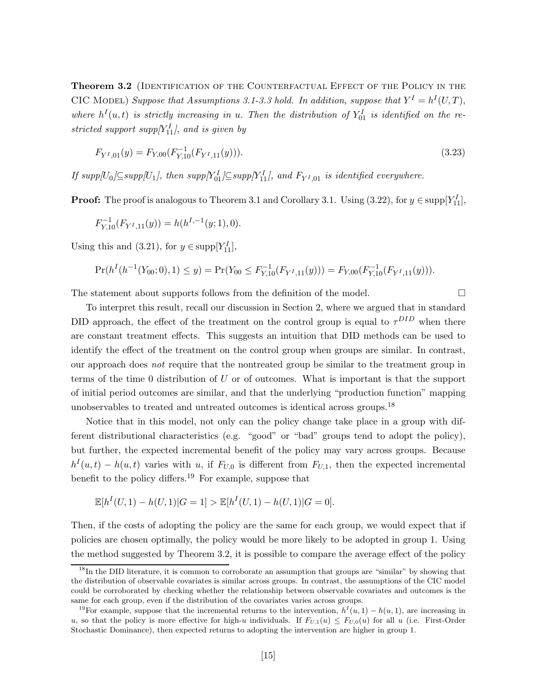Theorem 3.2 (IDENTIFICATION OF THE COUNTERFACTUAL EFFECT OF THE POLICY IN THE CIC MODEL) Suppose that Assumptions 3.1-3.3 hold. In addition, suppose that  $Y^I = h^I(U, T)$ , where  $h^I(u,t)$  is strictly increasing in *u*. Then the distribution of  $Y_{01}^I$  is identified on the re- $\frac{sqrt{M}}{11}$ , and *is given by* 

$$
F_{Y^I,01}(y) = F_{Y,00}(F_{Y,10}^{-1}(F_{Y^I,11}(y))).
$$
\n(3.23)

 $\iint supp[U_0] \subseteq supp[U_1]$ , then  $supp[Y_0^I] \subseteq supp[Y_{11}^I]$ , and  $F_{Y^I,01}$  is identified everywhere.

**Proof:** The proof is analogous to Theorem 3.1 and Corollary 3.1. Using  $(3.22)$ , for  $y \in \text{supp}[Y_{11}^I]$ ,

$$
F_{Y,10}^{-1}(F_{Y^I,11}(y)) = h(h^{I,-1}(y;1),0).
$$

Using this and (3.21), for  $y \in \text{supp}[Y_{11}^I],$ 

$$
\Pr(h^I(h^{-1}(Y_{00};0),1) \le y) = \Pr(Y_{00} \le F_{Y,10}^{-1}(F_{Y^I,11}(y))) = F_{Y,00}(F_{Y,10}^{-1}(F_{Y^I,11}(y))).
$$

The statement about supports follows from the definition of the model.  $\Box$ 

To interpret this result, recall our discussion in Section 2, where we argued that in standard DID approach, the effect of the treatment on the control group is equal to  $\tau^{DID}$  when there are constant treatment effects. This suggests an intuition that DID methods can be used to identify the effect of the treatment on the control group when groups are similar. In contrast, our approach does *not* require that the nontreated group be similar to the treatment group in terms of the time 0 distribution of U or of outcomes. What is important is that the support of initial period outcomes are similar, and that the underlying "production function" mapping unobservables to treated and untreated outcomes is identical across groups.<sup>18</sup>

Notice that in this model, not only can the policy change take place in a group with different distributional characteristics (e.g. "good" or "bad" groups tend to adopt the policy), but further, the expected incremental benefit of the policy may vary across groups. Because  $h<sup>I</sup>(u, t) - h(u, t)$  varies with u, if  $F<sub>U,0</sub>$  is different from  $F<sub>U,1</sub>$ , then the expected incremental benefit to the policy differs.<sup>19</sup> For example, suppose that

$$
\mathbb{E}[h^I(U,1) - h(U,1)|G = 1] > \mathbb{E}[h^I(U,1) - h(U,1)|G = 0].
$$

Then, if the costs of adopting the policy are the same for each group, we would expect that if policies are chosen optimally, the policy would be more likely to be adopted in group 1. Using the method suggested by Theorem 3.2, it is possible to compare the average effect of the policy

<sup>&</sup>lt;sup>18</sup>In the DID literature, it is common to corroborate an assumption that groups are "similar" by showing that the distribution of observable covariates is similar across groups. In contrast, the assumptions of the CIC model could be corroborated by checking whether the relationship between observable covariates and outcomes is the same for each group, even if the distribution of the covariates varies across groups.

<sup>&</sup>lt;sup>19</sup>For example, suppose that the incremental returns to the intervention,  $h^I(u, 1) - h(u, 1)$ , are increasing in u, so that the policy is more effective for high-u individuals. If  $F_{U,1}(u) \leq F_{U,0}(u)$  for all u (i.e. First-Order Stochastic Dominance), then expected returns to adopting the intervention are higher in group 1.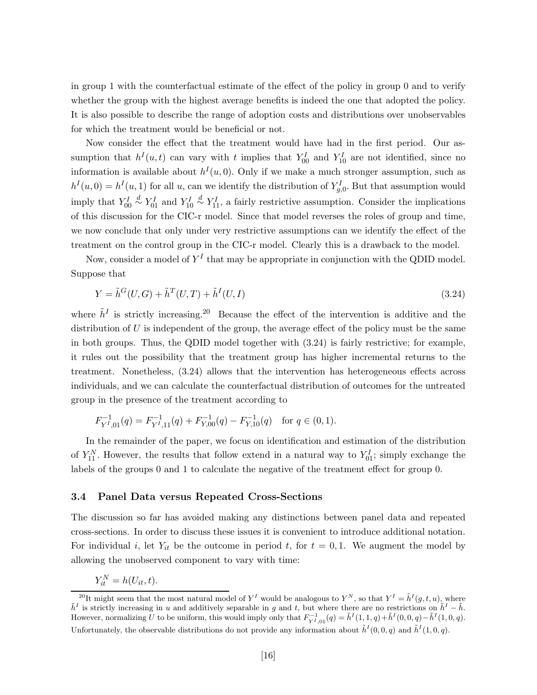in group 1 with the counterfactual estimate of the effect of the policy in group 0 and to verify whether the group with the highest average benefits is indeed the one that adopted the policy. It is also possible to describe the range of adoption costs and distributions over unobservables for which the treatment would be beneficial or not.

Now consider the effect that the treatment would have had in the first period. Our assumption that  $h^I(u,t)$  can vary with t implies that  $Y_{00}^I$  and  $Y_{10}^I$  are not identified, since no information is available about  $h^I(u, 0)$ . Only if we make a much stronger assumption, such as  $h^I(u,0) = h^I(u,1)$  for all u, can we identify the distribution of  $Y_{g,0}^I$ . But that assumption would imply that  $Y_{00}^I$  $\stackrel{d}{\sim} Y_{01}^I$  and  $Y_{10}^I$  $\overset{d}{\sim} Y_{11}^I$ , a fairly restrictive assumption. Consider the implications of this discussion for the CIC-r model. Since that model reverses the roles of group and time, we now conclude that only under very restrictive assumptions can we identify the effect of the treatment on the control group in the CIC-r model. Clearly this is a drawback to the model.

Now, consider a model of  $Y<sup>I</sup>$  that may be appropriate in conjunction with the QDID model. Suppose that

$$
Y = \tilde{h}^G(U, G) + \tilde{h}^T(U, T) + \tilde{h}^I(U, I)
$$
\n(3.24)

where  $\tilde{h}^I$  is strictly increasing.<sup>20</sup> Because the effect of the intervention is additive and the distribution of  $U$  is independent of the group, the average effect of the policy must be the same in both groups. Thus, the QDID model together with (3.24) is fairly restrictive; for example, it rules out the possibility that the treatment group has higher incremental returns to the treatment. Nonetheless, (3.24) allows that the intervention has heterogeneous effects across individuals, and we can calculate the counterfactual distribution of outcomes for the untreated group in the presence of the treatment according to

$$
F_{Y^I,01}^{-1}(q) = F_{Y^I,11}^{-1}(q) + F_{Y,00}^{-1}(q) - F_{Y,10}^{-1}(q) \text{ for } q \in (0,1).
$$

In the remainder of the paper, we focus on identification and estimation of the distribution of  $Y_{11}^N$ . However, the results that follow extend in a natural way to  $Y_{01}^I$ ; simply exchange the labels of the groups 0 and 1 to calculate the negative of the treatment effect for group 0.

#### **3.4 Panel Data versus Repeated Cross-Sections**

The discussion so far has avoided making any distinctions between panel data and repeated cross-sections. In order to discuss these issues it is convenient to introduce additional notation. For individual i, let  $Y_{it}$  be the outcome in period t, for  $t = 0, 1$ . We augment the model by allowing the unobserved component to vary with time:

$$
Y_{it}^N = h(U_{it}, t).
$$

<sup>&</sup>lt;sup>20</sup>It might seem that the most natural model of  $Y^I$  would be analogous to  $Y^N$ , so that  $Y^I = \tilde{h}^I(g, t, u)$ , where  $\tilde{h}^I$  is strictly increasing in u and additively separable in g and t, but where there are no restrictions on  $\tilde{h}^I - \tilde{h}$ . However, normalizing U to be uniform, this would imply only that  $F_{Y^I,01}^{-1}(q) = \tilde{h}^I(1,1,q) + \tilde{h}^I(0,0,q) - \tilde{h}^I(1,0,q)$ . Unfortunately, the observable distributions do not provide any information about  $\tilde{h}^I(0, 0, q)$  and  $\tilde{h}^I(1, 0, q)$ .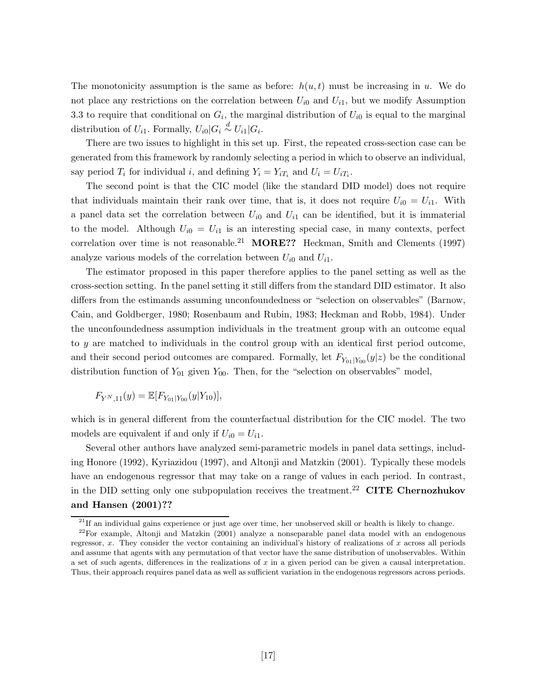The monotonicity assumption is the same as before:  $h(u, t)$  must be increasing in u. We do not place any restrictions on the correlation between  $U_{i0}$  and  $U_{i1}$ , but we modify Assumption 3.3 to require that conditional on  $G_i$ , the marginal distribution of  $U_{i0}$  is equal to the marginal distribution of  $U_{i1}$ . Formally,  $U_{i0}|G_i \stackrel{d}{\sim} U_{i1}|G_i$ .

There are two issues to highlight in this set up. First, the repeated cross-section case can be generated from this framework by randomly selecting a period in which to observe an individual, say period  $T_i$  for individual i, and defining  $Y_i = Y_{iT_i}$  and  $U_i = U_{iT_i}$ .

The second point is that the CIC model (like the standard DID model) does not require that individuals maintain their rank over time, that is, it does not require  $U_{i0} = U_{i1}$ . With a panel data set the correlation between  $U_{i0}$  and  $U_{i1}$  can be identified, but it is immaterial to the model. Although  $U_{i0} = U_{i1}$  is an interesting special case, in many contexts, perfect correlation over time is not reasonable.<sup>21</sup> **MORE??** Heckman, Smith and Clements (1997) analyze various models of the correlation between  $U_{i0}$  and  $U_{i1}$ .

The estimator proposed in this paper therefore applies to the panel setting as well as the cross-section setting. In the panel setting it still differs from the standard DID estimator. It also differs from the estimands assuming unconfoundedness or "selection on observables" (Barnow, Cain, and Goldberger, 1980; Rosenbaum and Rubin, 1983; Heckman and Robb, 1984). Under the unconfoundedness assumption individuals in the treatment group with an outcome equal to y are matched to individuals in the control group with an identical first period outcome, and their second period outcomes are compared. Formally, let  $F_{Y_{01}|Y_{00}}(y|z)$  be the conditional distribution function of  $Y_{01}$  given  $Y_{00}$ . Then, for the "selection on observables" model,

$$
F_{Y^N,11}(y) = \mathbb{E}[F_{Y_{01}|Y_{00}}(y|Y_{10})],
$$

which is in general different from the counterfactual distribution for the CIC model. The two models are equivalent if and only if  $U_{i0} = U_{i1}$ .

Several other authors have analyzed semi-parametric models in panel data settings, including Honore (1992), Kyriazidou (1997), and Altonji and Matzkin (2001). Typically these models have an endogenous regressor that may take on a range of values in each period. In contrast, in the DID setting only one subpopulation receives the treatment.<sup>22</sup> **CITE Chernozhukov and Hansen (2001)??**

<sup>&</sup>lt;sup>21</sup>If an individual gains experience or just age over time, her unobserved skill or health is likely to change.

<sup>&</sup>lt;sup>22</sup>For example, Altonji and Matzkin  $(2001)$  analyze a nonseparable panel data model with an endogenous regressor,  $x$ . They consider the vector containing an individual's history of realizations of  $x$  across all periods and assume that agents with any permutation of that vector have the same distribution of unobservables. Within a set of such agents, differences in the realizations of x in a given period can be given a causal interpretation. Thus, their approach requires panel data as well as sufficient variation in the endogenous regressors across periods.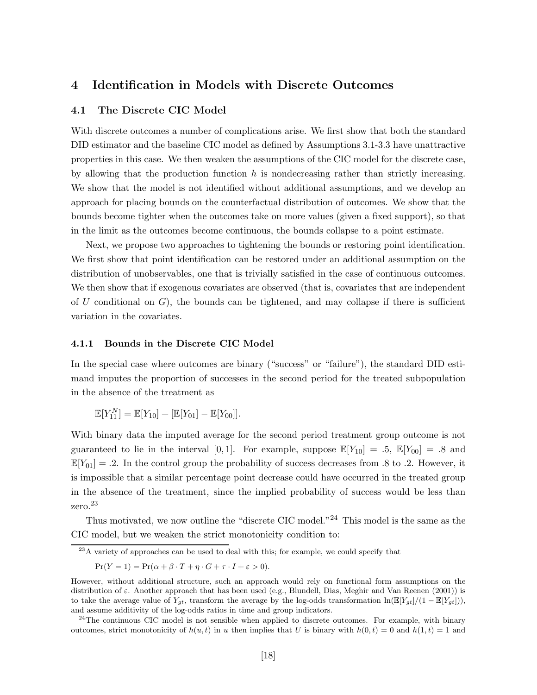# **4 Identification in Models with Discrete Outcomes**

#### **4.1 The Discrete CIC Model**

With discrete outcomes a number of complications arise. We first show that both the standard DID estimator and the baseline CIC model as defined by Assumptions 3.1-3.3 have unattractive properties in this case. We then weaken the assumptions of the CIC model for the discrete case, by allowing that the production function  $h$  is nondecreasing rather than strictly increasing. We show that the model is not identified without additional assumptions, and we develop an approach for placing bounds on the counterfactual distribution of outcomes. We show that the bounds become tighter when the outcomes take on more values (given a fixed support), so that in the limit as the outcomes become continuous, the bounds collapse to a point estimate.

Next, we propose two approaches to tightening the bounds or restoring point identification. We first show that point identification can be restored under an additional assumption on the distribution of unobservables, one that is trivially satisfied in the case of continuous outcomes. We then show that if exogenous covariates are observed (that is, covariates that are independent of U conditional on  $G$ , the bounds can be tightened, and may collapse if there is sufficient variation in the covariates.

#### **4.1.1 Bounds in the Discrete CIC Model**

In the special case where outcomes are binary ("success" or "failure"), the standard DID estimand imputes the proportion of successes in the second period for the treated subpopulation in the absence of the treatment as

$$
\mathbb{E}[Y_{11}^N] = \mathbb{E}[Y_{10}] + [\mathbb{E}[Y_{01}] - \mathbb{E}[Y_{00}]].
$$

With binary data the imputed average for the second period treatment group outcome is not guaranteed to lie in the interval [0,1]. For example, suppose  $\mathbb{E}[Y_{10}] = .5, \mathbb{E}[Y_{00}] = .8$  and  $\mathbb{E}[Y_{01}] = .2$ . In the control group the probability of success decreases from .8 to .2. However, it is impossible that a similar percentage point decrease could have occurred in the treated group in the absence of the treatment, since the implied probability of success would be less than zero.<sup>23</sup>

Thus motivated, we now outline the "discrete CIC model."<sup>24</sup> This model is the same as the CIC model, but we weaken the strict monotonicity condition to:

$$
\Pr(Y=1) = \Pr(\alpha + \beta \cdot T + \eta \cdot G + \tau \cdot I + \varepsilon > 0).
$$

 $\sqrt[23]{23}A$  variety of approaches can be used to deal with this; for example, we could specify that

However, without additional structure, such an approach would rely on functional form assumptions on the distribution of ε. Another approach that has been used (e.g., Blundell, Dias, Meghir and Van Reenen (2001)) is to take the average value of  $Y_{qt}$ , transform the average by the log-odds transformation  $\ln(\mathbb{E}[Y_{qt}]/(1 - \mathbb{E}[Y_{qt}]))$ , and assume additivity of the log-odds ratios in time and group indicators.

 $24$ The continuous CIC model is not sensible when applied to discrete outcomes. For example, with binary outcomes, strict monotonicity of  $h(u, t)$  in u then implies that U is binary with  $h(0, t) = 0$  and  $h(1, t) = 1$  and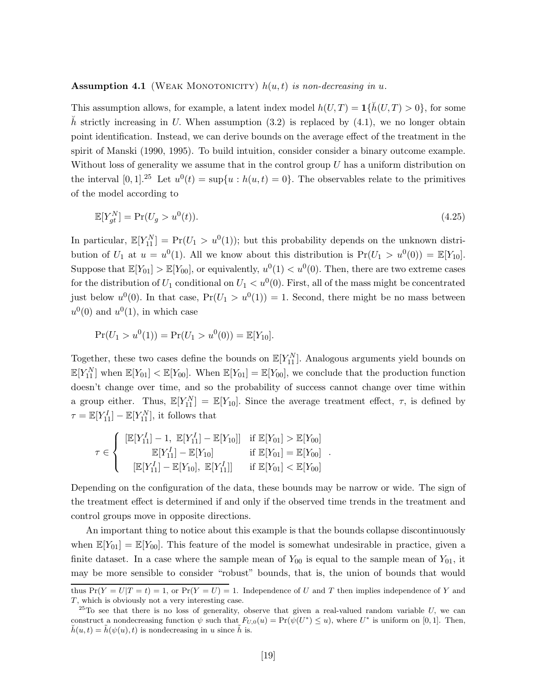#### **Assumption 4.1** (WEAK MONOTONICITY)  $h(u, t)$  *is non-decreasing in*  $u$ .

This assumption allows, for example, a latent index model  $h(U,T) = \mathbf{1}\{\tilde{h}(U,T) > 0\}$ , for some h strictly increasing in U. When assumption (3.2) is replaced by  $(4.1)$ , we no longer obtain point identification. Instead, we can derive bounds on the average effect of the treatment in the spirit of Manski (1990, 1995). To build intuition, consider consider a binary outcome example. Without loss of generality we assume that in the control group  $U$  has a uniform distribution on the interval  $[0, 1]$ .<sup>25</sup> Let  $u^0(t) = \sup\{u : h(u, t) = 0\}$ . The observables relate to the primitives of the model according to

$$
\mathbb{E}[Y_{gt}^N] = \Pr(U_g > u^0(t)).\tag{4.25}
$$

In particular,  $\mathbb{E}[Y_{11}^N] = \Pr(U_1 > u^0(1))$ ; but this probability depends on the unknown distribution of  $U_1$  at  $u = u^0(1)$ . All we know about this distribution is  $Pr(U_1 > u^0(0)) = \mathbb{E}[Y_{10}]$ . Suppose that  $\mathbb{E}[Y_{01}] > \mathbb{E}[Y_{00}]$ , or equivalently,  $u^0(1) < u^0(0)$ . Then, there are two extreme cases for the distribution of  $U_1$  conditional on  $U_1 < u^0(0)$ . First, all of the mass might be concentrated just below  $u^0(0)$ . In that case,  $Pr(U_1 > u^0(1)) = 1$ . Second, there might be no mass between  $u^0(0)$  and  $u^0(1)$ , in which case

$$
Pr(U_1 > u^0(1)) = Pr(U_1 > u^0(0)) = \mathbb{E}[Y_{10}].
$$

Together, these two cases define the bounds on  $\mathbb{E}[Y_{11}^N]$ . Analogous arguments yield bounds on  $\mathbb{E}[Y_{11}^N]$  when  $\mathbb{E}[Y_{01}] < \mathbb{E}[Y_{00}]$ . When  $\mathbb{E}[Y_{01}] = \mathbb{E}[Y_{00}]$ , we conclude that the production function doesn't change over time, and so the probability of success cannot change over time within a group either. Thus,  $\mathbb{E}[Y_{11}^N] = \mathbb{E}[Y_{10}]$ . Since the average treatment effect,  $\tau$ , is defined by  $\tau = \mathbb{E}[Y_{11}^I] - \mathbb{E}[Y_{11}^N]$ , it follows that

$$
\tau \in \left\{ \begin{array}{ll} [\mathbb{E}[Y_{11}^I] - 1, \ \mathbb{E}[Y_{11}^I] - \mathbb{E}[Y_{10}]] & \text{if } \mathbb{E}[Y_{01}] > \mathbb{E}[Y_{00}] \\ \mathbb{E}[Y_{11}^I] - \mathbb{E}[Y_{10}] & \text{if } \mathbb{E}[Y_{01}] = \mathbb{E}[Y_{00}] \\ [\mathbb{E}[Y_{11}^I] - \mathbb{E}[Y_{10}], \ \mathbb{E}[Y_{11}^I]] & \text{if } \mathbb{E}[Y_{01}] < \mathbb{E}[Y_{00}] \end{array} \right..
$$

Depending on the configuration of the data, these bounds may be narrow or wide. The sign of the treatment effect is determined if and only if the observed time trends in the treatment and control groups move in opposite directions.

An important thing to notice about this example is that the bounds collapse discontinuously when  $\mathbb{E}[Y_{01}] = \mathbb{E}[Y_{00}]$ . This feature of the model is somewhat undesirable in practice, given a finite dataset. In a case where the sample mean of  $Y_{00}$  is equal to the sample mean of  $Y_{01}$ , it may be more sensible to consider "robust" bounds, that is, the union of bounds that would thus  $Pr(Y = U|T = t) = 1$ , or  $Pr(Y = U) = 1$ . Independence of U and T then implies independence of Y and

T, which is obviously not a very interesting case.

 $^{25}$ To see that there is no loss of generality, observe that given a real-valued random variable U, we can construct a nondecreasing function  $\psi$  such that  $F_{U,0}(u) = \Pr(\psi(U^*) \le u)$ , where  $U^*$  is uniform on [0, 1]. Then,  $h(u, t) = h(\psi(u), t)$  is nondecreasing in u since h is.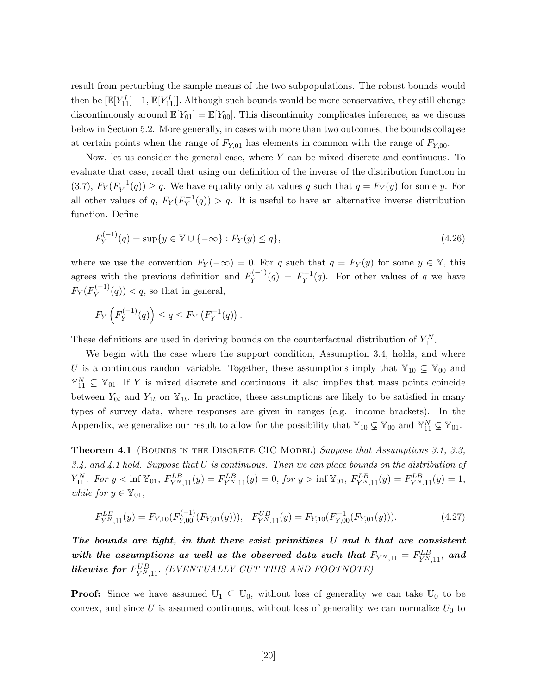result from perturbing the sample means of the two subpopulations. The robust bounds would then be  $[\mathbb{E}[Y_{11}^I]-1, \mathbb{E}[Y_{11}^I]].$  Although such bounds would be more conservative, they still change discontinuously around  $\mathbb{E}[Y_{01}] = \mathbb{E}[Y_{00}]$ . This discontinuity complicates inference, as we discuss below in Section 5.2. More generally, in cases with more than two outcomes, the bounds collapse at certain points when the range of  $F_{Y,01}$  has elements in common with the range of  $F_{Y,00}$ .

Now, let us consider the general case, where  $Y$  can be mixed discrete and continuous. To evaluate that case, recall that using our definition of the inverse of the distribution function in (3.7),  $F_Y(F_Y^{-1}(q)) \ge q$ . We have equality only at values q such that  $q = F_Y(y)$  for some y. For all other values of q,  $F_Y(F_Y^{-1}(q)) > q$ . It is useful to have an alternative inverse distribution function. Define

$$
F_Y^{(-1)}(q) = \sup\{y \in \mathbb{Y} \cup \{-\infty\} : F_Y(y) \le q\},\tag{4.26}
$$

where we use the convention  $F_Y(-\infty)=0$ . For q such that  $q = F_Y(y)$  for some  $y \in \mathbb{Y}$ , this agrees with the previous definition and  $F_Y^{(-1)}(q) = F_Y^{-1}(q)$ . For other values of q we have  $F_Y(F_Y^{(-1)}(q)) < q$ , so that in general,

$$
F_Y\left(F_Y^{(-1)}(q)\right) \le q \le F_Y\left(F_Y^{-1}(q)\right).
$$

These definitions are used in deriving bounds on the counterfactual distribution of  $Y_{11}^N$ .

We begin with the case where the support condition, Assumption 3.4, holds, and where U is a continuous random variable. Together, these assumptions imply that  $\mathbb{Y}_{10} \subseteq \mathbb{Y}_{00}$  and  $\mathbb{Y}_{11}^N \subseteq \mathbb{Y}_{01}$ . If Y is mixed discrete and continuous, it also implies that mass points coincide between  $Y_{0t}$  and  $Y_{1t}$  on  $\mathbb{Y}_{1t}$ . In practice, these assumptions are likely to be satisfied in many types of survey data, where responses are given in ranges (e.g. income brackets). In the Appendix, we generalize our result to allow for the possibility that  $\mathbb{Y}_{10} \subsetneq \mathbb{Y}_{00}$  and  $\mathbb{Y}_{11}^N \subsetneq \mathbb{Y}_{01}$ .

**Theorem 4.1** (BOUNDS IN THE DISCRETE CIC MODEL) *Suppose that Assumptions 3.1, 3.3, 3.4, and 4.1 hold. Suppose that* U *is continuous. Then we can place bounds on the distribution of*  $Y_{11}^N$ . For  $y < \inf \mathbb{Y}_{01}$ ,  $F_{Y^N,11}^{LB}(y) = F_{Y^N,11}^{LB}(y) = 0$ , for  $y > \inf \mathbb{Y}_{01}$ ,  $F_{Y^N,11}^{LB}(y) = F_{Y^N,11}^{LB}(y) = 1$ , *while for*  $y \in \mathbb{Y}_{01}$ ,

$$
F_{Y^N,11}^{LB}(y) = F_{Y,10}(F_{Y,00}^{(-1)}(F_{Y,01}(y))), \quad F_{Y^N,11}^{UB}(y) = F_{Y,10}(F_{Y,00}^{-1}(F_{Y,01}(y))).
$$
\n(4.27)

*The bounds are tight, in that there exist primitives U and h that are consistent*  $with\ the\ assumptions\ as\ well\ as\ the\ observed\ data\ such\ that\ F_{Y^N,11}=F_{Y^N,11}^{LB},\ and$  $\bm{likewise~for~}F^{UB}_{Y^N,11}.~\bm{(EVENTUALLY~CUT~THIS~AND~FOOTNOTE)}$ 

**Proof:** Since we have assumed  $\mathbb{U}_1 \subseteq \mathbb{U}_0$ , without loss of generality we can take  $\mathbb{U}_0$  to be convex, and since  $U$  is assumed continuous, without loss of generality we can normalize  $U_0$  to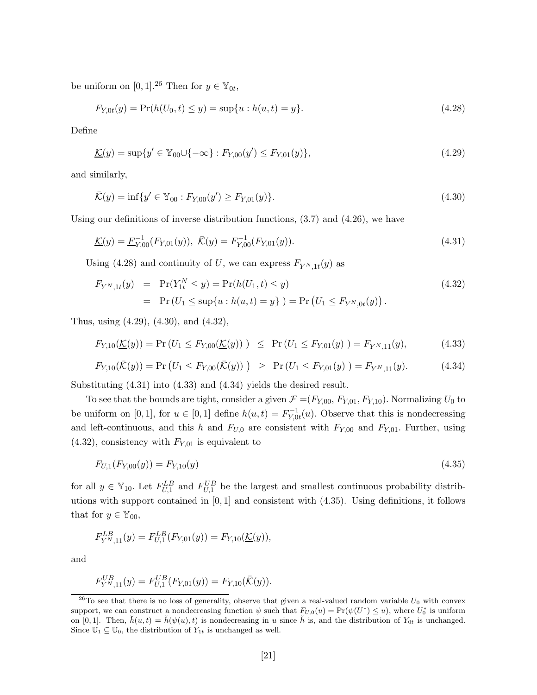be uniform on [0, 1].<sup>26</sup> Then for  $y \in \mathbb{Y}_{0t}$ ,

$$
F_{Y,0t}(y) = \Pr(h(U_0, t) \le y) = \sup\{u : h(u, t) = y\}.
$$
\n(4.28)

Define

$$
\underline{\mathcal{K}}(y) = \sup \{ y' \in \mathbb{Y}_{00} \cup \{ -\infty \} : F_{Y,00}(y') \le F_{Y,01}(y) \},\tag{4.29}
$$

and similarly,

$$
\bar{\mathcal{K}}(y) = \inf \{ y' \in \mathbb{Y}_{00} : F_{Y,00}(y') \ge F_{Y,01}(y) \}. \tag{4.30}
$$

Using our definitions of inverse distribution functions,  $(3.7)$  and  $(4.26)$ , we have

$$
\underline{\mathcal{K}}(y) = \underline{F}_{Y,00}^{-1}(F_{Y,01}(y)), \ \overline{\mathcal{K}}(y) = F_{Y,00}^{-1}(F_{Y,01}(y)). \tag{4.31}
$$

Using (4.28) and continuity of U, we can express  $F_{Y^{N},1t}(y)$  as

$$
F_{Y^N,1t}(y) = \Pr(Y_{1t}^N \le y) = \Pr(h(U_1, t) \le y)
$$
  
=  $\Pr(U_1 \le \sup\{u : h(u, t) = y\}) = \Pr(U_1 \le F_{Y^N,0t}(y)).$  (4.32)

Thus, using (4.29), (4.30), and (4.32),

$$
F_{Y,10}(\underline{\mathcal{K}}(y)) = \Pr\left(U_1 \le F_{Y,00}(\underline{\mathcal{K}}(y))\right) \le \Pr\left(U_1 \le F_{Y,01}(y)\right) = F_{Y^N,11}(y),\tag{4.33}
$$

$$
F_{Y,10}(\bar{\mathcal{K}}(y)) = \Pr\left(U_1 \le F_{Y,00}(\bar{\mathcal{K}}(y))\right) \ge \Pr\left(U_1 \le F_{Y,01}(y)\right) = F_{Y^N,11}(y). \tag{4.34}
$$

Substituting (4.31) into (4.33) and (4.34) yields the desired result.

To see that the bounds are tight, consider a given  $\mathcal{F} = (F_{Y,00}, F_{Y,01}, F_{Y,10})$ . Normalizing  $U_0$  to be uniform on [0, 1], for  $u \in [0, 1]$  define  $h(u, t) = F_{Y, 0t}^{-1}(u)$ . Observe that this is nondecreasing and left-continuous, and this h and  $F_{U,0}$  are consistent with  $F_{Y,00}$  and  $F_{Y,01}$ . Further, using  $(4.32)$ , consistency with  $F_{Y,01}$  is equivalent to

$$
F_{U,1}(F_{Y,00}(y)) = F_{Y,10}(y)
$$
\n<sup>(4.35)</sup>

for all  $y \in \mathbb{Y}_{10}$ . Let  $F_{U,1}^{LB}$  and  $F_{U,1}^{UB}$  be the largest and smallest continuous probability distributions with support contained in  $[0, 1]$  and consistent with  $(4.35)$ . Using definitions, it follows that for  $y \in \mathbb{Y}_{00}$ ,

$$
F_{Y^N,11}^{LB}(y) = F_{U,1}^{LB}(F_{Y,01}(y)) = F_{Y,10}(\underline{\mathcal{K}}(y)),
$$

and

$$
F_{Y^N,11}^{UB}(y) = F_{U,1}^{UB}(F_{Y,01}(y)) = F_{Y,10}(\bar{\mathcal{K}}(y)).
$$

 $^{26}$ To see that there is no loss of generality, observe that given a real-valued random variable  $U_0$  with convex support, we can construct a nondecreasing function  $\psi$  such that  $F_{U,0}(u) = \Pr(\psi(U^*) \leq u)$ , where  $U_0^*$  is uniform on [0, 1]. Then,  $\check{h}(u, t) = \tilde{h}(\psi(u), t)$  is nondecreasing in u since  $\tilde{h}$  is, and the distribution of  $Y_{0t}$  is unchanged. Since  $\mathbb{U}_1 \subseteq \mathbb{U}_0$ , the distribution of  $Y_{1t}$  is unchanged as well.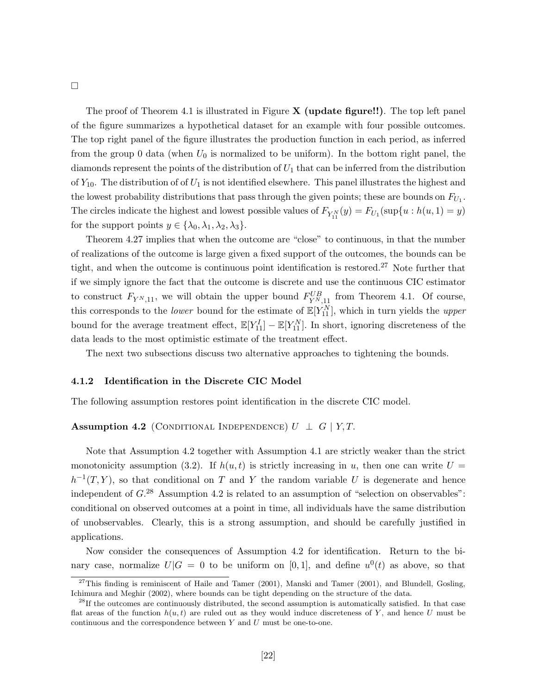The proof of Theorem 4.1 is illustrated in Figure **X (update figure!!)**. The top left panel of the figure summarizes a hypothetical dataset for an example with four possible outcomes. The top right panel of the figure illustrates the production function in each period, as inferred from the group 0 data (when  $U_0$  is normalized to be uniform). In the bottom right panel, the diamonds represent the points of the distribution of  $U_1$  that can be inferred from the distribution of  $Y_{10}$ . The distribution of of  $U_1$  is not identified elsewhere. This panel illustrates the highest and the lowest probability distributions that pass through the given points; these are bounds on  $F_{U_1}$ . The circles indicate the highest and lowest possible values of  $F_{Y_{11}^N}(y) = F_{U_1}(\sup\{u : h(u, 1) = y\})$ for the support points  $y \in {\lambda_0, \lambda_1, \lambda_2, \lambda_3}.$ 

Theorem 4.27 implies that when the outcome are "close" to continuous, in that the number of realizations of the outcome is large given a fixed support of the outcomes, the bounds can be tight, and when the outcome is continuous point identification is restored.<sup>27</sup> Note further that if we simply ignore the fact that the outcome is discrete and use the continuous CIC estimator to construct  $F_{Y^{N},11}$ , we will obtain the upper bound  $F_{Y^{N},11}^{UB}$  from Theorem 4.1. Of course, this corresponds to the *lower* bound for the estimate of  $\mathbb{E}[Y_{11}^N]$ , which in turn yields the *upper* bound for the average treatment effect,  $\mathbb{E}[Y_{11}^I] - \mathbb{E}[Y_{11}^N]$ . In short, ignoring discreteness of the data leads to the most optimistic estimate of the treatment effect.

The next two subsections discuss two alternative approaches to tightening the bounds.

#### **4.1.2 Identification in the Discrete CIC Model**

The following assumption restores point identification in the discrete CIC model.

#### **Assumption 4.2** (CONDITIONAL INDEPENDENCE)  $U \perp G \mid Y, T$ .

Note that Assumption 4.2 together with Assumption 4.1 are strictly weaker than the strict monotonicity assumption (3.2). If  $h(u, t)$  is strictly increasing in u, then one can write  $U =$  $h^{-1}(T,Y)$ , so that conditional on T and Y the random variable U is degenerate and hence independent of  $G^{28}$  Assumption 4.2 is related to an assumption of "selection on observables": conditional on observed outcomes at a point in time, all individuals have the same distribution of unobservables. Clearly, this is a strong assumption, and should be carefully justified in applications.

Now consider the consequences of Assumption 4.2 for identification. Return to the binary case, normalize  $U|G = 0$  to be uniform on [0,1], and define  $u^0(t)$  as above, so that

 $\Box$ 

 $27$ This finding is reminiscent of Haile and Tamer (2001), Manski and Tamer (2001), and Blundell, Gosling, Ichimura and Meghir (2002), where bounds can be tight depending on the structure of the data.

<sup>&</sup>lt;sup>28</sup>If the outcomes are continuously distributed, the second assumption is automatically satisfied. In that case flat areas of the function  $h(u, t)$  are ruled out as they would induce discreteness of Y, and hence U must be continuous and the correspondence between  $Y$  and  $U$  must be one-to-one.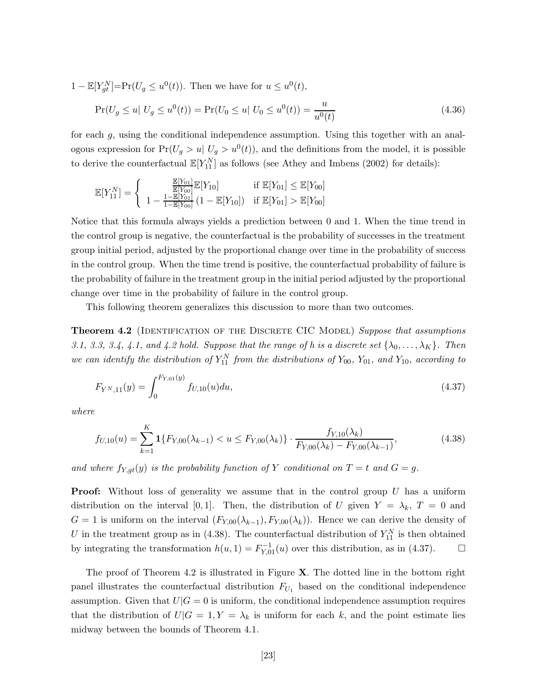$1 - \mathbb{E}[Y_{gt}^N] = Pr(U_g \leq u^0(t)).$  Then we have for  $u \leq u^0(t)$ ,

$$
\Pr(U_g \le u \mid U_g \le u^0(t)) = \Pr(U_0 \le u \mid U_0 \le u^0(t)) = \frac{u}{u^0(t)}\tag{4.36}
$$

for each g, using the conditional independence assumption. Using this together with an analogous expression for  $Pr(U_g > u | U_g > u^0(t))$ , and the definitions from the model, it is possible to derive the counterfactual  $\mathbb{E}[Y_{11}^N]$  as follows (see Athey and Imbens (2002) for details):

$$
\mathbb{E}[Y_{11}^N] = \left\{ \begin{array}{ll} \frac{\mathbb{E}[Y_{01}]}{\mathbb{E}[Y_{00}]} \mathbb{E}[Y_{10}] & \text{if } \mathbb{E}[Y_{01}] \leq \mathbb{E}[Y_{00}]\\ 1 - \frac{1 - \mathbb{E}[Y_{01}]}{1 - \mathbb{E}[Y_{00}]} \left(1 - \mathbb{E}[Y_{10}]\right) & \text{if } \mathbb{E}[Y_{01}] > \mathbb{E}[Y_{00}] \end{array} \right.
$$

Notice that this formula always yields a prediction between 0 and 1. When the time trend in the control group is negative, the counterfactual is the probability of successes in the treatment group initial period, adjusted by the proportional change over time in the probability of success in the control group. When the time trend is positive, the counterfactual probability of failure is the probability of failure in the treatment group in the initial period adjusted by the proportional change over time in the probability of failure in the control group.

This following theorem generalizes this discussion to more than two outcomes.

**Theorem 4.2** (IDENTIFICATION OF THE DISCRETE CIC MODEL) *Suppose that assumptions 3.1, 3.3, 3.4, 4.1, and 4.2 hold. Suppose that the range of h is a discrete set*  $\{\lambda_0, \ldots, \lambda_K\}$ *. Then we can identify the distribution of*  $Y_{11}^N$  *from the distributions of*  $Y_{00}$ *,*  $Y_{01}$ *, and*  $Y_{10}$ *, according to* 

$$
F_{Y^N,11}(y) = \int_0^{F_{Y,01}(y)} f_{U,10}(u) du,
$$
\n(4.37)

*where*

$$
f_{U,10}(u) = \sum_{k=1}^{K} \mathbf{1} \{ F_{Y,00}(\lambda_{k-1}) < u \leq F_{Y,00}(\lambda_k) \} \cdot \frac{f_{Y,10}(\lambda_k)}{F_{Y,00}(\lambda_k) - F_{Y,00}(\lambda_{k-1})},\tag{4.38}
$$

and where  $f_{Y,gt}(y)$  is the probability function of Y conditional on  $T = t$  and  $G = g$ .

**Proof:** Without loss of generality we assume that in the control group U has a uniform distribution on the interval [0, 1]. Then, the distribution of U given  $Y = \lambda_k$ ,  $T = 0$  and  $G = 1$  is uniform on the interval  $(F_{Y,00}(\lambda_{k-1}), F_{Y,00}(\lambda_k))$ . Hence we can derive the density of U in the treatment group as in (4.38). The counterfactual distribution of  $Y_{11}^N$  is then obtained by integrating the transformation  $h(u, 1) = F_{Y,01}^{-1}(u)$  over this distribution, as in (4.37).  $\Box$ 

The proof of Theorem 4.2 is illustrated in Figure **X**. The dotted line in the bottom right panel illustrates the counterfactual distribution  $F_{U_1}$  based on the conditional independence assumption. Given that  $U|G = 0$  is uniform, the conditional independence assumption requires that the distribution of  $U|G = 1, Y = \lambda_k$  is uniform for each k, and the point estimate lies midway between the bounds of Theorem 4.1.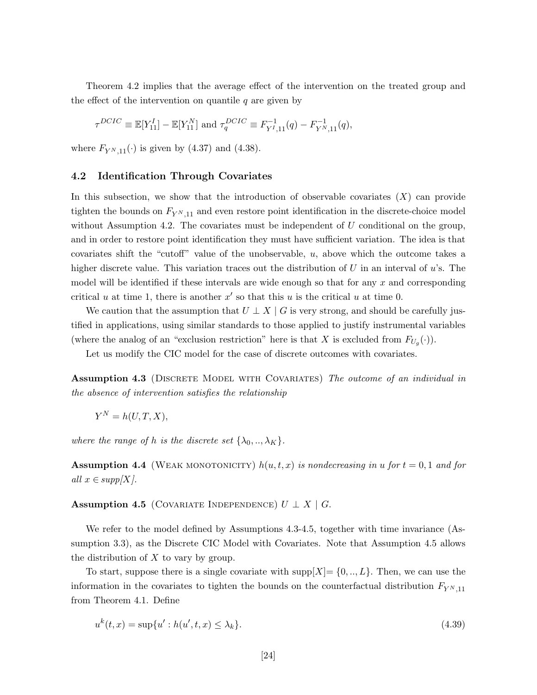Theorem 4.2 implies that the average effect of the intervention on the treated group and the effect of the intervention on quantile  $q$  are given by

$$
\tau^{DCIC} \equiv \mathbb{E}[Y_{11}^I] - \mathbb{E}[Y_{11}^N] \text{ and } \tau_q^{DCIC} \equiv F_{Y^I,11}^{-1}(q) - F_{Y^N,11}^{-1}(q),
$$

where  $F_{Y^N,11}(\cdot)$  is given by (4.37) and (4.38).

#### **4.2 Identification Through Covariates**

In this subsection, we show that the introduction of observable covariates  $(X)$  can provide tighten the bounds on  $F_{Y^{N},11}$  and even restore point identification in the discrete-choice model without Assumption 4.2. The covariates must be independent of  $U$  conditional on the group, and in order to restore point identification they must have sufficient variation. The idea is that covariates shift the "cutoff" value of the unobservable,  $u$ , above which the outcome takes a higher discrete value. This variation traces out the distribution of U in an interval of  $u$ 's. The model will be identified if these intervals are wide enough so that for any  $x$  and corresponding critical u at time 1, there is another  $x'$  so that this u is the critical u at time 0.

We caution that the assumption that  $U \perp X \mid G$  is very strong, and should be carefully justified in applications, using similar standards to those applied to justify instrumental variables (where the analog of an "exclusion restriction" here is that X is excluded from  $F_{U_g}(\cdot)$ ).

Let us modify the CIC model for the case of discrete outcomes with covariates.

**Assumption 4.3** (DISCRETE MODEL WITH COVARIATES) The outcome of an individual in *the absence of intervention satisfies the relationship*

$$
Y^N = h(U, T, X),
$$

*where the range of* h *is the discrete set*  $\{\lambda_0, ..., \lambda_K\}$ .

**Assumption 4.4** (WEAK MONOTONICITY)  $h(u, t, x)$  *is nondecreasing in*  $u$  *for*  $t = 0, 1$  *and for all*  $x \in supp[X]$ .

**Assumption 4.5** (COVARIATE INDEPENDENCE)  $U \perp X \mid G$ .

We refer to the model defined by Assumptions 4.3-4.5, together with time invariance (Assumption 3.3), as the Discrete CIC Model with Covariates. Note that Assumption 4.5 allows the distribution of  $X$  to vary by group.

To start, suppose there is a single covariate with  $\text{supp}[X] = \{0, ..., L\}$ . Then, we can use the information in the covariates to tighten the bounds on the counterfactual distribution  $F_{Y^{N},11}$ from Theorem 4.1. Define

$$
u^{k}(t,x) = \sup\{u': h(u',t,x) \le \lambda_{k}\}.
$$
\n(4.39)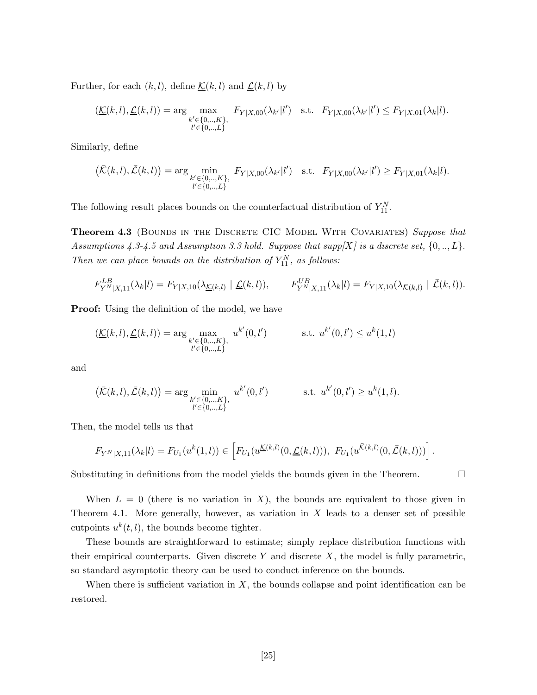Further, for each  $(k, l)$ , define  $\underline{\mathcal{K}}(k, l)$  and  $\underline{\mathcal{L}}(k, l)$  by

$$
(\underline{\mathcal{K}}(k,l), \underline{\mathcal{L}}(k,l)) = \arg \max_{\substack{k' \in \{0, \ldots, K\}, \\ l' \in \{0, \ldots, L\}}} F_{Y|X,00}(\lambda_{k'}|l') \quad \text{s.t.} \quad F_{Y|X,00}(\lambda_{k'}|l') \leq F_{Y|X,01}(\lambda_k|l).
$$

Similarly, define

$$
\left(\bar{\mathcal{K}}(k,l),\bar{\mathcal{L}}(k,l)\right) = \arg\min_{\substack{k' \in \{0,\ldots,K\},\\l' \in \{0,\ldots,L\}}} F_{Y|X,00}(\lambda_{k'}|l') \quad \text{s.t.} \quad F_{Y|X,00}(\lambda_{k'}|l') \geq F_{Y|X,01}(\lambda_k|l).
$$

The following result places bounds on the counterfactual distribution of  $Y_{11}^N$ .

**Theorem 4.3** (Bounds in the Discrete CIC Model With Covariates) *Suppose that Assumptions 4.3-4.5 and Assumption 3.3 hold. Suppose that supp[*X*] is a discrete set,* {0, .., L}. *Then we can place bounds on the distribution of*  $Y_{11}^N$ *, as follows:* 

$$
F_{Y^N|X,11}^{LB}(\lambda_k|l) = F_{Y|X,10}(\lambda_{\underline{\mathcal{K}}(k,l)} | \underline{\mathcal{L}}(k,l)), \qquad F_{Y^N|X,11}^{UB}(\lambda_k|l) = F_{Y|X,10}(\lambda_{\bar{\mathcal{K}}(k,l)} | \bar{\mathcal{L}}(k,l)).
$$

**Proof:** Using the definition of the model, we have

$$
(\underline{\mathcal{K}}(k,l), \underline{\mathcal{L}}(k,l)) = \arg \max_{\substack{k' \in \{0, \ldots, K\}, \\ l' \in \{0, \ldots, L\}}} u^{k'}(0,l') \qquad \text{s.t. } u^{k'}(0,l') \le u^k(1,l)
$$

and

$$
(\bar{\mathcal{K}}(k,l), \bar{\mathcal{L}}(k,l)) = \arg\min_{\substack{k' \in \{0, \ldots, K\}, \\ l' \in \{0, \ldots, L\}}} u^{k'}(0,l') \qquad \text{s.t. } u^{k'}(0,l') \ge u^k(1,l).
$$

Then, the model tells us that

$$
F_{Y^N|X,11}(\lambda_k|l) = F_{U_1}(u^k(1,l)) \in \left[ F_{U_1}(u^{\underline{\mathcal{K}}(k,l)}(0,\underline{\mathcal{L}}(k,l))),\ F_{U_1}(u^{\overline{\mathcal{K}}(k,l)}(0,\overline{\mathcal{L}}(k,l))) \right].
$$

Substituting in definitions from the model yields the bounds given in the Theorem.

When  $L = 0$  (there is no variation in X), the bounds are equivalent to those given in Theorem 4.1. More generally, however, as variation in  $X$  leads to a denser set of possible cutpoints  $u^k(t, l)$ , the bounds become tighter.

These bounds are straightforward to estimate; simply replace distribution functions with their empirical counterparts. Given discrete  $Y$  and discrete  $X$ , the model is fully parametric, so standard asymptotic theory can be used to conduct inference on the bounds.

When there is sufficient variation in  $X$ , the bounds collapse and point identification can be restored.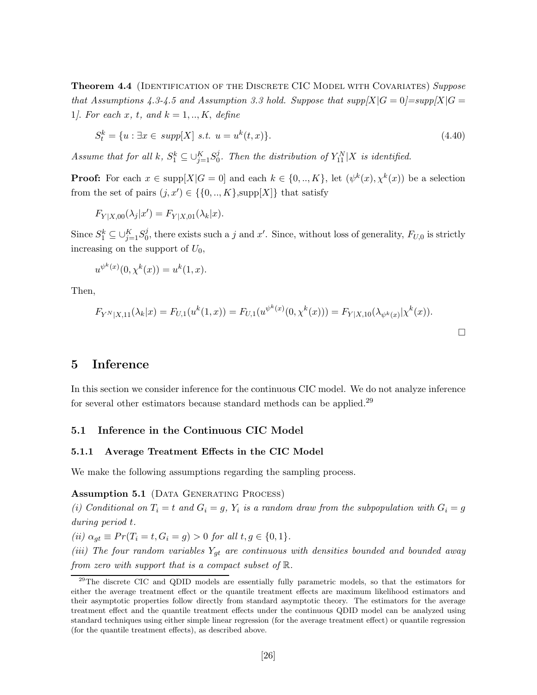**Theorem 4.4** (Identification of the Discrete CIC Model with Covariates) *Suppose that Assumptions 4.3-4.5 and Assumption 3.3 hold. Suppose that*  $supp[X|G=0]=supp[X|G=0]$ 1*]*. *For each* x*,* t*, and* k = 1, .., K, *define*

$$
S_t^k = \{u : \exists x \in \text{supp}[X] \text{ s.t. } u = u^k(t, x)\}. \tag{4.40}
$$

*Assume that for all*  $k$ *,*  $S_1^k \subseteq \bigcup_{j=1}^K S_0^j$ *. Then the distribution of*  $Y_{11}^N | X$  *is identified.* 

**Proof:** For each  $x \in \text{supp}[X|G = 0]$  and each  $k \in \{0, ..., K\}$ , let  $(\psi^k(x), \chi^k(x))$  be a selection from the set of pairs  $(j, x') \in \{\{0, ..., K\}, \text{supp}[X]\}\)$  that satisfy

$$
F_{Y|X,00}(\lambda_j|x') = F_{Y|X,01}(\lambda_k|x).
$$

Since  $S_1^k \subseteq \bigcup_{j=1}^K S_0^j$ , there exists such a j and x'. Since, without loss of generality,  $F_{U,0}$  is strictly increasing on the support of  $U_0$ ,

$$
u^{\psi^k(x)}(0, \chi^k(x)) = u^k(1, x).
$$

Then,

$$
F_{Y^N|X,11}(\lambda_k|x) = F_{U,1}(u^k(1,x)) = F_{U,1}(u^{\psi^k(x)}(0,\chi^k(x))) = F_{Y|X,10}(\lambda_{\psi^k(x)}|\chi^k(x)).
$$

# **5 Inference**

In this section we consider inference for the continuous CIC model. We do not analyze inference for several other estimators because standard methods can be applied.<sup>29</sup>

#### **5.1 Inference in the Continuous CIC Model**

#### **5.1.1 Average Treatment Effects in the CIC Model**

We make the following assumptions regarding the sampling process.

Assumption 5.1 (DATA GENERATING PROCESS)

(i) Conditional on  $T_i = t$  and  $G_i = g$ ,  $Y_i$  is a random draw from the subpopulation with  $G_i = g$ *during period* t*.*

 $(ii) \ \alpha_{qt} \equiv Pr(T_i = t, G_i = g) > 0 \ for \ all \ t, g \in \{0, 1\}.$ 

*(iii) The four random variables*  $Y_{gt}$  *are continuous with densities bounded and bounded away from zero with support that is a compact subset of* R*.*

<sup>&</sup>lt;sup>29</sup>The discrete CIC and QDID models are essentially fully parametric models, so that the estimators for either the average treatment effect or the quantile treatment effects are maximum likelihood estimators and their asymptotic properties follow directly from standard asymptotic theory. The estimators for the average treatment effect and the quantile treatment effects under the continuous QDID model can be analyzed using standard techniques using either simple linear regression (for the average treatment effect) or quantile regression (for the quantile treatment effects), as described above.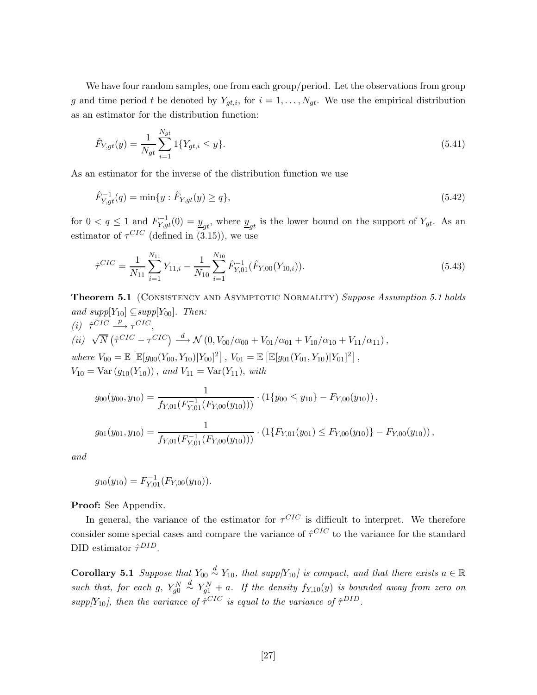We have four random samples, one from each group/period. Let the observations from group g and time period t be denoted by  $Y_{gt,i}$ , for  $i = 1, \ldots, N_{gt}$ . We use the empirical distribution as an estimator for the distribution function:

$$
\hat{F}_{Y,gt}(y) = \frac{1}{N_{gt}} \sum_{i=1}^{N_{gt}} 1\{Y_{gt,i} \le y\}.
$$
\n(5.41)

As an estimator for the inverse of the distribution function we use

$$
\hat{F}_{Y,gt}^{-1}(q) = \min\{y : \hat{F}_{Y,gt}(y) \ge q\},\tag{5.42}
$$

for  $0 < q \leq 1$  and  $F_{Y,gt}^{-1}(0) = \underline{y}_{gt}$ , where  $\underline{y}_{gt}$  is the lower bound on the support of  $Y_{gt}$ . As an estimator of  $\tau^{CIC}$  (defined in (3.15)), we use

$$
\hat{\tau}^{CIC} = \frac{1}{N_{11}} \sum_{i=1}^{N_{11}} Y_{11,i} - \frac{1}{N_{10}} \sum_{i=1}^{N_{10}} \hat{F}_{Y,01}^{-1}(\hat{F}_{Y,00}(Y_{10,i})).
$$
\n(5.43)

**Theorem 5.1** (CONSISTENCY AND ASYMPTOTIC NORMALITY) *Suppose Assumption 5.1 holds and supp*[ $Y_{10}$ ]  $\subseteq supp[Y_{00}]$ *. Then:*  $(i)$   $\hat{\tau}^{CIC} \stackrel{p}{\longrightarrow} \tau^{CIC}$ ,

(*ii*) 
$$
\sqrt{N} (\hat{\tau}^{CIC} - \tau^{CIC}) \stackrel{d}{\longrightarrow} \mathcal{N} (0, V_{00}/\alpha_{00} + V_{01}/\alpha_{01} + V_{10}/\alpha_{10} + V_{11}/\alpha_{11}),
$$
  
where  $V_{00} = \mathbb{E} [\mathbb{E}[g_{00}(Y_{00}, Y_{10}) | Y_{00}]^2], V_{01} = \mathbb{E} [\mathbb{E}[g_{01}(Y_{01}, Y_{10}) | Y_{01}]^2],$   
 $V_{10} = \text{Var}(g_{10}(Y_{10}))$ , and  $V_{11} = \text{Var}(Y_{11})$ , with

$$
g_{00}(y_{00}, y_{10}) = \frac{1}{f_{Y,01}(F_{Y,01}^{-1}(F_{Y,00}(y_{10})))} \cdot (1\{y_{00} \le y_{10}\} - F_{Y,00}(y_{10}))
$$
\n
$$
g_{01}(y_{01}, y_{10}) = \frac{1}{f_{Y,01}(F_{Y,01}^{-1}(F_{Y,00}(y_{10})))} \cdot (1\{F_{Y,01}(y_{01}) \le F_{Y,00}(y_{10})\} - F_{Y,00}(y_{10}))
$$

*and*

$$
g_{10}(y_{10}) = F_{Y,01}^{-1}(F_{Y,00}(y_{10})).
$$

**Proof:** See Appendix.

In general, the variance of the estimator for  $\tau^{CIC}$  is difficult to interpret. We therefore consider some special cases and compare the variance of  $\hat{\tau}^{CIC}$  to the variance for the standard DID estimator  $\hat{\tau}^{DID}$ .

**Corollary 5.1** *Suppose that*  $Y_{00} \overset{d}{\sim} Y_{10}$ *, that supp*[ $Y_{10}$ *] is compact, and that there exists*  $a \in \mathbb{R}$ such that, for each  $g, Y_{g0}^N$  $\overset{d}{\sim} Y_{g1}^N + a$ . If the density  $f_{Y,10}(y)$  is bounded away from zero on  $supp[Y_{10}]$ , then the variance of  $\hat{\tau}^{CIC}$  *is equal to the variance of*  $\hat{\tau}^{DID}$ .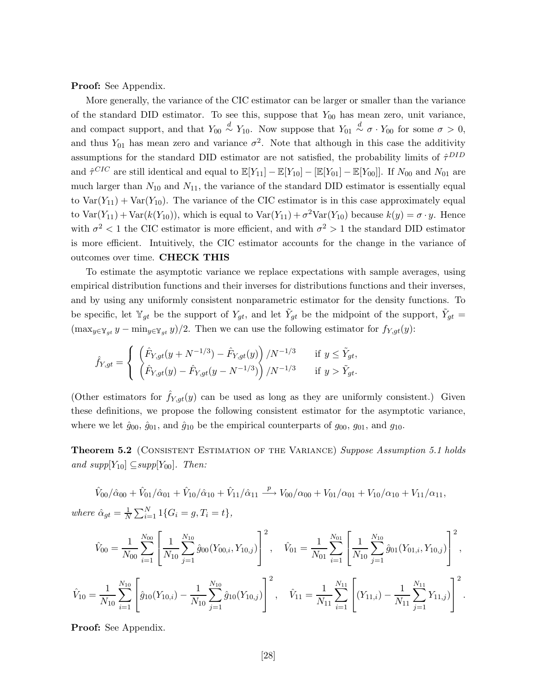**Proof:** See Appendix.

More generally, the variance of the CIC estimator can be larger or smaller than the variance of the standard DID estimator. To see this, suppose that  $Y_{00}$  has mean zero, unit variance, and compact support, and that  $Y_{00} \stackrel{d}{\sim} Y_{10}$ . Now suppose that  $Y_{01} \stackrel{d}{\sim} \sigma \cdot Y_{00}$  for some  $\sigma > 0$ , and thus  $Y_{01}$  has mean zero and variance  $\sigma^2$ . Note that although in this case the additivity assumptions for the standard DID estimator are not satisfied, the probability limits of  $\hat{\tau}^{DID}$ and  $\hat{\tau}^{CIC}$  are still identical and equal to  $\mathbb{E}[Y_{11}] - \mathbb{E}[Y_{10}] - [\mathbb{E}[Y_{01}] - \mathbb{E}[Y_{00}]]$ . If  $N_{00}$  and  $N_{01}$  are much larger than  $N_{10}$  and  $N_{11}$ , the variance of the standard DID estimator is essentially equal to  $Var(Y_{11}) + Var(Y_{10})$ . The variance of the CIC estimator is in this case approximately equal to Var $(Y_{11})$  + Var $(k(Y_{10}))$ , which is equal to Var $(Y_{11}) + \sigma^2 \text{Var}(Y_{10})$  because  $k(y) = \sigma \cdot y$ . Hence with  $\sigma^2$  < 1 the CIC estimator is more efficient, and with  $\sigma^2 > 1$  the standard DID estimator is more efficient. Intuitively, the CIC estimator accounts for the change in the variance of outcomes over time. **CHECK THIS**

To estimate the asymptotic variance we replace expectations with sample averages, using empirical distribution functions and their inverses for distributions functions and their inverses, and by using any uniformly consistent nonparametric estimator for the density functions. To be specific, let  $\mathbb{Y}_{gt}$  be the support of  $Y_{gt}$ , and let  $\tilde{Y}_{gt}$  be the midpoint of the support,  $\tilde{Y}_{gt}$  =  $(\max_{y \in Y_{gt}} y - \min_{y \in Y_{gt}} y)/2$ . Then we can use the following estimator for  $f_{Y,gt}(y)$ :

$$
\hat{f}_{Y,gt} = \begin{cases}\n\left(\hat{F}_{Y,gt}(y + N^{-1/3}) - \hat{F}_{Y,gt}(y)\right) / N^{-1/3} & \text{if } y \le \tilde{Y}_{gt}, \\
\left(\hat{F}_{Y,gt}(y) - \hat{F}_{Y,gt}(y - N^{-1/3})\right) / N^{-1/3} & \text{if } y > \tilde{Y}_{gt}.\n\end{cases}
$$

(Other estimators for  $\hat{f}_{Y,qt}(y)$  can be used as long as they are uniformly consistent.) Given these definitions, we propose the following consistent estimator for the asymptotic variance, where we let  $\hat{g}_{00}, \hat{g}_{01}$ , and  $\hat{g}_{10}$  be the empirical counterparts of  $g_{00}, g_{01}$ , and  $g_{10}$ .

**Theorem 5.2** (Consistent Estimation of the Variance) *Suppose Assumption 5.1 holds and supp*[ $Y_{10}$ ]  $\subseteq supp[Y_{00}]$ *. Then:* 

 $\hat{V}_{00}/\hat{\alpha}_{00} + \hat{V}_{01}/\hat{\alpha}_{01} + \hat{V}_{10}/\hat{\alpha}_{10} + \hat{V}_{11}/\hat{\alpha}_{11} \stackrel{p}{\longrightarrow} V_{00}/\alpha_{00} + V_{01}/\alpha_{01} + V_{10}/\alpha_{10} + V_{11}/\alpha_{11},$ where  $\hat{\alpha}_{gt} = \frac{1}{N} \sum_{i=1}^{N} 1\{G_i = g, T_i = t\},\$ 

$$
\hat{V}_{00} = \frac{1}{N_{00}} \sum_{i=1}^{N_{00}} \left[ \frac{1}{N_{10}} \sum_{j=1}^{N_{10}} \hat{g}_{00}(Y_{00,i}, Y_{10,j}) \right]^2, \quad \hat{V}_{01} = \frac{1}{N_{01}} \sum_{i=1}^{N_{01}} \left[ \frac{1}{N_{10}} \sum_{j=1}^{N_{10}} \hat{g}_{01}(Y_{01,i}, Y_{10,j}) \right]^2,
$$
  

$$
\hat{V}_{10} = \frac{1}{N_{10}} \sum_{i=1}^{N_{10}} \left[ \hat{g}_{10}(Y_{10,i}) - \frac{1}{N_{10}} \sum_{j=1}^{N_{10}} \hat{g}_{10}(Y_{10,j}) \right]^2, \quad \hat{V}_{11} = \frac{1}{N_{11}} \sum_{i=1}^{N_{11}} \left[ (Y_{11,i}) - \frac{1}{N_{11}} \sum_{j=1}^{N_{11}} Y_{11,j} \right]^2.
$$

**Proof:** See Appendix.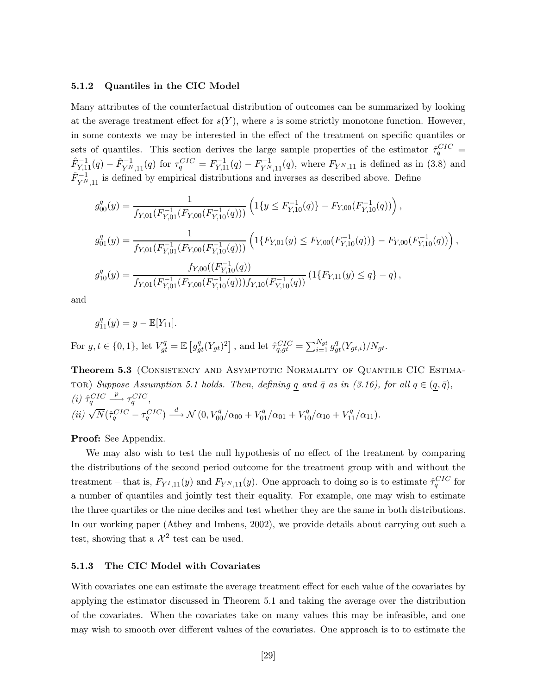#### **5.1.2 Quantiles in the CIC Model**

Many attributes of the counterfactual distribution of outcomes can be summarized by looking at the average treatment effect for  $s(Y)$ , where s is some strictly monotone function. However, in some contexts we may be interested in the effect of the treatment on specific quantiles or sets of quantiles. This section derives the large sample properties of the estimator  $\hat{\tau}_q^{CIC}$  =  $\hat{F}_{Y,11}^{-1}(q) - \hat{F}_{Y^N,11}^{-1}(q)$  for  $\tau_q^{CIC} = F_{Y,11}^{-1}(q) - F_{Y^N,11}^{-1}(q)$ , where  $F_{Y^N,11}$  is defined as in (3.8) and  $\hat{F}_{Y^N,11}^{-1}$  is defined by empirical distributions and inverses as described above. Define

$$
g_{00}^q(y) = \frac{1}{f_{Y,01}(F_{Y,01}^{-1}(F_{Y,00}(F_{Y,10}^{-1}(q)))} \left(1\{y \le F_{Y,10}^{-1}(q)\} - F_{Y,00}(F_{Y,10}^{-1}(q))\right),
$$
  
\n
$$
g_{01}^q(y) = \frac{1}{f_{Y,01}(F_{Y,01}^{-1}(F_{Y,00}(F_{Y,10}^{-1}(q)))} \left(1\{F_{Y,01}(y) \le F_{Y,00}(F_{Y,10}^{-1}(q))\} - F_{Y,00}(F_{Y,10}^{-1}(q))\right),
$$
  
\n
$$
g_{10}^q(y) = \frac{f_{Y,00}((F_{Y,10}^{-1}(q))}{f_{Y,01}(F_{Y,01}^{-1}(F_{Y,00}(F_{Y,10}^{-1}(q)))f_{Y,10}(F_{Y,10}^{-1}(q))} \left(1\{F_{Y,11}(y) \le q\} - q\right),
$$

and

$$
g_{11}^q(y) = y - \mathbb{E}[Y_{11}].
$$

For  $g, t \in \{0, 1\}$ , let  $V_{gt}^q = \mathbb{E}\left[g_{gt}^q (Y_{gt})^2\right]$ , and let  $\hat{\tau}_{q,gt}^{CIC} = \sum_{i=1}^{N_{gt}} g_{gt}^q (Y_{gt,i})/N_{gt}$ .

**Theorem 5.3** (CONSISTENCY AND ASYMPTOTIC NORMALITY OF QUANTILE CIC ESTIMA-TOR) Suppose Assumption 5.1 holds. Then, defining  $q$  and  $\bar{q}$  as in (3.16), for all  $q \in (q, \bar{q})$ ,  $(i)$   $\hat{\tau}_q^{CIC}$  $\stackrel{p}{\longrightarrow} \tau_q^{CIC},$  $(ii)\,\sqrt{N}(\hat{\tau}^{CIC}_q-\tau^{CIC}_q)\stackrel{d}{\longrightarrow} \mathcal{N}\left(0,V^q_{00}/\alpha_{00}+V^q_{01}/\alpha_{01}+V^q_{10}/\alpha_{10}+V^q_{11}/\alpha_{11}\right).$ 

**Proof:** See Appendix.

We may also wish to test the null hypothesis of no effect of the treatment by comparing the distributions of the second period outcome for the treatment group with and without the treatment – that is,  $F_{Y^I,11}(y)$  and  $F_{Y^N,11}(y)$ . One approach to doing so is to estimate  $\hat{\tau}_q^{CIC}$  for a number of quantiles and jointly test their equality. For example, one may wish to estimate the three quartiles or the nine deciles and test whether they are the same in both distributions. In our working paper (Athey and Imbens, 2002), we provide details about carrying out such a test, showing that a  $\mathcal{X}^2$  test can be used.

#### **5.1.3 The CIC Model with Covariates**

With covariates one can estimate the average treatment effect for each value of the covariates by applying the estimator discussed in Theorem 5.1 and taking the average over the distribution of the covariates. When the covariates take on many values this may be infeasible, and one may wish to smooth over different values of the covariates. One approach is to to estimate the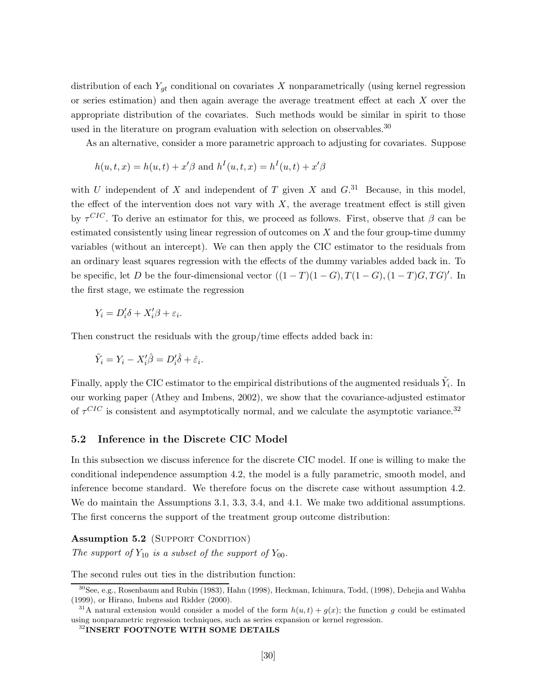distribution of each  $Y_{gt}$  conditional on covariates X nonparametrically (using kernel regression or series estimation) and then again average the average treatment effect at each X over the appropriate distribution of the covariates. Such methods would be similar in spirit to those used in the literature on program evaluation with selection on observables.<sup>30</sup>

As an alternative, consider a more parametric approach to adjusting for covariates. Suppose

$$
h(u, t, x) = h(u, t) + x'\beta
$$
 and  $h^{I}(u, t, x) = h^{I}(u, t) + x'\beta$ 

with U independent of X and independent of T given X and  $G$ <sup>31</sup> Because, in this model, the effect of the intervention does not vary with  $X$ , the average treatment effect is still given by  $\tau^{CIC}$ . To derive an estimator for this, we proceed as follows. First, observe that  $\beta$  can be estimated consistently using linear regression of outcomes on  $X$  and the four group-time dummy variables (without an intercept). We can then apply the CIC estimator to the residuals from an ordinary least squares regression with the effects of the dummy variables added back in. To be specific, let D be the four-dimensional vector  $((1 - T)(1 - G), T(1 - G), (1 - T)G, TG)'$ . In the first stage, we estimate the regression

$$
Y_i = D_i' \delta + X_i' \beta + \varepsilon_i.
$$

Then construct the residuals with the group/time effects added back in:

$$
\tilde{Y}_i = Y_i - X_i'\hat{\beta} = D_i'\hat{\delta} + \hat{\varepsilon}_i.
$$

Finally, apply the CIC estimator to the empirical distributions of the augmented residuals  $\tilde{Y}_i$ . In our working paper (Athey and Imbens, 2002), we show that the covariance-adjusted estimator of  $\tau^{CIC}$  is consistent and asymptotically normal, and we calculate the asymptotic variance.<sup>32</sup>

### **5.2 Inference in the Discrete CIC Model**

In this subsection we discuss inference for the discrete CIC model. If one is willing to make the conditional independence assumption 4.2, the model is a fully parametric, smooth model, and inference become standard. We therefore focus on the discrete case without assumption 4.2. We do maintain the Assumptions 3.1, 3.3, 3.4, and 4.1. We make two additional assumptions. The first concerns the support of the treatment group outcome distribution:

#### **Assumption 5.2** (SUPPORT CONDITION)

*The support of*  $Y_{10}$  *is a subset of the support of*  $Y_{00}$ *.* 

The second rules out ties in the distribution function:

 $30$ See, e.g., Rosenbaum and Rubin (1983), Hahn (1998), Heckman, Ichimura, Todd, (1998), Dehejia and Wahba (1999), or Hirano, Imbens and Ridder (2000).

<sup>&</sup>lt;sup>31</sup>A natural extension would consider a model of the form  $h(u, t) + g(x)$ ; the function g could be estimated using nonparametric regression techniques, such as series expansion or kernel regression.

<sup>32</sup>**INSERT FOOTNOTE WITH SOME DETAILS**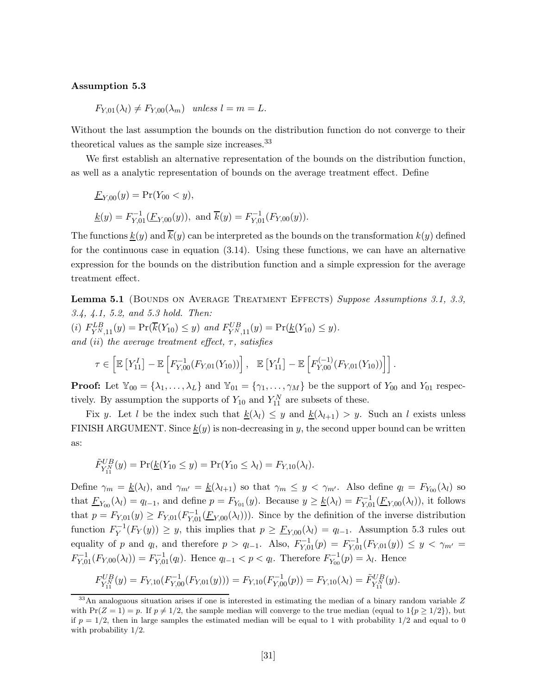#### **Assumption 5.3**

 $F_{Y,01}(\lambda_l) \neq F_{Y,00}(\lambda_m)$  *unless*  $l = m = L$ .

Without the last assumption the bounds on the distribution function do not converge to their theoretical values as the sample size increases.<sup>33</sup>

We first establish an alternative representation of the bounds on the distribution function, as well as a analytic representation of bounds on the average treatment effect. Define

$$
\underline{F}_{Y,00}(y) = \Pr(Y_{00} < y),
$$
\n
$$
\underline{k}(y) = F_{Y,01}^{-1}(\underline{F}_{Y,00}(y)), \text{ and } \overline{k}(y) = F_{Y,01}^{-1}(F_{Y,00}(y)).
$$

The functions  $\underline{k}(y)$  and  $\overline{k}(y)$  can be interpreted as the bounds on the transformation  $k(y)$  defined for the continuous case in equation (3.14). Using these functions, we can have an alternative expression for the bounds on the distribution function and a simple expression for the average treatment effect.

**Lemma 5.1** (BOUNDS ON AVERAGE TREATMENT EFFECTS) *Suppose Assumptions 3.1, 3.3, 3.4, 4.1, 5.2, and 5.3 hold. Then:* (i)  $F_{Y^N,11}^{LB}(y) = \Pr(\overline{k}(Y_{10}) \leq y)$  and  $F_{Y^N,11}^{UB}(y) = \Pr(\underline{k}(Y_{10}) \leq y)$ . *and* (ii) *the average treatment effect,* τ*, satisfies*

$$
\tau \in \left[ \mathbb{E}\left[ Y_{11}^I \right] - \mathbb{E}\left[ F_{Y,00}^{-1}(F_{Y,01}(Y_{10})) \right], \quad \mathbb{E}\left[ Y_{11}^I \right] - \mathbb{E}\left[ F_{Y,00}^{(-1)}(F_{Y,01}(Y_{10})) \right] \right].
$$

**Proof:** Let  $\mathbb{Y}_{00} = {\lambda_1, \ldots, \lambda_L}$  and  $\mathbb{Y}_{01} = {\gamma_1, \ldots, \gamma_M}$  be the support of  $Y_{00}$  and  $Y_{01}$  respectively. By assumption the supports of  $Y_{10}$  and  $Y_{11}^N$  are subsets of these.

Fix y. Let l be the index such that  $\underline{k}(\lambda_l) \leq y$  and  $\underline{k}(\lambda_{l+1}) > y$ . Such an l exists unless FINISH ARGUMENT. Since  $k(y)$  is non-decreasing in y, the second upper bound can be written as:

$$
\tilde{F}_{Y_{11}^{N}}^{UB}(y) = \Pr(\underline{k}(Y_{10} \le y) = \Pr(Y_{10} \le \lambda_l) = F_{Y,10}(\lambda_l).
$$

Define  $\gamma_m = k(\lambda_l)$ , and  $\gamma_{m'} = k(\lambda_{l+1})$  so that  $\gamma_m \leq y < \gamma_{m'}$ . Also define  $q_l = F_{Y_{00}}(\lambda_l)$  so that  $\underline{F}_{Y_{00}}(\lambda_l) = q_{l-1}$ , and define  $p = F_{Y_{01}}(y)$ . Because  $y \geq \underline{k}(\lambda_l) = F_{Y_{01}}^{-1}(\underline{F}_{Y_{00}}(\lambda_l))$ , it follows that  $p = F_{Y,01}(y) \geq F_{Y,01}(F_{Y,01}^{-1}(\underline{F}_{Y,00}(\lambda_l)))$ . Since by the definition of the inverse distribution function  $F_Y^{-1}(F_Y(y)) \geq y$ , this implies that  $p \geq \underline{F}_{Y,00}(\lambda_l) = q_{l-1}$ . Assumption 5.3 rules out equality of p and  $q_l$ , and therefore  $p>q_{l-1}$ . Also,  $F_{Y,01}^{-1}(p) = F_{Y,01}^{-1}(F_{Y,01}(y)) \leq y < \gamma_{m'}$  $F_{Y,01}^{-1}(F_{Y,00}(\lambda_l)) = F_{Y,01}^{-1}(q_l)$ . Hence  $q_{l-1} < p < q_l$ . Therefore  $F_{Y_{00}}^{-1}(p) = \lambda_l$ . Hence

$$
F_{Y_{11}^{N}}^{UB}(y) = F_{Y,10}(F_{Y,00}^{-1}(F_{Y,01}(y))) = F_{Y,10}(F_{Y,00}^{-1}(p)) = F_{Y,10}(\lambda_l) = \tilde{F}_{Y_{11}^{N}}^{UB}(y).
$$

 $33$ An analoguous situation arises if one is interested in estimating the median of a binary random variable  $Z$ with  $Pr(Z = 1) = p$ . If  $p \neq 1/2$ , the sample median will converge to the true median (equal to  $1\{p \geq 1/2\}$ ), but if  $p = 1/2$ , then in large samples the estimated median will be equal to 1 with probability  $1/2$  and equal to 0 with probability 1/2.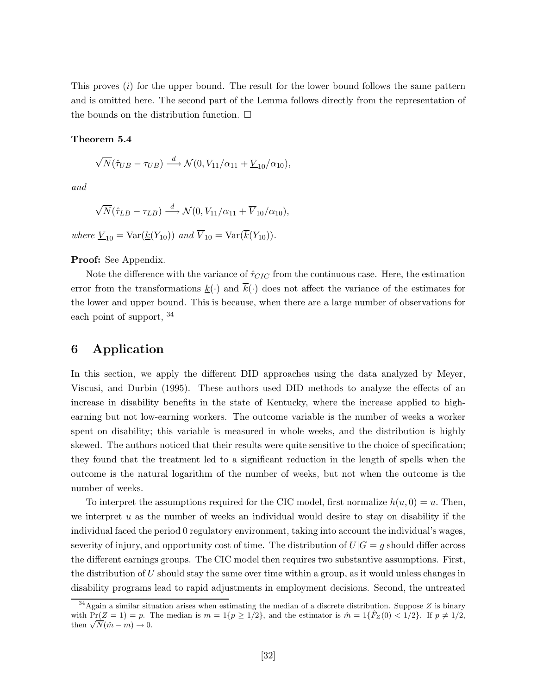This proves  $(i)$  for the upper bound. The result for the lower bound follows the same pattern and is omitted here. The second part of the Lemma follows directly from the representation of the bounds on the distribution function.  $\square$ 

#### **Theorem 5.4**

$$
\sqrt{N}(\hat{\tau}_{UB} - \tau_{UB}) \xrightarrow{d} \mathcal{N}(0, V_{11}/\alpha_{11} + \underline{V}_{10}/\alpha_{10}),
$$

*and*

$$
\sqrt{N}(\hat{\tau}_{LB} - \tau_{LB}) \xrightarrow{d} \mathcal{N}(0, V_{11}/\alpha_{11} + \overline{V}_{10}/\alpha_{10}),
$$

*where*  $\underline{V}_{10} = \text{Var}(\underline{k}(Y_{10}))$  *and*  $\overline{V}_{10} = \text{Var}(\overline{k}(Y_{10}))$ *.* 

**Proof:** See Appendix.

Note the difference with the variance of  $\hat{\tau}_{CIC}$  from the continuous case. Here, the estimation error from the transformations  $\underline{k}(\cdot)$  and  $\overline{k}(\cdot)$  does not affect the variance of the estimates for the lower and upper bound. This is because, when there are a large number of observations for each point of support,  $34$ 

# **6 Application**

In this section, we apply the different DID approaches using the data analyzed by Meyer, Viscusi, and Durbin (1995). These authors used DID methods to analyze the effects of an increase in disability benefits in the state of Kentucky, where the increase applied to highearning but not low-earning workers. The outcome variable is the number of weeks a worker spent on disability; this variable is measured in whole weeks, and the distribution is highly skewed. The authors noticed that their results were quite sensitive to the choice of specification; they found that the treatment led to a significant reduction in the length of spells when the outcome is the natural logarithm of the number of weeks, but not when the outcome is the number of weeks.

To interpret the assumptions required for the CIC model, first normalize  $h(u, 0) = u$ . Then, we interpret  $u$  as the number of weeks an individual would desire to stay on disability if the individual faced the period 0 regulatory environment, taking into account the individual's wages, severity of injury, and opportunity cost of time. The distribution of  $U|G = g$  should differ across the different earnings groups. The CIC model then requires two substantive assumptions. First, the distribution of U should stay the same over time within a group, as it would unless changes in disability programs lead to rapid adjustments in employment decisions. Second, the untreated

 $34$ Again a similar situation arises when estimating the median of a discrete distribution. Suppose Z is binary with  $Pr(Z = 1) = p$ . The median is  $m = 1\{p \ge 1/2\}$ , and the estimator is  $\hat{m} = 1\{\hat{F}_Z(0) < 1/2\}$ . If  $p \ne 1/2$ , then  $\sqrt{N}(\hat{m} - m) \to 0$ .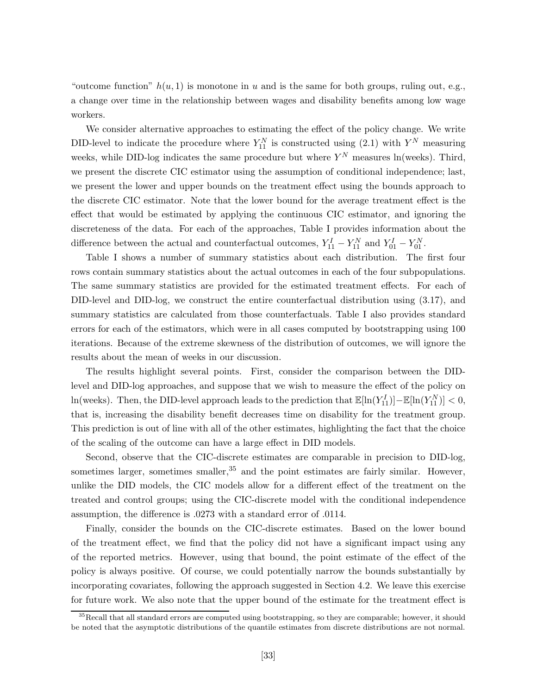"outcome function"  $h(u, 1)$  is monotone in u and is the same for both groups, ruling out, e.g., a change over time in the relationship between wages and disability benefits among low wage workers.

We consider alternative approaches to estimating the effect of the policy change. We write DID-level to indicate the procedure where  $Y_{11}^N$  is constructed using (2.1) with  $Y^N$  measuring weeks, while DID-log indicates the same procedure but where  $Y^N$  measures ln(weeks). Third, we present the discrete CIC estimator using the assumption of conditional independence; last, we present the lower and upper bounds on the treatment effect using the bounds approach to the discrete CIC estimator. Note that the lower bound for the average treatment effect is the effect that would be estimated by applying the continuous CIC estimator, and ignoring the discreteness of the data. For each of the approaches, Table I provides information about the difference between the actual and counterfactual outcomes,  $Y_{11}^I - Y_{11}^N$  and  $Y_{01}^I - Y_{01}^N$ .

Table I shows a number of summary statistics about each distribution. The first four rows contain summary statistics about the actual outcomes in each of the four subpopulations. The same summary statistics are provided for the estimated treatment effects. For each of DID-level and DID-log, we construct the entire counterfactual distribution using (3.17), and summary statistics are calculated from those counterfactuals. Table I also provides standard errors for each of the estimators, which were in all cases computed by bootstrapping using 100 iterations. Because of the extreme skewness of the distribution of outcomes, we will ignore the results about the mean of weeks in our discussion.

The results highlight several points. First, consider the comparison between the DIDlevel and DID-log approaches, and suppose that we wish to measure the effect of the policy on ln(weeks). Then, the DID-level approach leads to the prediction that  $\mathbb{E}[\ln(Y_{11}^I)] - \mathbb{E}[\ln(Y_{11}^N)] < 0$ , that is, increasing the disability benefit decreases time on disability for the treatment group. This prediction is out of line with all of the other estimates, highlighting the fact that the choice of the scaling of the outcome can have a large effect in DID models.

Second, observe that the CIC-discrete estimates are comparable in precision to DID-log, sometimes larger, sometimes smaller, $35$  and the point estimates are fairly similar. However, unlike the DID models, the CIC models allow for a different effect of the treatment on the treated and control groups; using the CIC-discrete model with the conditional independence assumption, the difference is .0273 with a standard error of .0114.

Finally, consider the bounds on the CIC-discrete estimates. Based on the lower bound of the treatment effect, we find that the policy did not have a significant impact using any of the reported metrics. However, using that bound, the point estimate of the effect of the policy is always positive. Of course, we could potentially narrow the bounds substantially by incorporating covariates, following the approach suggested in Section 4.2. We leave this exercise for future work. We also note that the upper bound of the estimate for the treatment effect is

<sup>&</sup>lt;sup>35</sup>Recall that all standard errors are computed using bootstrapping, so they are comparable; however, it should be noted that the asymptotic distributions of the quantile estimates from discrete distributions are not normal.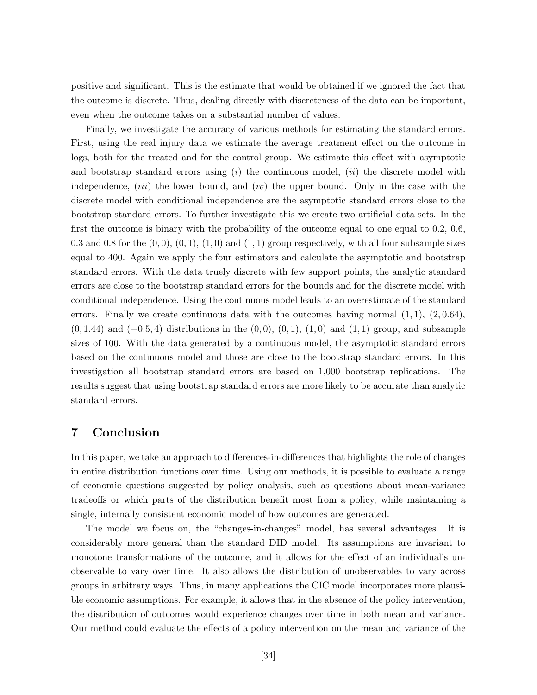positive and significant. This is the estimate that would be obtained if we ignored the fact that the outcome is discrete. Thus, dealing directly with discreteness of the data can be important, even when the outcome takes on a substantial number of values.

Finally, we investigate the accuracy of various methods for estimating the standard errors. First, using the real injury data we estimate the average treatment effect on the outcome in logs, both for the treated and for the control group. We estimate this effect with asymptotic and bootstrap standard errors using  $(i)$  the continuous model,  $(ii)$  the discrete model with independence, *(iii)* the lower bound, and *(iv)* the upper bound. Only in the case with the discrete model with conditional independence are the asymptotic standard errors close to the bootstrap standard errors. To further investigate this we create two artificial data sets. In the first the outcome is binary with the probability of the outcome equal to one equal to 0.2, 0.6, 0.3 and 0.8 for the  $(0,0)$ ,  $(0,1)$ ,  $(1,0)$  and  $(1,1)$  group respectively, with all four subsample sizes equal to 400. Again we apply the four estimators and calculate the asymptotic and bootstrap standard errors. With the data truely discrete with few support points, the analytic standard errors are close to the bootstrap standard errors for the bounds and for the discrete model with conditional independence. Using the continuous model leads to an overestimate of the standard errors. Finally we create continuous data with the outcomes having normal  $(1, 1)$ ,  $(2, 0.64)$ ,  $(0, 1.44)$  and  $(-0.5, 4)$  distributions in the  $(0, 0)$ ,  $(0, 1)$ ,  $(1, 0)$  and  $(1, 1)$  group, and subsample sizes of 100. With the data generated by a continuous model, the asymptotic standard errors based on the continuous model and those are close to the bootstrap standard errors. In this investigation all bootstrap standard errors are based on 1,000 bootstrap replications. The results suggest that using bootstrap standard errors are more likely to be accurate than analytic standard errors.

# **7 Conclusion**

In this paper, we take an approach to differences-in-differences that highlights the role of changes in entire distribution functions over time. Using our methods, it is possible to evaluate a range of economic questions suggested by policy analysis, such as questions about mean-variance tradeoffs or which parts of the distribution benefit most from a policy, while maintaining a single, internally consistent economic model of how outcomes are generated.

The model we focus on, the "changes-in-changes" model, has several advantages. It is considerably more general than the standard DID model. Its assumptions are invariant to monotone transformations of the outcome, and it allows for the effect of an individual's unobservable to vary over time. It also allows the distribution of unobservables to vary across groups in arbitrary ways. Thus, in many applications the CIC model incorporates more plausible economic assumptions. For example, it allows that in the absence of the policy intervention, the distribution of outcomes would experience changes over time in both mean and variance. Our method could evaluate the effects of a policy intervention on the mean and variance of the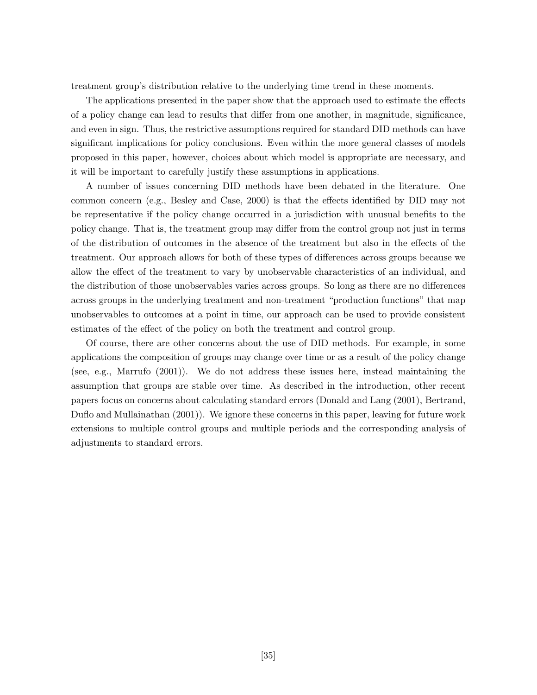treatment group's distribution relative to the underlying time trend in these moments.

The applications presented in the paper show that the approach used to estimate the effects of a policy change can lead to results that differ from one another, in magnitude, significance, and even in sign. Thus, the restrictive assumptions required for standard DID methods can have significant implications for policy conclusions. Even within the more general classes of models proposed in this paper, however, choices about which model is appropriate are necessary, and it will be important to carefully justify these assumptions in applications.

A number of issues concerning DID methods have been debated in the literature. One common concern (e.g., Besley and Case, 2000) is that the effects identified by DID may not be representative if the policy change occurred in a jurisdiction with unusual benefits to the policy change. That is, the treatment group may differ from the control group not just in terms of the distribution of outcomes in the absence of the treatment but also in the effects of the treatment. Our approach allows for both of these types of differences across groups because we allow the effect of the treatment to vary by unobservable characteristics of an individual, and the distribution of those unobservables varies across groups. So long as there are no differences across groups in the underlying treatment and non-treatment "production functions" that map unobservables to outcomes at a point in time, our approach can be used to provide consistent estimates of the effect of the policy on both the treatment and control group.

Of course, there are other concerns about the use of DID methods. For example, in some applications the composition of groups may change over time or as a result of the policy change (see, e.g., Marrufo (2001)). We do not address these issues here, instead maintaining the assumption that groups are stable over time. As described in the introduction, other recent papers focus on concerns about calculating standard errors (Donald and Lang (2001), Bertrand, Duflo and Mullainathan (2001)). We ignore these concerns in this paper, leaving for future work extensions to multiple control groups and multiple periods and the corresponding analysis of adjustments to standard errors.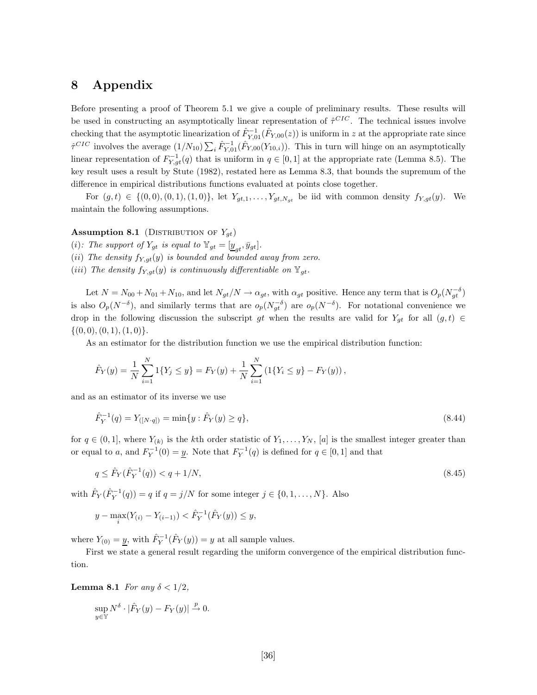# **8 Appendix**

Before presenting a proof of Theorem 5.1 we give a couple of preliminary results. These results will be used in constructing an asymptotically linear representation of  $\hat{\tau}^{CIC}$ . The technical issues involve checking that the asymptotic linearization of  $\hat{F}_{Y,01}^{-1}(\hat{F}_{Y,00}(z))$  is uniform in z at the appropriate rate since  $\hat{\tau}^{CIC}$  involves the average  $(1/N_{10})\sum_i \hat{F}_{Y,01}^{-1}(\hat{F}_{Y,00}(Y_{10,i}))$ . This in turn will hinge on an asymptotically linear representation of  $F_{Y,gt}^{-1}(q)$  that is uniform in  $q \in [0,1]$  at the appropriate rate (Lemma 8.5). The key result uses a result by Stute (1982), restated here as Lemma 8.3, that bounds the supremum of the difference in empirical distributions functions evaluated at points close together.

For  $(g, t) \in \{(0, 0), (0, 1), (1, 0)\}\$ , let  $Y_{gt,1}, \ldots, Y_{gt, N_{gt}}$  be iid with common density  $f_{Y,gt}(y)$ . We maintain the following assumptions.

#### **Assumption 8.1** (DISTRIBUTION OF  $Y_{qt}$ )

- (i): The support of  $Y_{gt}$  is equal to  $\mathbb{Y}_{gt} = [\underline{y}_{gt}, \bar{y}_{gt}]$ .
- (*ii*) The density  $f_{Y,qt}(y)$  is bounded and bounded away from zero.
- (*iii*) The density  $f_{Y,gt}(y)$  *is continuously differentiable on*  $\mathbb{Y}_{gt}$ .

Let  $N = N_{00} + N_{01} + N_{10}$ , and let  $N_{gt}/N \to \alpha_{gt}$ , with  $\alpha_{gt}$  positive. Hence any term that is  $O_p(N_{gt}^{-\delta})$ is also  $O_p(N^{-\delta})$ , and similarly terms that are  $o_p(N_{gt}^{-\delta})$  are  $o_p(N^{-\delta})$ . For notational convenience we drop in the following discussion the subscript gt when the results are valid for  $Y_{gt}$  for all  $(g, t) \in$  $\{(0,0), (0,1), (1,0)\}.$ 

As an estimator for the distribution function we use the empirical distribution function:

$$
\hat{F}_Y(y) = \frac{1}{N} \sum_{i=1}^N 1\{Y_j \le y\} = F_Y(y) + \frac{1}{N} \sum_{i=1}^N \left(1\{Y_i \le y\} - F_Y(y)\right),
$$

and as an estimator of its inverse we use

$$
\hat{F}_Y^{-1}(q) = Y_{([N \cdot q])} = \min\{y : \hat{F}_Y(y) \ge q\},\tag{8.44}
$$

for  $q \in (0,1]$ , where  $Y_{(k)}$  is the kth order statistic of  $Y_1,\ldots,Y_N$ , [a] is the smallest integer greater than or equal to a, and  $F_Y^{-1}(0) = \underline{y}$ . Note that  $F_Y^{-1}(q)$  is defined for  $q \in [0,1]$  and that

$$
q \le \hat{F}_Y(\hat{F}_Y^{-1}(q)) < q + 1/N,\tag{8.45}
$$

with  $\hat{F}_Y(\hat{F}_Y^{-1}(q)) = q$  if  $q = j/N$  for some integer  $j \in \{0, 1, ..., N\}$ . Also

$$
y - \max_{i} (Y_{(i)} - Y_{(i-1)}) < \hat{F}_Y^{-1}(\hat{F}_Y(y)) \le y,
$$

where  $Y_{(0)} = \underline{y}$ , with  $\hat{F}_Y^{-1}(\hat{F}_Y(y)) = y$  at all sample values.

First we state a general result regarding the uniform convergence of the empirical distribution function.

**Lemma 8.1** *For any*  $\delta < 1/2$ *,* 

$$
\sup_{y \in \mathbb{Y}} N^{\delta} \cdot |\hat{F}_Y(y) - F_Y(y)| \xrightarrow{p} 0.
$$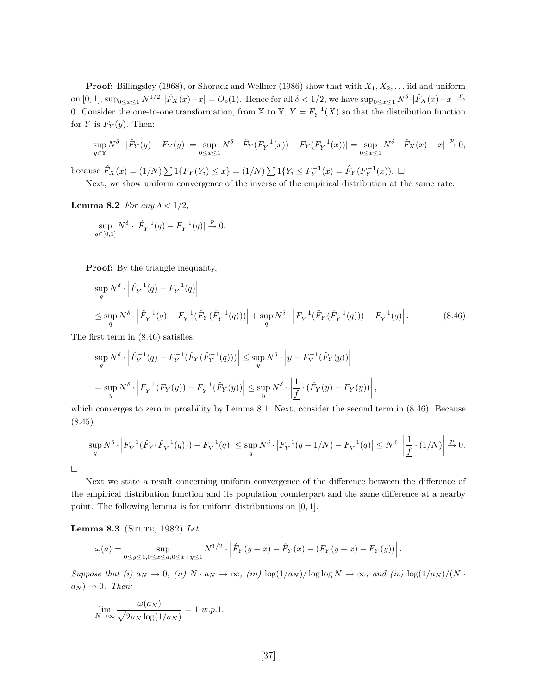**Proof:** Billingsley (1968), or Shorack and Wellner (1986) show that with  $X_1, X_2, \ldots$  iid and uniform on  $[0, 1]$ ,  $\sup_{0 \le x \le 1} N^{1/2} \cdot |\hat{F}_X(x) - x| = O_p(1)$ . Hence for all  $\delta < 1/2$ , we have  $\sup_{0 \le x \le 1} N^{\delta} \cdot |\hat{F}_X(x) - x| \xrightarrow{p}$ 0. Consider the one-to-one transformation, from X to Y,  $Y = F_Y^{-1}(X)$  so that the distribution function for Y is  $F_Y(y)$ . Then:

$$
\sup_{y \in \mathbb{Y}} N^{\delta} \cdot |\hat{F}_Y(y) - F_Y(y)| = \sup_{0 \le x \le 1} N^{\delta} \cdot |\hat{F}_Y(F_Y^{-1}(x)) - F_Y(F_Y^{-1}(x))| = \sup_{0 \le x \le 1} N^{\delta} \cdot |\hat{F}_X(x) - x| \xrightarrow{p} 0,
$$

because  $\hat{F}_X(x) = (1/N) \sum 1\{F_Y(Y_i) \le x\} = (1/N) \sum 1\{Y_i \le F_Y^{-1}(x) = \hat{F}_Y(F_Y^{-1}(x)).$ 

Next, we show uniform convergence of the inverse of the empirical distribution at the same rate:

#### **Lemma 8.2** *For any*  $\delta < 1/2$ *,*

$$
\sup_{q\in [0,1]} N^{\delta}\cdot |\hat{F}_Y^{-1}(q)-F_Y^{-1}(q)|\xrightarrow{p} 0.
$$

**Proof:** By the triangle inequality,

$$
\sup_{q} N^{\delta} \cdot \left| \hat{F}_{Y}^{-1}(q) - F_{Y}^{-1}(q) \right|
$$
\n
$$
\leq \sup_{q} N^{\delta} \cdot \left| \hat{F}_{Y}^{-1}(q) - F_{Y}^{-1}(\hat{F}_{Y}(\hat{F}_{Y}^{-1}(q))) \right| + \sup_{q} N^{\delta} \cdot \left| F_{Y}^{-1}(\hat{F}_{Y}(\hat{F}_{Y}^{-1}(q))) - F_{Y}^{-1}(q) \right|.
$$
\n(8.46)

The first term in (8.46) satisfies:

$$
\sup_{q} N^{\delta} \cdot \left| \hat{F}_{Y}^{-1}(q) - F_{Y}^{-1}(\hat{F}_{Y}(\hat{F}_{Y}^{-1}(q))) \right| \leq \sup_{y} N^{\delta} \cdot \left| y - F_{Y}^{-1}(\hat{F}_{Y}(y)) \right|
$$
  
= 
$$
\sup_{y} N^{\delta} \cdot \left| F_{Y}^{-1}(F_{Y}(y)) - F_{Y}^{-1}(\hat{F}_{Y}(y)) \right| \leq \sup_{y} N^{\delta} \cdot \left| \frac{1}{\underline{f}} \cdot (\hat{F}_{Y}(y) - F_{Y}(y)) \right|,
$$

which converges to zero in proability by Lemma 8.1. Next, consider the second term in  $(8.46)$ . Because (8.45)

$$
\sup_{q} N^{\delta} \cdot \left| F_{Y}^{-1}(\hat{F}_{Y}(\hat{F}_{Y}^{-1}(q))) - F_{Y}^{-1}(q) \right| \leq \sup_{q} N^{\delta} \cdot \left| F_{Y}^{-1}(q + 1/N) - F_{Y}^{-1}(q) \right| \leq N^{\delta} \cdot \left| \frac{1}{f} \cdot (1/N) \right| \xrightarrow{p} 0.
$$

 $\Box$ 

Next we state a result concerning uniform convergence of the difference between the difference of the empirical distribution function and its population counterpart and the same difference at a nearby point. The following lemma is for uniform distributions on [0, 1].

**Lemma 8.3** (STUTE, 1982) Let

$$
\omega(a) = \sup_{0 \le y \le 1, 0 \le x \le a, 0 \le x+y \le 1} N^{1/2} \cdot \left| \hat{F}_Y(y+x) - \hat{F}_Y(x) - (F_Y(y+x) - F_Y(y)) \right|.
$$

*Suppose that (i)*  $a_N \to 0$ , *(ii)*  $N \cdot a_N \to \infty$ , *(iii)*  $\log(1/a_N) / \log \log N \to \infty$ , and *(iv)*  $\log(1/a_N) / (N \cdot$  $a_N$ )  $\rightarrow$  0*. Then:* 

$$
\lim_{N \to \infty} \frac{\omega(a_N)}{\sqrt{2a_N \log(1/a_N)}} = 1 \ w.p.1.
$$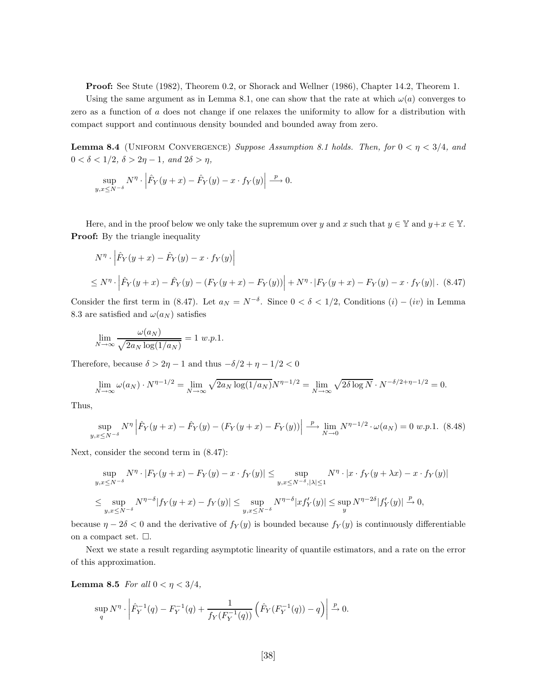**Proof:** See Stute (1982), Theorem 0.2, or Shorack and Wellner (1986), Chapter 14.2, Theorem 1.

Using the same argument as in Lemma 8.1, one can show that the rate at which  $\omega(a)$  converges to zero as a function of a does not change if one relaxes the uniformity to allow for a distribution with compact support and continuous density bounded and bounded away from zero.

**Lemma 8.4** (UNIFORM CONVERGENCE) *Suppose Assumption 8.1 holds. Then, for*  $0 < \eta < 3/4$ *, and*  $0 < \delta < 1/2, \ \delta > 2\eta - 1, \ and \ 2\delta > \eta,$ 

$$
\sup_{y,x \le N^{-\delta}} N^{\eta} \cdot \left| \hat{F}_Y(y+x) - \hat{F}_Y(y) - x \cdot f_Y(y) \right| \xrightarrow{p} 0.
$$

Here, and in the proof below we only take the supremum over y and x such that  $y \in \mathbb{Y}$  and  $y + x \in \mathbb{Y}$ . **Proof:** By the triangle inequality

$$
N^{\eta} \cdot \left| \hat{F}_Y(y+x) - \hat{F}_Y(y) - x \cdot f_Y(y) \right|
$$
  
 
$$
\leq N^{\eta} \cdot \left| \hat{F}_Y(y+x) - \hat{F}_Y(y) - (F_Y(y+x) - F_Y(y)) \right| + N^{\eta} \cdot |F_Y(y+x) - F_Y(y) - x \cdot f_Y(y)|. \tag{8.47}
$$

Consider the first term in (8.47). Let  $a_N = N^{-\delta}$ . Since  $0 < \delta < 1/2$ , Conditions  $(i) - (iv)$  in Lemma 8.3 are satisfied and  $\omega(a_N)$  satisfies

$$
\lim_{N \to \infty} \frac{\omega(a_N)}{\sqrt{2a_N \log(1/a_N)}} = 1 \ w.p.1.
$$

Therefore, because  $\delta > 2\eta - 1$  and thus  $-\delta/2 + \eta - 1/2 < 0$ 

$$
\lim_{N \to \infty} \omega(a_N) \cdot N^{\eta - 1/2} = \lim_{N \to \infty} \sqrt{2a_N \log(1/a_N)} N^{\eta - 1/2} = \lim_{N \to \infty} \sqrt{2\delta \log N} \cdot N^{-\delta/2 + \eta - 1/2} = 0.
$$

Thus,

$$
\sup_{y,x \le N^{-\delta}} N^{\eta} \left| \hat{F}_Y(y+x) - \hat{F}_Y(y) - (F_Y(y+x) - F_Y(y)) \right| \stackrel{p}{\longrightarrow} \lim_{N \to 0} N^{\eta - 1/2} \cdot \omega(a_N) = 0 \ w.p.1. \tag{8.48}
$$

Next, consider the second term in (8.47):

$$
\sup_{y,x \le N^{-\delta}} N^{\eta} \cdot |F_Y(y+x) - F_Y(y) - x \cdot f_Y(y)| \le \sup_{y,x \le N^{-\delta}, |\lambda| \le 1} N^{\eta} \cdot |x \cdot f_Y(y+x) - x \cdot f_Y(y)|
$$
  

$$
\le \sup_{y,x \le N^{-\delta}} N^{\eta-\delta} |f_Y(y+x) - f_Y(y)| \le \sup_{y,x \le N^{-\delta}} N^{\eta-\delta} |xf'_Y(y)| \le \sup_y N^{\eta-2\delta} |f'_Y(y)| \xrightarrow{p} 0,
$$

because  $\eta - 2\delta < 0$  and the derivative of  $f_Y(y)$  is bounded because  $f_Y(y)$  is continuously differentiable on a compact set.  $\Box$ .

Next we state a result regarding asymptotic linearity of quantile estimators, and a rate on the error of this approximation.

**Lemma 8.5** *For all*  $0 < \eta < 3/4$ *,* 

$$
\sup_q N^{\eta} \cdot \left| \hat{F}_Y^{-1}(q) - F_Y^{-1}(q) + \frac{1}{f_Y(F_Y^{-1}(q))} \left( \hat{F}_Y(F_Y^{-1}(q)) - q \right) \right| \xrightarrow{p} 0.
$$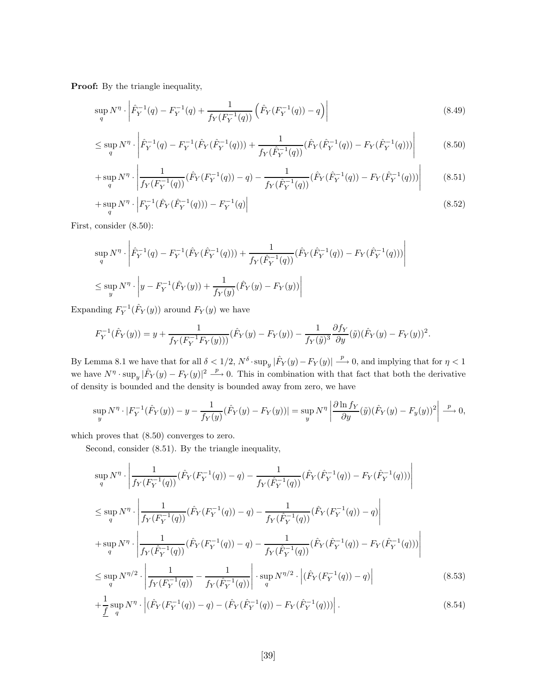Proof: By the triangle inequality,

$$
\sup_{q} N^{\eta} \cdot \left| \hat{F}_{Y}^{-1}(q) - F_{Y}^{-1}(q) + \frac{1}{f_{Y}(F_{Y}^{-1}(q))} \left( \hat{F}_{Y}(F_{Y}^{-1}(q)) - q \right) \right| \tag{8.49}
$$

$$
\leq \sup_{q} N^{\eta} \cdot \left| \hat{F}_{Y}^{-1}(q) - F_{Y}^{-1}(\hat{F}_{Y}(\hat{F}_{Y}^{-1}(q))) + \frac{1}{f_{Y}(\hat{F}_{Y}^{-1}(q))} (\hat{F}_{Y}(\hat{F}_{Y}^{-1}(q)) - F_{Y}(\hat{F}_{Y}^{-1}(q))) \right| \tag{8.50}
$$

$$
+\sup_{q} N^{\eta} \cdot \left| \frac{1}{f_{Y}(F_{Y}^{-1}(q))} (\hat{F}_{Y}(F_{Y}^{-1}(q)) - q) - \frac{1}{f_{Y}(\hat{F}_{Y}^{-1}(q))} (\hat{F}_{Y}(\hat{F}_{Y}^{-1}(q)) - F_{Y}(\hat{F}_{Y}^{-1}(q))) \right| \tag{8.51}
$$

$$
+\sup_{q} N^{\eta} \cdot \left| F_{Y}^{-1}(\hat{F}_{Y}(\hat{F}_{Y}^{-1}(q))) - F_{Y}^{-1}(q) \right| \tag{8.52}
$$

First, consider (8.50):

$$
\sup_{q} N^{\eta} \cdot \left| \hat{F}_{Y}^{-1}(q) - F_{Y}^{-1}(\hat{F}_{Y}(\hat{F}_{Y}^{-1}(q))) + \frac{1}{f_{Y}(\hat{F}_{Y}^{-1}(q))} (\hat{F}_{Y}(\hat{F}_{Y}^{-1}(q)) - F_{Y}(\hat{F}_{Y}^{-1}(q))) \right|
$$
  

$$
\leq \sup_{y} N^{\eta} \cdot \left| y - F_{Y}^{-1}(\hat{F}_{Y}(y)) + \frac{1}{f_{Y}(y)} (\hat{F}_{Y}(y) - F_{Y}(y)) \right|
$$

Expanding  $F_Y^{-1}(\hat{F}_Y(y))$  around  $F_Y(y)$  we have

$$
F_Y^{-1}(\hat{F}_Y(y)) = y + \frac{1}{f_Y(F_Y^{-1}F_Y(y)))}(\hat{F}_Y(y) - F_Y(y)) - \frac{1}{f_Y(\tilde{y})^3} \frac{\partial f_Y}{\partial y}(\tilde{y})(\hat{F}_Y(y) - F_Y(y))^2.
$$

By Lemma 8.1 we have that for all  $\delta < 1/2$ ,  $N^{\delta} \cdot \sup_y |\hat{F}_Y(y) - F_Y(y)| \stackrel{p}{\longrightarrow} 0$ , and implying that for  $\eta < 1$ we have  $N^{\eta} \cdot \sup_y |\hat{F}_Y(y) - F_Y(y)|^2 \stackrel{p}{\longrightarrow} 0$ . This in combination with that fact that both the derivative of density is bounded and the density is bounded away from zero, we have

$$
\sup_y N^{\eta} \cdot |F_Y^{-1}(\hat{F}_Y(y)) - y - \frac{1}{f_Y(y)}(\hat{F}_Y(y) - F_Y(y))| = \sup_y N^{\eta} \left| \frac{\partial \ln f_Y}{\partial y}(\tilde{y})(\hat{F}_Y(y) - F_y(y))^2 \right| \xrightarrow{p} 0,
$$

which proves that  $(8.50)$  converges to zero.

Second, consider (8.51). By the triangle inequality,

$$
\sup_{q} N^{\eta} \cdot \left| \frac{1}{f_{Y}(F_{Y}^{-1}(q))} (\hat{F}_{Y}(F_{Y}^{-1}(q)) - q) - \frac{1}{f_{Y}(\hat{F}_{Y}^{-1}(q))} (\hat{F}_{Y}(\hat{F}_{Y}^{-1}(q)) - F_{Y}(\hat{F}_{Y}^{-1}(q))) \right|
$$
\n
$$
\leq \sup_{q} N^{\eta} \cdot \left| \frac{1}{f_{Y}(F_{Y}^{-1}(q))} (\hat{F}_{Y}(F_{Y}^{-1}(q)) - q) - \frac{1}{f_{Y}(\hat{F}_{Y}^{-1}(q))} (\hat{F}_{Y}(F_{Y}^{-1}(q)) - q) \right|
$$
\n
$$
+ \sup_{q} N^{\eta} \cdot \left| \frac{1}{f_{Y}(\hat{F}_{Y}^{-1}(q))} (\hat{F}_{Y}(F_{Y}^{-1}(q)) - q) - \frac{1}{f_{Y}(\hat{F}_{Y}^{-1}(q))} (\hat{F}_{Y}(\hat{F}_{Y}^{-1}(q)) - F_{Y}(\hat{F}_{Y}^{-1}(q))) \right|
$$
\n
$$
\leq \sup_{q} N^{\eta/2} \cdot \left| \frac{1}{f_{Y}(F_{Y}^{-1}(q))} - \frac{1}{f_{Y}(\hat{F}_{Y}^{-1}(q))} \right| \cdot \sup_{q} N^{\eta/2} \cdot \left| (\hat{F}_{Y}(F_{Y}^{-1}(q)) - q) \right| \tag{8.53}
$$
\n
$$
+ \lim_{q} N^{\eta} \cdot \left| (\hat{F}_{Y}(F_{Y}^{-1}(q)) - \hat{F}_{Y}(\hat{F}_{Y}^{-1}(q)) - \hat{F}_{Y}(\hat{F}_{Y}^{-1}(q)) - q) \right| \tag{8.54}
$$

$$
+\frac{1}{f}\sup_{q} N^{\eta} \cdot \left| \left( \hat{F}_{Y}(F_{Y}^{-1}(q)) - q \right) - \left( \hat{F}_{Y}(\hat{F}_{Y}^{-1}(q)) - F_{Y}(\hat{F}_{Y}^{-1}(q)) \right) \right|.
$$
\n(8.54)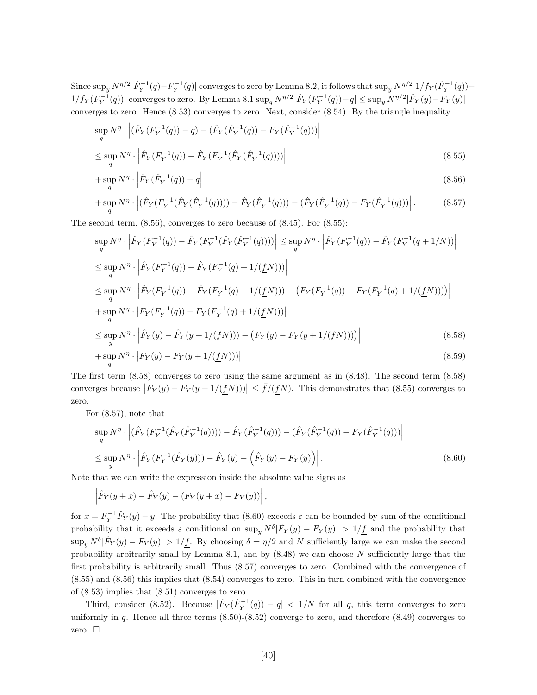Since  $\sup_y N^{\eta/2} |\hat{F}_Y^{-1}(q) - F_Y^{-1}(q)|$  converges to zero by Lemma 8.2, it follows that  $\sup_y N^{\eta/2} |1/f_Y(\hat{F}_Y^{-1}(q)) 1/f_Y(F_Y^{-1}(q))$  converges to zero. By Lemma 8.1  $\sup_q N^{\eta/2}|\hat{F}_Y(F_Y^{-1}(q)) - q| \le \sup_y N^{\eta/2}|\hat{F}_Y(y) - F_Y(y)|$ converges to zero. Hence (8.53) converges to zero. Next, consider (8.54). By the triangle inequality

$$
\sup_{q} N^{\eta} \cdot \left| (\hat{F}_{Y}(F_{Y}^{-1}(q)) - q) - (\hat{F}_{Y}(\hat{F}_{Y}^{-1}(q)) - F_{Y}(\hat{F}_{Y}^{-1}(q))) \right|
$$
\n
$$
\leq \sup_{q} N^{\eta} \cdot \left| \hat{F}_{Y}(F_{Y}^{-1}(q)) - \hat{F}_{Y}(F_{Y}^{-1}(\hat{F}_{Y}(\hat{F}_{Y}^{-1}(q)))) \right|
$$
\n(8.55)

$$
+\sup_{q} N^{\eta} \cdot \left| \hat{F}_{Y}(\hat{F}_{Y}^{-1}(q)) - q \right| \tag{8.56}
$$

$$
+\sup_{q} N^{\eta} \cdot \left| \left( \hat{F}_{Y}(F_{Y}^{-1}(\hat{F}_{Y}(\hat{F}_{Y}^{-1}(q)))) - \hat{F}_{Y}(\hat{F}_{Y}^{-1}(q)) \right) - \left( \hat{F}_{Y}(\hat{F}_{Y}^{-1}(q)) - F_{Y}(\hat{F}_{Y}^{-1}(q)) \right) \right|.
$$
 (8.57)

The second term, (8.56), converges to zero because of (8.45). For (8.55):

$$
\sup_{q} N^{\eta} \cdot \left| \hat{F}_{Y}(F_{Y}^{-1}(q)) - \hat{F}_{Y}(F_{Y}^{-1}(\hat{F}_{Y}(\hat{F}_{Y}^{-1}(q)))) \right| \leq \sup_{q} N^{\eta} \cdot \left| \hat{F}_{Y}(F_{Y}^{-1}(q)) - \hat{F}_{Y}(F_{Y}^{-1}(q+1/N)) \right|
$$
  
\n
$$
\leq \sup_{q} N^{\eta} \cdot \left| \hat{F}_{Y}(F_{Y}^{-1}(q)) - \hat{F}_{Y}(F_{Y}^{-1}(q) + 1/(\underline{f}N))) \right|
$$
  
\n
$$
\leq \sup_{q} N^{\eta} \cdot \left| \hat{F}_{Y}(F_{Y}^{-1}(q)) - \hat{F}_{Y}(F_{Y}^{-1}(q) + 1/(\underline{f}N))) - (F_{Y}(F_{Y}^{-1}(q)) - F_{Y}(F_{Y}^{-1}(q) + 1/(\underline{f}N)))) \right|
$$
  
\n
$$
+ \sup_{q} N^{\eta} \cdot \left| F_{Y}(F_{Y}^{-1}(q)) - F_{Y}(F_{Y}^{-1}(q) + 1/(\underline{f}N))) \right|
$$
  
\n
$$
\leq \sup_{y} N^{\eta} \cdot \left| \hat{F}_{Y}(y) - \hat{F}_{Y}(y + 1/(\underline{f}N))) - (F_{Y}(y) - F_{Y}(y + 1/(\underline{f}N)))) \right|
$$
  
\n
$$
+ \sup_{q} N^{\eta} \cdot \left| F_{Y}(y) - F_{Y}(y + 1/(\underline{f}N))) \right|
$$
  
\n(8.58)

The first term (8.58) converges to zero using the same argument as in (8.48). The second term (8.58) converges because  $|F_Y(y) - F_Y(y + 1/(fN))| \leq \bar{f}/(\underline{f}N)$ . This demonstrates that (8.55) converges to zero.

For (8.57), note that

$$
\sup_{q} N^{\eta} \cdot \left| (\hat{F}_{Y}(F_{Y}^{-1}(\hat{F}_{Y}(\hat{F}_{Y}^{-1}(q)))) - \hat{F}_{Y}(\hat{F}_{Y}^{-1}(q))) - (\hat{F}_{Y}(\hat{F}_{Y}^{-1}(q)) - F_{Y}(\hat{F}_{Y}^{-1}(q))) \right|
$$
  

$$
\leq \sup_{y} N^{\eta} \cdot \left| \hat{F}_{Y}(F_{Y}^{-1}(\hat{F}_{Y}(y))) - \hat{F}_{Y}(y) - (\hat{F}_{Y}(y) - F_{Y}(y)) \right|.
$$
 (8.60)

Note that we can write the expression inside the absolute value signs as

$$
\left| \hat{F}_Y(y+x) - \hat{F}_Y(y) - (F_Y(y+x) - F_Y(y)) \right|,
$$

for  $x = F_Y^{-1} \hat{F}_Y(y) - y$ . The probability that (8.60) exceeds  $\varepsilon$  can be bounded by sum of the conditional probability that it exceeds  $\varepsilon$  conditional on sup<sub>y</sub>  $N^{\delta}|\hat{F}_Y(y) - F_Y(y)| > 1/\underline{f}$  and the probability that  $\sup_{y} N^{\delta}|\hat{F}_{Y}(y) - F_{Y}(y)| > 1/f$ . By choosing  $\delta = \eta/2$  and N sufficiently large we can make the second probability arbitrarily small by Lemma 8.1, and by  $(8.48)$  we can choose N sufficiently large that the first probability is arbitrarily small. Thus (8.57) converges to zero. Combined with the convergence of (8.55) and (8.56) this implies that (8.54) converges to zero. This in turn combined with the convergence of (8.53) implies that (8.51) converges to zero.

Third, consider (8.52). Because  $|\hat{F}_Y(\hat{F}_Y^{-1}(q)) - q| < 1/N$  for all q, this term converges to zero uniformly in  $q$ . Hence all three terms  $(8.50)-(8.52)$  converge to zero, and therefore  $(8.49)$  converges to zero.  $\square$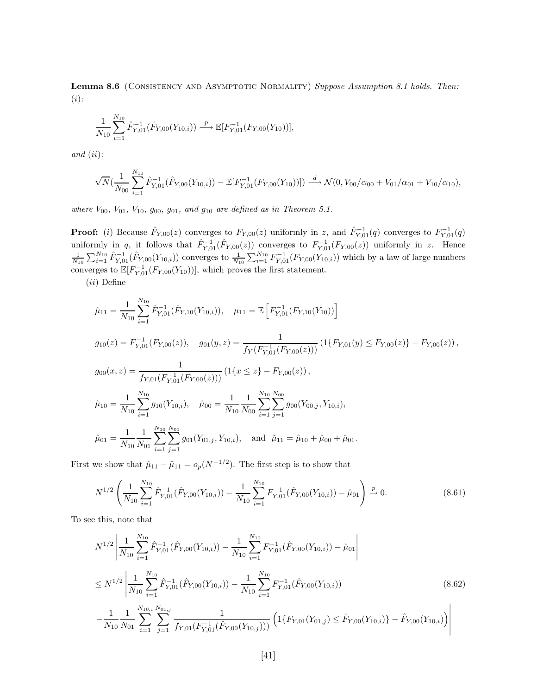Lemma 8.6 (CONSISTENCY AND ASYMPTOTIC NORMALITY) *Suppose Assumption 8.1 holds. Then:* (i)*:*

$$
\frac{1}{N_{10}}\sum_{i=1}^{N_{10}} \hat{F}_{Y,01}^{-1}(\hat{F}_{Y,00}(Y_{10,i})) \stackrel{p}{\longrightarrow} \mathbb{E}[F_{Y,01}^{-1}(F_{Y,00}(Y_{10}))],
$$

*and* (ii)*:*

$$
\sqrt{N}(\frac{1}{N_{00}}\sum_{i=1}^{N_{10}}\hat{F}_{Y,01}^{-1}(\hat{F}_{Y,00}(Y_{10,i}))-\mathbb{E}[F_{Y,01}^{-1}(F_{Y,00}(Y_{10}))])\xrightarrow{d} \mathcal{N}(0,V_{00}/\alpha_{00}+V_{01}/\alpha_{01}+V_{10}/\alpha_{10}),
$$

*where*  $V_{00}$ ,  $V_{01}$ ,  $V_{10}$ ,  $g_{00}$ ,  $g_{01}$ , and  $g_{10}$  are defined as in Theorem 5.1.

**Proof:** (i) Because  $\hat{F}_{Y,00}(z)$  converges to  $F_{Y,00}(z)$  uniformly in z, and  $\hat{F}_{Y,01}^{-1}(q)$  converges to  $F_{Y,01}^{-1}(q)$ uniformly in q, it follows that  $\hat{F}_{Y,01}^{-1}(\hat{F}_{Y,00}(z))$  converges to  $F_{Y,01}^{-1}(F_{Y,00}(z))$  uniformly in z. Hence  $\frac{1}{N_{10}}\sum_{i=1}^{N_{10}}\hat{F}_{Y,01}^{-1}(\hat{F}_{Y,00}(Y_{10,i}))$  converges to  $\frac{1}{N_{10}}\sum_{i=1}^{N_{10}}F_{Y,01}^{-1}(F_{$ converges to  $\mathbb{E}[F_{Y,01}^{-1}(F_{Y,00}(Y_{10}))]$ , which proves the first statement.

 $(ii)$  Define

$$
\hat{\mu}_{11} = \frac{1}{N_{10}} \sum_{i=1}^{N_{10}} \hat{F}_{Y,01}^{-1}(\hat{F}_{Y,10}(Y_{10,i})), \quad \mu_{11} = \mathbb{E} \left[ F_{Y,01}^{-1}(F_{Y,10}(Y_{10})) \right]
$$
\n
$$
g_{10}(z) = F_{Y,01}^{-1}(F_{Y,00}(z)), \quad g_{01}(y,z) = \frac{1}{f_Y(F_{Y,01}^{-1}(F_{Y,00}(z)))} \left(1\{F_{Y,01}(y) \le F_{Y,00}(z)\} - F_{Y,00}(z)\right),
$$
\n
$$
g_{00}(x,z) = \frac{1}{f_{Y,01}(F_{Y,01}^{-1}(F_{Y,00}(z)))} \left(1\{x \le z\} - F_{Y,00}(z)\right),
$$
\n
$$
\hat{\mu}_{10} = \frac{1}{N_{10}} \sum_{i=1}^{N_{10}} g_{10}(Y_{10,i}), \quad \hat{\mu}_{00} = \frac{1}{N_{10}} \sum_{i=1}^{N_{10}} \sum_{j=1}^{N_{10}} g_{00}(Y_{00,j}, Y_{10,i}),
$$
\n
$$
\hat{\mu}_{01} = \frac{1}{N_{10}} \sum_{i=1}^{N_{10}} \sum_{j=1}^{N_{10}} g_{01}(Y_{01,j}, Y_{10,i}), \quad \text{and} \quad \tilde{\mu}_{11} = \hat{\mu}_{10} + \hat{\mu}_{00} + \hat{\mu}_{01}.
$$

First we show that  $\hat{\mu}_{11} - \tilde{\mu}_{11} = o_p(N^{-1/2})$ . The first step is to show that

$$
N^{1/2}\left(\frac{1}{N_{10}}\sum_{i=1}^{N_{10}}\hat{F}_{Y,01}^{-1}(\hat{F}_{Y,00}(Y_{10,i})) - \frac{1}{N_{10}}\sum_{i=1}^{N_{10}}F_{Y,01}^{-1}(\hat{F}_{Y,00}(Y_{10,i})) - \hat{\mu}_{01}\right) \xrightarrow{p} 0.
$$
\n(8.61)

To see this, note that

$$
N^{1/2} \left| \frac{1}{N_{10}} \sum_{i=1}^{N_{10}} \hat{F}_{Y,01}^{-1}(\hat{F}_{Y,00}(Y_{10,i})) - \frac{1}{N_{10}} \sum_{i=1}^{N_{10}} F_{Y,01}^{-1}(\hat{F}_{Y,00}(Y_{10,i})) - \hat{\mu}_{01} \right|
$$
  
\n
$$
\leq N^{1/2} \left| \frac{1}{N_{10}} \sum_{i=1}^{N_{10}} \hat{F}_{Y,01}^{-1}(\hat{F}_{Y,00}(Y_{10,i})) - \frac{1}{N_{10}} \sum_{i=1}^{N_{10}} F_{Y,01}^{-1}(\hat{F}_{Y,00}(Y_{10,i})) - \frac{1}{N_{10}} \sum_{i=1}^{N_{10}} F_{Y,01}^{-1}(\hat{F}_{Y,00}(Y_{10,i})) - \frac{1}{N_{10}} \sum_{i=1}^{N_{10}} \sum_{j=1}^{N_{10,i}} \sum_{j=1}^{N_{10,i}} \frac{1}{f_{Y,01}(F_{Y,01}^{-1}(\hat{F}_{Y,00}(Y_{10,j})))} \left( 1 \{ F_{Y,01}(Y_{01,j}) \leq \hat{F}_{Y,00}(Y_{10,i}) \} - \hat{F}_{Y,00}(Y_{10,i}) \right) \right|
$$
(8.62)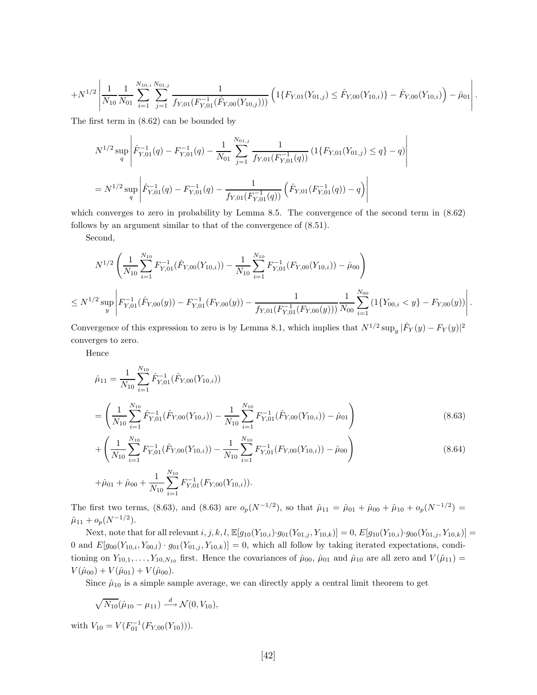$$
+N^{1/2}\left|\frac{1}{N_{10}}\frac{1}{N_{01}}\sum_{i=1}^{N_{10,i}}\sum_{j=1}^{N_{01,j}}\frac{1}{f_{Y,01}(F_{Y,01}^{-1}(\hat{F}_{Y,00}(Y_{10,j})))}\left(1\{F_{Y,01}(Y_{01,j})\leq \hat{F}_{Y,00}(Y_{10,i})\}-\hat{F}_{Y,00}(Y_{10,i})\right)-\hat{\mu}_{01}\right|.
$$

 $\begin{array}{c} \hline \end{array}$  $\overline{\phantom{a}}$  $\overline{\phantom{a}}$  $\overline{\phantom{a}}$  $\overline{\phantom{a}}$  $\overline{\phantom{a}}$ 

The first term in (8.62) can be bounded by

$$
N^{1/2} \sup_{q} \left| \hat{F}_{Y,01}^{-1}(q) - F_{Y,01}^{-1}(q) - \frac{1}{N_{01}} \sum_{j=1}^{N_{01,j}} \frac{1}{f_{Y,01}(F_{Y,01}^{-1}(q))} \left( 1\{ F_{Y,01}(Y_{01,j}) \le q \} - q \right) \right|
$$
  
=  $N^{1/2} \sup_{q} \left| \hat{F}_{Y,01}^{-1}(q) - F_{Y,01}^{-1}(q) - \frac{1}{f_{Y,01}(F_{Y,01}^{-1}(q))} \left( \hat{F}_{Y,01}(F_{Y,01}^{-1}(q)) - q \right) \right|$ 

which converges to zero in probability by Lemma 8.5. The convergence of the second term in  $(8.62)$ follows by an argument similar to that of the convergence of (8.51).

Second,

$$
N^{1/2} \left( \frac{1}{N_{10}} \sum_{i=1}^{N_{10}} F_{Y,01}^{-1}(\hat{F}_{Y,00}(Y_{10,i})) - \frac{1}{N_{10}} \sum_{i=1}^{N_{10}} F_{Y,01}^{-1}(F_{Y,00}(Y_{10,i})) - \hat{\mu}_{00} \right)
$$
  

$$
\leq N^{1/2} \sup_{y} \left| F_{Y,01}^{-1}(\hat{F}_{Y,00}(y)) - F_{Y,01}^{-1}(F_{Y,00}(y)) - \frac{1}{f_{Y,01}(F_{Y,00}^{-1}(F_{Y,00}(y)))} \frac{1}{N_{00}} \sum_{i=1}^{N_{00}} \left( 1 \{ Y_{00,i} < y \} - F_{Y,00}(y) \right) \right|.
$$

Convergence of this expression to zero is by Lemma 8.1, which implies that  $N^{1/2} \sup_y |\hat{F}_Y(y) - F_Y(y)|^2$ converges to zero.

Hence

$$
\hat{\mu}_{11} = \frac{1}{N_{10}} \sum_{i=1}^{N_{10}} \hat{F}_{Y,01}^{-1} (\hat{F}_{Y,00}(Y_{10,i}))
$$
\n
$$
= \left( \frac{1}{N_{10}} \sum_{i=1}^{N_{10}} \hat{F}_{Y,01}^{-1} (\hat{F}_{Y,00}(Y_{10,i})) - \frac{1}{N_{10}} \sum_{i=1}^{N_{10}} F_{Y,01}^{-1} (\hat{F}_{Y,00}(Y_{10,i})) - \hat{\mu}_{01} \right)
$$
\n(8.63)

$$
+\left(\frac{1}{N_{10}}\sum_{i=1}^{N_{10}}F_{Y,01}^{-1}(\hat{F}_{Y,00}(Y_{10,i}))-\frac{1}{N_{10}}\sum_{i=1}^{N_{10}}F_{Y,01}^{-1}(F_{Y,00}(Y_{10,i}))-\hat{\mu}_{00}\right)
$$
(8.64)

$$
+\hat{\mu}_{01} + \hat{\mu}_{00} + \frac{1}{N_{10}} \sum_{i=1}^{N_{10}} F_{Y,01}^{-1}(F_{Y,00}(Y_{10,i})).
$$

The first two terms, (8.63), and (8.63) are  $o_p(N^{-1/2})$ , so that  $\hat{\mu}_{11} = \hat{\mu}_{01} + \hat{\mu}_{00} + \hat{\mu}_{10} + o_p(N^{-1/2}) =$  $\tilde{\mu}_{11} + o_p(N^{-1/2}).$ 

Next, note that for all relevant  $i, j, k, l$ ,  $\mathbb{E}[g_{10}(Y_{10,i}) \cdot g_{01}(Y_{01,j}, Y_{10,k})] = 0$ ,  $E[g_{10}(Y_{10,i}) \cdot g_{00}(Y_{01,j}, Y_{10,k})] =$ 0 and  $E[g_{00}(Y_{10,i}, Y_{00,l}) \cdot g_{01}(Y_{01,j}, Y_{10,k})] = 0$ , which all follow by taking iterated expectations, conditioning on  $Y_{10,1},\ldots,Y_{10,N_{10}}$  first. Hence the covariances of  $\hat{\mu}_{00}, \hat{\mu}_{01}$  and  $\hat{\mu}_{10}$  are all zero and  $V(\tilde{\mu}_{11}) =$  $V(\hat{\mu}_{00}) + V(\hat{\mu}_{01}) + V(\hat{\mu}_{00}).$ 

Since  $\hat{\mu}_{10}$  is a simple sample average, we can directly apply a central limit theorem to get

$$
\sqrt{N_{10}}(\hat{\mu}_{10}-\mu_{11}) \stackrel{d}{\longrightarrow} \mathcal{N}(0,V_{10}),
$$

with  $V_{10} = V(F_{01}^{-1}(F_{Y,00}(Y_{10}))).$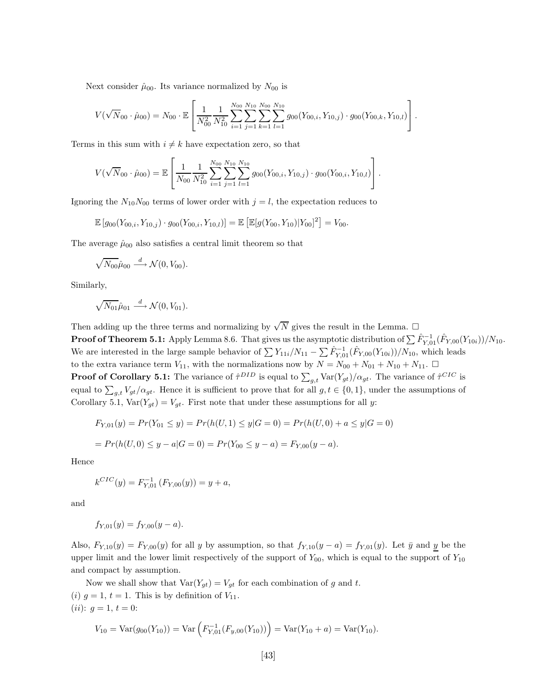Next consider  $\hat{\mu}_{00}$ . Its variance normalized by  $N_{00}$  is

$$
V(\sqrt{N}_{00}\cdot\hat{\mu}_{00})=N_{00}\cdot\mathbb{E}\left[\frac{1}{N_{00}^2}\frac{1}{N_{10}^2}\sum_{i=1}^{N_{00}}\sum_{j=1}^{N_{10}}\sum_{k=1}^{N_{00}}\sum_{l=1}^{N_{10}}g_{00}(Y_{00,i},Y_{10,j})\cdot g_{00}(Y_{00,k},Y_{10,l})\right].
$$

Terms in this sum with  $i \neq k$  have expectation zero, so that

$$
V(\sqrt{N}_{00} \cdot \hat{\mu}_{00}) = \mathbb{E}\left[\frac{1}{N_{00}} \frac{1}{N_{10}^2} \sum_{i=1}^{N_{00}} \sum_{j=1}^{N_{10}} \sum_{l=1}^{N_{10}} g_{00}(Y_{00,i}, Y_{10,j}) \cdot g_{00}(Y_{00,i}, Y_{10,l})\right].
$$

Ignoring the  $N_{10}N_{00}$  terms of lower order with  $j = l$ , the expectation reduces to

$$
\mathbb{E}\left[g_{00}(Y_{00,i}, Y_{10,j})\cdot g_{00}(Y_{00,i}, Y_{10,l})\right] = \mathbb{E}\left[\mathbb{E}[g(Y_{00}, Y_{10})|Y_{00}]^2\right] = V_{00}.
$$

The average  $\hat{\mu}_{00}$  also satisfies a central limit theorem so that

$$
\sqrt{N_{00}}\hat{\mu}_{00} \stackrel{d}{\longrightarrow} \mathcal{N}(0, V_{00}).
$$

Similarly,

$$
\sqrt{N_{01}}\hat{\mu}_{01} \stackrel{d}{\longrightarrow} \mathcal{N}(0, V_{01}).
$$

Then adding up the three terms and normalizing by  $\sqrt{N}$  gives the result in the Lemma.  $\Box$ **Proof of Theorem 5.1:** Apply Lemma 8.6. That gives us the asymptotic distribution of  $\sum \hat{F}_{Y,01}^{-1}(\hat{F}_{Y,00}(Y_{10i}))/N_{10}$ . We are interested in the large sample behavior of  $\sum Y_{11i}/N_{11} - \sum \hat{F}_{Y,01}^{-1}(\hat{F}_{Y,00}(Y_{10i}))/N_{10}$ , which leads to the extra variance term  $V_{11}$ , with the normalizations now by  $N = N_{00} + N_{01} + N_{10} + N_{11}$ . **Proof of Corollary 5.1:** The variance of  $\hat{\tau}^{DID}$  is equal to  $\sum_{g,t} \text{Var}(Y_{gt})/\alpha_{gt}$ . The variance of  $\hat{\tau}^{CIC}$  is equal to  $\sum_{g,t} V_{gt}/\alpha_{gt}$ . Hence it is sufficient to prove that for all  $g, t \in \{0,1\}$ , under the assumptions of Corollary 5.1,  $Var(Y_{gt}) = V_{gt}$ . First note that under these assumptions for all y:

$$
F_{Y,01}(y) = Pr(Y_{01} \le y) = Pr(h(U,1) \le y | G = 0) = Pr(h(U,0) + a \le y | G = 0)
$$
  
= 
$$
Pr(h(U,0) \le y - a | G = 0) = Pr(Y_{00} \le y - a) = F_{Y,00}(y - a).
$$

Hence

$$
k^{CIC}(y) = F_{Y,01}^{-1}(F_{Y,00}(y)) = y + a,
$$

and

$$
f_{Y,01}(y) = f_{Y,00}(y-a).
$$

Also,  $F_{Y,10}(y) = F_{Y,00}(y)$  for all y by assumption, so that  $f_{Y,10}(y - a) = f_{Y,01}(y)$ . Let  $\bar{y}$  and y be the upper limit and the lower limit respectively of the support of  $Y_{00}$ , which is equal to the support of  $Y_{10}$ and compact by assumption.

Now we shall show that  $Var(Y_{gt}) = V_{gt}$  for each combination of g and t. (i)  $g = 1$ ,  $t = 1$ . This is by definition of  $V_{11}$ . (*ii*):  $g = 1, t = 0$ :

$$
V_{10} = \text{Var}(g_{00}(Y_{10})) = \text{Var}\left(F_{Y,01}^{-1}(F_{y,00}(Y_{10}))\right) = \text{Var}(Y_{10} + a) = \text{Var}(Y_{10}).
$$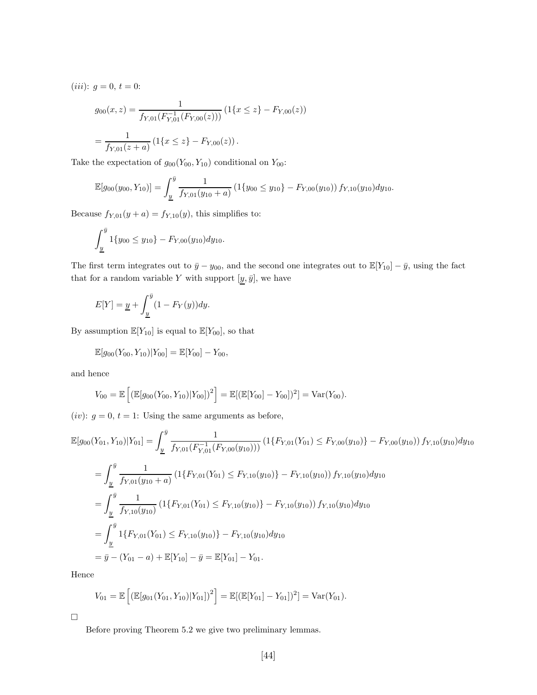(*iii*):  $g = 0, t = 0$ :

$$
g_{00}(x, z) = \frac{1}{f_{Y,01}(F_{Y,01}^{-1}(F_{Y,00}(z)))} (1\{x \le z\} - F_{Y,00}(z))
$$

$$
= \frac{1}{f_{Y,01}(z+a)} (1\{x \le z\} - F_{Y,00}(z)).
$$

Take the expectation of  $g_{00}(Y_{00}, Y_{10})$  conditional on  $Y_{00}$ :

$$
\mathbb{E}[g_{00}(y_{00}, Y_{10})] = \int_{\underline{y}}^{\overline{y}} \frac{1}{f_{Y,01}(y_{10} + a)} \left(1\{y_{00} \le y_{10}\} - F_{Y,00}(y_{10})\right) f_{Y,10}(y_{10}) dy_{10}.
$$

Because  $f_{Y,01}(y + a) = f_{Y,10}(y)$ , this simplifies to:

$$
\int_{\underline{y}}^{\overline{y}} 1\{y_{00} \le y_{10}\} - F_{Y,00}(y_{10}) dy_{10}.
$$

The first term integrates out to  $\bar{y} - y_{00}$ , and the second one integrates out to  $\mathbb{E}[Y_{10}] - \bar{y}$ , using the fact that for a random variable  $Y$  with support  $[\underline{y},\bar{y}],$  we have

$$
E[Y] = \underline{y} + \int_{\underline{y}}^{\overline{y}} (1 - F_Y(y)) dy.
$$

By assumption  $\mathbb{E}[Y_{10}]$  is equal to  $\mathbb{E}[Y_{00}]$ , so that

$$
\mathbb{E}[g_{00}(Y_{00}, Y_{10})|Y_{00}] = \mathbb{E}[Y_{00}] - Y_{00},
$$

and hence

$$
V_{00} = \mathbb{E}\left[ \left( \mathbb{E}[g_{00}(Y_{00}, Y_{10})|Y_{00}]\right)^2 \right] = \mathbb{E}[(\mathbb{E}[Y_{00}] - Y_{00}])^2] = \text{Var}(Y_{00}).
$$

(*iv*):  $g = 0, t = 1$ : Using the same arguments as before,

$$
\mathbb{E}[g_{00}(Y_{01}, Y_{10})|Y_{01}] = \int_{\underline{y}}^{\overline{y}} \frac{1}{f_{Y,01}(F_{Y,01}^{-1}(F_{Y,00}(y_{10})))} \left(1\{F_{Y,01}(Y_{01}) \leq F_{Y,00}(y_{10})\} - F_{Y,00}(y_{10})\right) f_{Y,10}(y_{10}) dy_{10}
$$
\n
$$
= \int_{\underline{y}}^{\overline{y}} \frac{1}{f_{Y,01}(y_{10} + a)} \left(1\{F_{Y,01}(Y_{01}) \leq F_{Y,10}(y_{10})\} - F_{Y,10}(y_{10})\right) f_{Y,10}(y_{10}) dy_{10}
$$
\n
$$
= \int_{\underline{y}}^{\overline{y}} \frac{1}{f_{Y,10}(y_{10})} \left(1\{F_{Y,01}(Y_{01}) \leq F_{Y,10}(y_{10})\} - F_{Y,10}(y_{10})\right) f_{Y,10}(y_{10}) dy_{10}
$$
\n
$$
= \int_{\underline{y}}^{\overline{y}} 1\{F_{Y,01}(Y_{01}) \leq F_{Y,10}(y_{10})\} - F_{Y,10}(y_{10}) dy_{10}
$$
\n
$$
= \overline{y} - (Y_{01} - a) + \mathbb{E}[Y_{10}] - \overline{y} = \mathbb{E}[Y_{01}] - Y_{01}.
$$

Hence

$$
V_{01} = \mathbb{E}\left[ \left( \mathbb{E}[g_{01}(Y_{01}, Y_{10})|Y_{01}]\right)^2 \right] = \mathbb{E}[(\mathbb{E}[Y_{01}] - Y_{01}])^2] = \text{Var}(Y_{01}).
$$

 $\Box$ 

Before proving Theorem 5.2 we give two preliminary lemmas.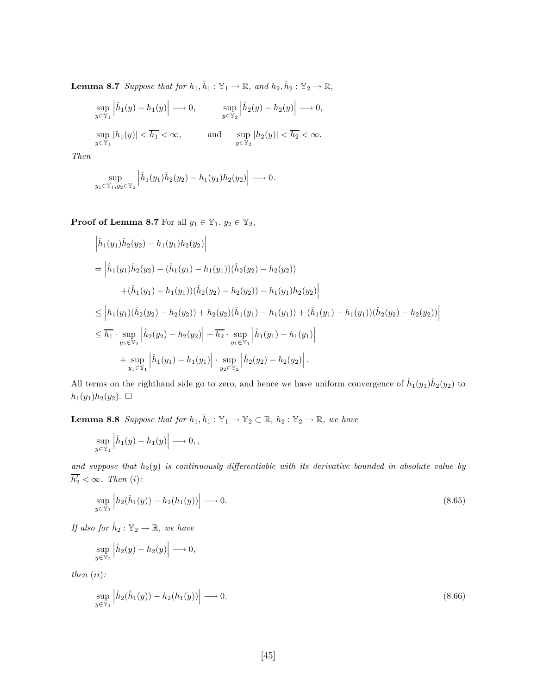**Lemma 8.7** *Suppose that for*  $h_1, \hat{h}_1 : \mathbb{Y}_1 \to \mathbb{R}$ *, and*  $h_2, \hat{h}_2 : \mathbb{Y}_2 \to \mathbb{R}$ *,* 

$$
\sup_{y \in \mathbb{Y}_1} \left| \hat{h}_1(y) - h_1(y) \right| \longrightarrow 0, \qquad \sup_{y \in \mathbb{Y}_2} \left| \hat{h}_2(y) - h_2(y) \right| \longrightarrow 0,
$$
  
\n
$$
\sup_{y \in \mathbb{Y}_1} |h_1(y)| < \overline{h_1} < \infty, \qquad \text{and} \qquad \sup_{y \in \mathbb{Y}_2} |h_2(y)| < \overline{h_2} < \infty.
$$

*Then*

$$
\sup_{y_1 \in \mathbb{Y}_1, y_2 \in \mathbb{Y}_2} \left| \hat{h}_1(y_1) \hat{h}_2(y_2) - h_1(y_1) h_2(y_2) \right| \longrightarrow 0.
$$

**Proof of Lemma 8.7** For all  $y_1 \in \mathbb{Y}_1$ ,  $y_2 \in \mathbb{Y}_2$ ,

$$
\begin{split}\n\left| \hat{h}_1(y_1)\hat{h}_2(y_2) - h_1(y_1)h_2(y_2) \right| \\
&= \left| \hat{h}_1(y_1)\hat{h}_2(y_2) - (\hat{h}_1(y_1) - h_1(y_1))(\hat{h}_2(y_2) - h_2(y_2)) \right. \\
&\left. + (\hat{h}_1(y_1) - h_1(y_1))(\hat{h}_2(y_2) - h_2(y_2)) - h_1(y_1)h_2(y_2) \right| \\
&\leq \left| h_1(y_1)(\hat{h}_2(y_2) - h_2(y_2)) + h_2(y_2)(\hat{h}_1(y_1) - h_1(y_1)) + (\hat{h}_1(y_1) - h_1(y_1))(\hat{h}_2(y_2) - h_2(y_2)) \right| \\
&\leq \overline{h_1} \cdot \sup_{y_2 \in \mathbb{Y}_2} \left| \hat{h}_2(y_2) - h_2(y_2) \right| + \overline{h_2} \cdot \sup_{y_1 \in \mathbb{Y}_1} \left| \hat{h}_1(y_1) - h_1(y_1) \right| \\
&+ \sup_{y_1 \in \mathbb{Y}_1} \left| \hat{h}_1(y_1) - h_1(y_1) \right| \cdot \sup_{y_2 \in \mathbb{Y}_2} \left| \hat{h}_2(y_2) - h_2(y_2) \right|.\n\end{split}
$$

All terms on the righthand side go to zero, and hence we have uniform convergence of  $\hat{h}_1(y_1)\hat{h}_2(y_2)$  to  $h_1(y_1)h_2(y_2).$   $\Box$ 

**Lemma 8.8** *Suppose that for*  $h_1, \hat{h}_1 : \mathbb{Y}_1 \to \mathbb{Y}_2 \subset \mathbb{R}$ ,  $h_2 : \mathbb{Y}_2 \to \mathbb{R}$ , we have  $\overline{1}$ 

$$
\sup_{y \in \mathbb{Y}_1} \left| \hat{h}_1(y) - h_1(y) \right| \longrightarrow 0,
$$

and suppose that  $h_2(y)$  is continuously differentiable with its derivative bounded in absolute value by  $h'_2 < \infty$ . Then (i):

$$
\sup_{y \in \mathbb{Y}_1} \left| h_2(\hat{h}_1(y)) - h_2(h_1(y)) \right| \longrightarrow 0. \tag{8.65}
$$

*If also for*  $\hat{h}_2 : \mathbb{Y}_2 \to \mathbb{R}$ *, we have* 

$$
\sup_{y \in \mathbb{Y}_2} \left| \hat{h}_2(y) - h_2(y) \right| \longrightarrow 0,
$$

*then*  $(ii)$ *:* 

$$
\sup_{y \in \mathbb{Y}_1} \left| \hat{h}_2(\hat{h}_1(y)) - h_2(h_1(y)) \right| \longrightarrow 0. \tag{8.66}
$$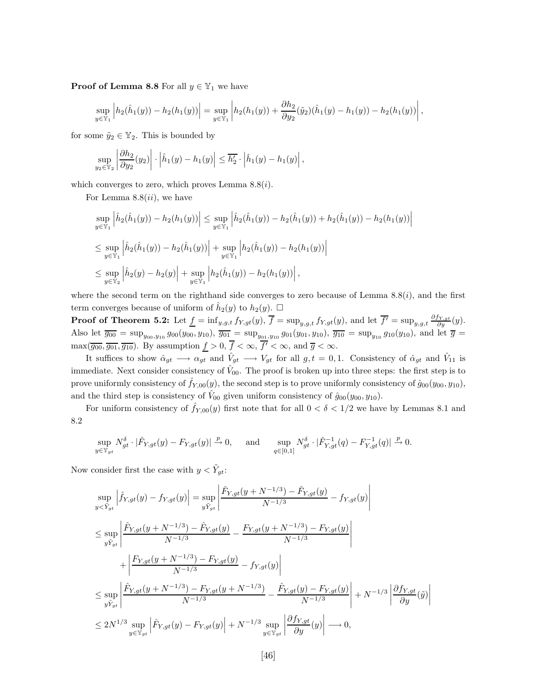**Proof of Lemma 8.8** For all  $y \in \mathbb{Y}_1$  we have

$$
\sup_{y \in \mathbb{Y}_1} \left| h_2(\hat{h}_1(y)) - h_2(h_1(y)) \right| = \sup_{y \in \mathbb{Y}_1} \left| h_2(h_1(y)) + \frac{\partial h_2}{\partial y_2}(\tilde{y}_2)(\hat{h}_1(y) - h_1(y)) - h_2(h_1(y)) \right|,
$$

for some  $\tilde{y}_2 \in \mathbb{Y}_2$ . This is bounded by

$$
\sup_{y_2 \in \mathbb{Y}_2} \left| \frac{\partial h_2}{\partial y_2}(y_2) \right| \cdot \left| \hat{h}_1(y) - h_1(y) \right| \leq \overline{h'_2} \cdot \left| \hat{h}_1(y) - h_1(y) \right|,
$$

which converges to zero, which proves Lemma  $8.8(i)$ .

For Lemma  $8.8(ii)$ , we have

$$
\sup_{y \in \mathbb{Y}_1} \left| \hat{h}_2(\hat{h}_1(y)) - h_2(h_1(y)) \right| \leq \sup_{y \in \mathbb{Y}_1} \left| \hat{h}_2(\hat{h}_1(y)) - h_2(\hat{h}_1(y)) + h_2(\hat{h}_1(y)) - h_2(h_1(y)) \right|
$$
  
\n
$$
\leq \sup_{y \in \mathbb{Y}_1} \left| \hat{h}_2(\hat{h}_1(y)) - h_2(\hat{h}_1(y)) \right| + \sup_{y \in \mathbb{Y}_1} \left| h_2(\hat{h}_1(y)) - h_2(h_1(y)) \right|
$$
  
\n
$$
\leq \sup_{y \in \mathbb{Y}_2} \left| \hat{h}_2(y) - h_2(y) \right| + \sup_{y \in \mathbb{Y}_1} \left| h_2(\hat{h}_1(y)) - h_2(h_1(y)) \right|,
$$

where the second term on the righthand side converges to zero because of Lemma  $8.8(i)$ , and the first term converges because of uniform of  $\hat{h}_2(y)$  to  $h_2(y)$ .  $\Box$ 

**Proof of Theorem 5.2:** Let  $\underline{f} = \inf_{y,g,t} f_{Y,gt}(y)$ ,  $\overline{f} = \sup_{y,g,t} f_{Y,gt}(y)$ , and let  $\overline{f'} = \sup_{y,g,t} \frac{\partial f_{Y,gt}}{\partial y}(y)$ . Also let  $\overline{g_{00}} = \sup_{y_{00},y_{10}} g_{00}(y_{00},y_{10}), \overline{g_{01}} = \sup_{y_{01},y_{10}} g_{01}(y_{01},y_{10}), \overline{g_{10}} = \sup_{y_{10}} g_{10}(y_{10}),$  and let  $\overline{g} =$  $\max(\overline{g_{00}},\overline{g_{01}},\overline{g_{10}})$ . By assumption  $\underline{f} > 0$ ,  $\overline{f} < \infty$ ,  $\overline{f'} < \infty$ , and  $\overline{g} < \infty$ .

It suffices to show  $\hat{\alpha}_{gt} \rightarrow \alpha_{gt}$  and  $\hat{V}_{gt} \rightarrow V_{gt}$  for all  $g, t = 0, 1$ . Consistency of  $\hat{\alpha}_{gt}$  and  $\hat{V}_{11}$  is immediate. Next consider consistency of  $V_{00}$ . The proof is broken up into three steps: the first step is to prove uniformly consistency of  $\hat{f}_{Y,00}(y)$ , the second step is to prove uniformly consistency of  $\hat{g}_{00}(y_{00}, y_{10})$ , and the third step is consistency of  $V_{00}$  given uniform consistency of  $\hat{g}_{00}(y_{00}, y_{10})$ .

For uniform consistency of  $\hat{f}_{Y,00}(y)$  first note that for all  $0 < \delta < 1/2$  we have by Lemmas 8.1 and 8.2

$$
\sup_{y \in \mathbb{Y}_{gt}} N_{gt}^{\delta} \cdot |\hat{F}_{Y,gt}(y) - F_{Y,gt}(y)| \xrightarrow{p} 0, \quad \text{and} \quad \sup_{q \in [0,1]} N_{gt}^{\delta} \cdot |\hat{F}_{Y,gt}^{-1}(q) - F_{Y,gt}^{-1}(q)| \xrightarrow{p} 0.
$$

Now consider first the case with  $y < \tilde{Y}_{gt}$ :

$$
\sup_{y < \tilde{Y}_{gt}} \left| \hat{f}_{Y,gt}(y) - f_{Y,gt}(y) \right| = \sup_{y \tilde{Y}_{gt}} \left| \frac{\hat{F}_{Y,gt}(y + N^{-1/3}) - \hat{F}_{Y,gt}(y)}{N^{-1/3}} - f_{Y,gt}(y) \right|
$$
\n
$$
\leq \sup_{y \tilde{Y}_{gt}} \left| \frac{\hat{F}_{Y,gt}(y + N^{-1/3}) - \hat{F}_{Y,gt}(y)}{N^{-1/3}} - \frac{F_{Y,gt}(y + N^{-1/3}) - F_{Y,gt}(y)}{N^{-1/3}} \right|
$$
\n
$$
+ \left| \frac{F_{Y,gt}(y + N^{-1/3}) - F_{Y,gt}(y)}{N^{-1/3}} - f_{Y,gt}(y) \right|
$$
\n
$$
\leq \sup_{y \tilde{Y}_{gt}} \left| \frac{\hat{F}_{Y,gt}(y + N^{-1/3}) - F_{Y,gt}(y + N^{-1/3})}{N^{-1/3}} - \frac{\hat{F}_{Y,gt}(y) - F_{Y,gt}(y)}{N^{-1/3}} \right| + N^{-1/3} \left| \frac{\partial f_{Y,gt}}{\partial y}(\tilde{y}) \right|
$$
\n
$$
\leq 2N^{1/3} \sup_{y \in \mathbb{Y}_{gt}} \left| \hat{F}_{Y,gt}(y) - F_{Y,gt}(y) \right| + N^{-1/3} \sup_{y \in \mathbb{Y}_{gt}} \left| \frac{\partial f_{Y,gt}}{\partial y}(y) \right| \longrightarrow 0,
$$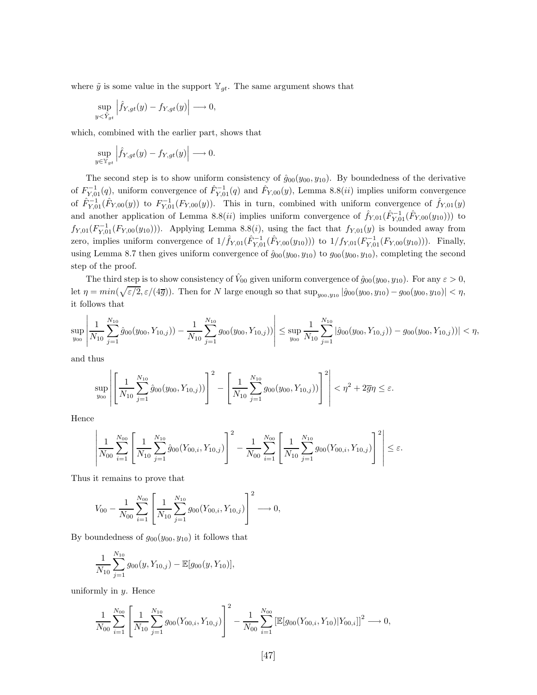where  $\tilde{y}$  is some value in the support  $\mathbb{Y}_{qt}$ . The same argument shows that

$$
\sup_{y < \tilde{Y}_{gt}} \left| \hat{f}_{Y,gt}(y) - f_{Y,gt}(y) \right| \longrightarrow 0,
$$

which, combined with the earlier part, shows that

$$
\sup_{y \in \mathbb{Y}_{gt}} \left| \hat{f}_{Y,gt}(y) - f_{Y,gt}(y) \right| \longrightarrow 0.
$$

The second step is to show uniform consistency of  $\hat{g}_{00}(y_{00}, y_{10})$ . By boundedness of the derivative of  $F_{Y,01}^{-1}(q)$ , uniform convergence of  $\hat{F}_{Y,01}^{-1}(q)$  and  $\hat{F}_{Y,00}(y)$ , Lemma 8.8(*ii*) implies uniform convergence of  $\hat{F}_{Y,01}^{-1}(\hat{F}_{Y,00}(y))$  to  $F_{Y,01}^{-1}(F_{Y,00}(y))$ . This in turn, combined with uniform convergence of  $\hat{f}_{Y,01}(y)$ and another application of Lemma 8.8(*ii*) implies uniform convergence of  $\hat{f}_{Y,01}(\hat{F}_{Y,01}^{-1}(\hat{F}_{Y,00}(y_{10})))$  to  $f_{Y,01}(F_{Y,01}^{-1}(F_{Y,00}(y_{10})))$ . Applying Lemma 8.8(*i*), using the fact that  $f_{Y,01}(y)$  is bounded away from zero, implies uniform convergence of  $1/\hat{f}_{Y,01}(\hat{F}_{Y,01}^{-1}(\hat{F}_{Y,00}(y_{10})))$  to  $1/f_{Y,01}(F_{Y,01}^{-1}(F_{Y,00}(y_{10})))$ . Finally, using Lemma 8.7 then gives uniform convergence of  $\hat{g}_{00}(y_{00}, y_{10})$  to  $g_{00}(y_{00}, y_{10})$ , completing the second step of the proof.

The third step is to show consistency of  $\hat{V}_{00}$  given uniform convergence of  $\hat{g}_{00}(y_{00}, y_{10})$ . For any  $\varepsilon > 0$ , let  $\eta = min(\sqrt{\varepsilon/2}, \varepsilon/(4\overline{g}))$ . Then for N large enough so that  $sup_{y_{00},y_{10}} |\hat{g}_{00}(y_{00}, y_{10}) - g_{00}(y_{00}, y_{10})| < \eta$ , it follows that

$$
\sup_{y_{00}}\left|\frac{1}{N_{10}}\sum_{j=1}^{N_{10}}\hat{g}_{00}(y_{00},Y_{10,j})) - \frac{1}{N_{10}}\sum_{j=1}^{N_{10}}g_{00}(y_{00},Y_{10,j}))\right| \leq \sup_{y_{00}}\frac{1}{N_{10}}\sum_{j=1}^{N_{10}}|\hat{g}_{00}(y_{00},Y_{10,j})) - g_{00}(y_{00},Y_{10,j}))| < \eta,
$$

and thus

$$
\sup_{y_{00}} \left| \left[ \frac{1}{N_{10}} \sum_{j=1}^{N_{10}} \hat{g}_{00}(y_{00}, Y_{10,j})) \right]^2 - \left[ \frac{1}{N_{10}} \sum_{j=1}^{N_{10}} g_{00}(y_{00}, Y_{10,j})) \right]^2 \right| < \eta^2 + 2\overline{g}\eta \le \varepsilon.
$$

Hence

$$
\left| \frac{1}{N_{00}} \sum_{i=1}^{N_{00}} \left[ \frac{1}{N_{10}} \sum_{j=1}^{N_{10}} \hat{g}_{00}(Y_{00,i}, Y_{10,j}) \right]^2 - \frac{1}{N_{00}} \sum_{i=1}^{N_{00}} \left[ \frac{1}{N_{10}} \sum_{j=1}^{N_{10}} g_{00}(Y_{00,i}, Y_{10,j}) \right]^2 \right| \le \varepsilon.
$$

Thus it remains to prove that

$$
V_{00} - \frac{1}{N_{00}} \sum_{i=1}^{N_{00}} \left[ \frac{1}{N_{10}} \sum_{j=1}^{N_{10}} g_{00}(Y_{00,i}, Y_{10,j}) \right]^2 \longrightarrow 0,
$$

By boundedness of  $g_{00}(y_{00}, y_{10})$  it follows that

$$
\frac{1}{N_{10}}\sum_{j=1}^{N_{10}}g_{00}(y,Y_{10,j})-\mathbb{E}[g_{00}(y,Y_{10})],
$$

uniformly in  $y$ . Hence

$$
\frac{1}{N_{00}}\sum_{i=1}^{N_{00}}\left[\frac{1}{N_{10}}\sum_{j=1}^{N_{10}}g_{00}(Y_{00,i},Y_{10,j})\right]^2 - \frac{1}{N_{00}}\sum_{i=1}^{N_{00}}\left[\mathbb{E}[g_{00}(Y_{00,i},Y_{10})|Y_{00,i}]\right]^2 \longrightarrow 0,
$$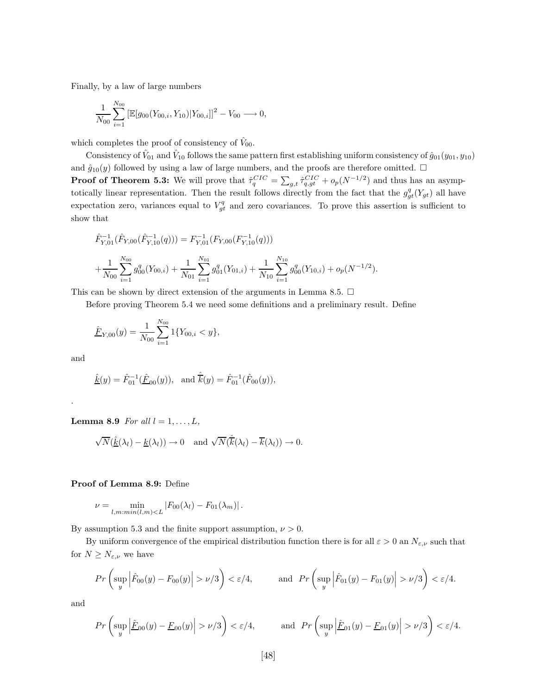Finally, by a law of large numbers

$$
\frac{1}{N_{00}}\sum_{i=1}^{N_{00}} \left[\mathbb{E}[g_{00}(Y_{00,i}, Y_{10})|Y_{00,i}]\right]^2 - V_{00} \longrightarrow 0,
$$

which completes the proof of consistency of  $\hat{V}_{00}$ .

Consistency of  $\hat{V}_{01}$  and  $\hat{V}_{10}$  follows the same pattern first establishing uniform consistency of  $\hat{g}_{01}(y_{01}, y_{10})$ and  $\hat{g}_{10}(y)$  followed by using a law of large numbers, and the proofs are therefore omitted.  $\Box$ **Proof of Theorem 5.3:** We will prove that  $\hat{\tau}_q^{CIC} = \sum_{g,t} \hat{\tau}_{q,gt}^{CIC} + o_p(N^{-1/2})$  and thus has an asymptotically linear representation. Then the result follows directly from the fact that the  $g_{gt}^q(Y_{gt})$  all have expectation zero, variances equal to  $V_{gt}^q$  and zero covariances. To prove this assertion is sufficient to show that

$$
\hat{F}_{Y,01}^{-1}(\hat{F}_{Y,00}(\hat{F}_{Y,10}^{-1}(q))) = F_{Y,01}^{-1}(F_{Y,00}(F_{Y,10}^{-1}(q))) \n+ \frac{1}{N_{00}} \sum_{i=1}^{N_{00}} g_{00}^q(Y_{00,i}) + \frac{1}{N_{01}} \sum_{i=1}^{N_{01}} g_{01}^q(Y_{01,i}) + \frac{1}{N_{10}} \sum_{i=1}^{N_{10}} g_{00}^q(Y_{10,i}) + o_p(N^{-1/2}).
$$

This can be shown by direct extension of the arguments in Lemma 8.5.  $\Box$ 

Before proving Theorem 5.4 we need some definitions and a preliminary result. Define

$$
\underline{\hat{F}}_{Y,00}(y) = \frac{1}{N_{00}} \sum_{i=1}^{N_{00}} 1\{Y_{00,i} < y\},
$$

and

.

$$
\hat{\underline{k}}(y) = \hat{F}_{01}^{-1}(\hat{\underline{F}}_{00}(y)), \text{ and } \hat{\overline{k}}(y) = \hat{F}_{01}^{-1}(\hat{F}_{00}(y)),
$$

**Lemma 8.9** *For all*  $l = 1, ..., L$ *,* 

$$
\sqrt{N}(\hat{\underline{k}}(\lambda_l) - \underline{k}(\lambda_l)) \to 0 \text{ and } \sqrt{N}(\hat{\overline{k}}(\lambda_l) - \overline{k}(\lambda_l)) \to 0.
$$

#### **Proof of Lemma 8.9:** Define

$$
\nu = \min_{l,m: min(l,m) < L} |F_{00}(\lambda_l) - F_{01}(\lambda_m)|.
$$

By assumption 5.3 and the finite support assumption,  $\nu > 0$ .

By uniform convergence of the empirical distribution function there is for all  $\varepsilon > 0$  an  $N_{\varepsilon,\nu}$  such that for  $N\geq N_{\varepsilon,\nu}$  we have

$$
Pr\left(\sup_{y} \left|\hat{F}_{00}(y) - F_{00}(y)\right| > \nu/3\right) < \varepsilon/4, \quad \text{and} \quad Pr\left(\sup_{y} \left|\hat{F}_{01}(y) - F_{01}(y)\right| > \nu/3\right) < \varepsilon/4.
$$

and

$$
Pr\left(\sup_y \left|\hat{\underline{F}}_{00}(y) - \underline{F}_{00}(y)\right| > \nu/3\right) < \varepsilon/4, \quad \text{and} \quad Pr\left(\sup_y \left|\hat{\underline{F}}_{01}(y) - \underline{F}_{01}(y)\right| > \nu/3\right) < \varepsilon/4.
$$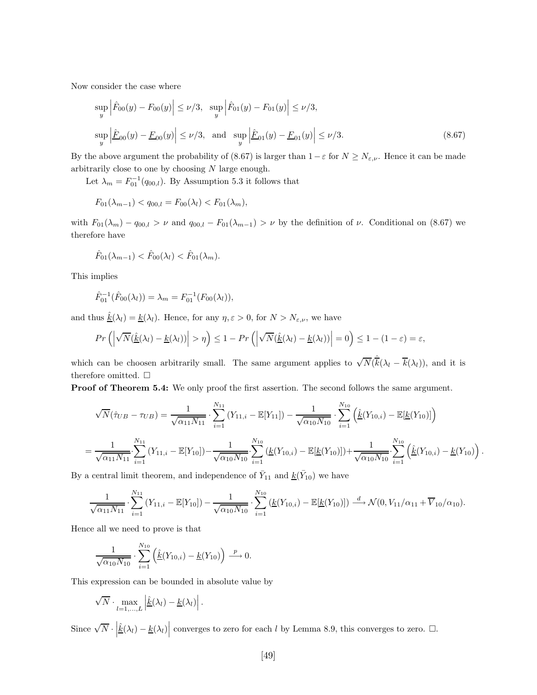Now consider the case where

$$
\sup_{y} \left| \hat{F}_{00}(y) - F_{00}(y) \right| \le \nu/3, \sup_{y} \left| \hat{F}_{01}(y) - F_{01}(y) \right| \le \nu/3,
$$
  
\n
$$
\sup_{y} \left| \hat{F}_{00}(y) - \underline{F}_{00}(y) \right| \le \nu/3, \text{ and } \sup_{y} \left| \hat{F}_{01}(y) - \underline{F}_{01}(y) \right| \le \nu/3.
$$
\n(8.67)

By the above argument the probability of (8.67) is larger than  $1-\varepsilon$  for  $N \ge N_{\varepsilon,\nu}$ . Hence it can be made arbitrarily close to one by choosing  $N$  large enough.

Let  $\lambda_m = F_{01}^{-1}(q_{00,l})$ . By Assumption 5.3 it follows that

$$
F_{01}(\lambda_{m-1}) < q_{00,l} = F_{00}(\lambda_l) < F_{01}(\lambda_m),
$$

with  $F_{01}(\lambda_m) - q_{00,l} > \nu$  and  $q_{00,l} - F_{01}(\lambda_{m-1}) > \nu$  by the definition of  $\nu$ . Conditional on (8.67) we therefore have

$$
\hat{F}_{01}(\lambda_{m-1}) < \hat{F}_{00}(\lambda_l) < \hat{F}_{01}(\lambda_m).
$$

This implies

$$
\hat{F}_{01}^{-1}(\hat{F}_{00}(\lambda_l)) = \lambda_m = F_{01}^{-1}(F_{00}(\lambda_l)),
$$

and thus  $\underline{\hat{k}}(\lambda_l) = \underline{k}(\lambda_l)$ . Hence, for any  $\eta, \varepsilon > 0$ , for  $N > N_{\varepsilon,\nu}$ , we have

$$
Pr\left(\left|\sqrt{N}(\hat{\underline{k}}(\lambda_l)-\underline{k}(\lambda_l))\right|>\eta\right)\leq 1 - Pr\left(\left|\sqrt{N}(\hat{\underline{k}}(\lambda_l)-\underline{k}(\lambda_l))\right|=0\right)\leq 1 - (1-\varepsilon) = \varepsilon,
$$

which can be choosen arbitrarily small. The same argument applies to  $\sqrt{N}(\hat{k}(\lambda_l - \overline{k}(\lambda_l))$ , and it is therefore omitted.  $\Box$ 

**Proof of Theorem 5.4:** We only proof the first assertion. The second follows the same argument.

$$
\sqrt{N}(\hat{\tau}_{UB} - \tau_{UB}) = \frac{1}{\sqrt{\alpha_{11} N_{11}}} \cdot \sum_{i=1}^{N_{11}} (Y_{11,i} - \mathbb{E}[Y_{11}]) - \frac{1}{\sqrt{\alpha_{10} N_{10}}} \cdot \sum_{i=1}^{N_{10}} (\hat{\underline{k}}(Y_{10,i}) - \mathbb{E}[\underline{k}(Y_{10})])
$$
  
= 
$$
\frac{1}{\sqrt{\alpha_{11} N_{11}}} \cdot \sum_{i=1}^{N_{11}} (Y_{11,i} - \mathbb{E}[Y_{10}]) - \frac{1}{\sqrt{\alpha_{10} N_{10}}} \cdot \sum_{i=1}^{N_{10}} (\underline{k}(Y_{10,i}) - \mathbb{E}[\underline{k}(Y_{10})]) + \frac{1}{\sqrt{\alpha_{10} N_{10}}} \cdot \sum_{i=1}^{N_{10}} (\hat{\underline{k}}(Y_{10,i}) - \underline{k}(Y_{10}))
$$

By a central limit theorem, and independence of  $\bar{Y}_{11}$  and  $\underline{k}(Y_{10})$  we have

$$
\frac{1}{\sqrt{\alpha_{11}N_{11}}} \cdot \sum_{i=1}^{N_{11}} (Y_{11,i} - \mathbb{E}[Y_{10}]) - \frac{1}{\sqrt{\alpha_{10}N_{10}}} \cdot \sum_{i=1}^{N_{10}} (\underline{k}(Y_{10,i}) - \mathbb{E}[\underline{k}(Y_{10})]) \stackrel{d}{\longrightarrow} \mathcal{N}(0, V_{11}/\alpha_{11} + \overline{V}_{10}/\alpha_{10}).
$$

Hence all we need to prove is that

$$
\frac{1}{\sqrt{\alpha_{10} N_{10}}} \cdot \sum_{i=1}^{N_{10}} \left( \hat{\underline{k}}(Y_{10,i}) - \underline{k}(Y_{10}) \right) \xrightarrow{p} 0.
$$

This expression can be bounded in absolute value by

$$
\sqrt{N} \cdot \max_{l=1,\dots,L} \left| \hat{\underline{k}}(\lambda_l) - \underline{k}(\lambda_l) \right|.
$$

Since  $\sqrt{N} \cdot \left| \hat{k}(\lambda_l) - \underline{k}(\lambda_l) \right|$  converges to zero for each l by Lemma 8.9, this converges to zero.  $\Box$ .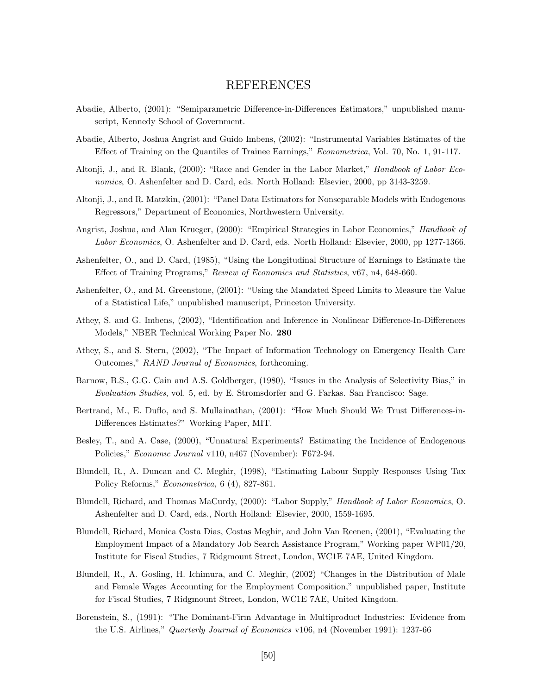# REFERENCES

- Abadie, Alberto, (2001): "Semiparametric Difference-in-Differences Estimators," unpublished manuscript, Kennedy School of Government.
- Abadie, Alberto, Joshua Angrist and Guido Imbens, (2002): "Instrumental Variables Estimates of the Effect of Training on the Quantiles of Trainee Earnings," *Econometrica*, Vol. 70, No. 1, 91-117.
- Altonji, J., and R. Blank, (2000): "Race and Gender in the Labor Market," *Handbook of Labor Economics*, O. Ashenfelter and D. Card, eds. North Holland: Elsevier, 2000, pp 3143-3259.
- Altonji, J., and R. Matzkin, (2001): "Panel Data Estimators for Nonseparable Models with Endogenous Regressors," Department of Economics, Northwestern University.
- Angrist, Joshua, and Alan Krueger, (2000): "Empirical Strategies in Labor Economics," *Handbook of Labor Economics*, O. Ashenfelter and D. Card, eds. North Holland: Elsevier, 2000, pp 1277-1366.
- Ashenfelter, O., and D. Card, (1985), "Using the Longitudinal Structure of Earnings to Estimate the Effect of Training Programs," *Review of Economics and Statistics*, v67, n4, 648-660.
- Ashenfelter, O., and M. Greenstone, (2001): "Using the Mandated Speed Limits to Measure the Value of a Statistical Life," unpublished manuscript, Princeton University.
- Athey, S. and G. Imbens, (2002), "Identification and Inference in Nonlinear Difference-In-Differences Models," NBER Technical Working Paper No. **280**
- Athey, S., and S. Stern, (2002), "The Impact of Information Technology on Emergency Health Care Outcomes," *RAND Journal of Economics*, forthcoming.
- Barnow, B.S., G.G. Cain and A.S. Goldberger, (1980), "Issues in the Analysis of Selectivity Bias," in *Evaluation Studies*, vol. 5, ed. by E. Stromsdorfer and G. Farkas. San Francisco: Sage.
- Bertrand, M., E. Duflo, and S. Mullainathan, (2001): "How Much Should We Trust Differences-in-Differences Estimates?" Working Paper, MIT.
- Besley, T., and A. Case, (2000), "Unnatural Experiments? Estimating the Incidence of Endogenous Policies," *Economic Journal* v110, n467 (November): F672-94.
- Blundell, R., A. Duncan and C. Meghir, (1998), "Estimating Labour Supply Responses Using Tax Policy Reforms," *Econometrica,* 6 (4), 827-861.
- Blundell, Richard, and Thomas MaCurdy, (2000): "Labor Supply," *Handbook of Labor Economics*, O. Ashenfelter and D. Card, eds., North Holland: Elsevier, 2000, 1559-1695.
- Blundell, Richard, Monica Costa Dias, Costas Meghir, and John Van Reenen, (2001), "Evaluating the Employment Impact of a Mandatory Job Search Assistance Program," Working paper WP01/20, Institute for Fiscal Studies, 7 Ridgmount Street, London, WC1E 7AE, United Kingdom.
- Blundell, R., A. Gosling, H. Ichimura, and C. Meghir, (2002) "Changes in the Distribution of Male and Female Wages Accounting for the Employment Composition," unpublished paper, Institute for Fiscal Studies, 7 Ridgmount Street, London, WC1E 7AE, United Kingdom.
- Borenstein, S., (1991): "The Dominant-Firm Advantage in Multiproduct Industries: Evidence from the U.S. Airlines," *Quarterly Journal of Economics* v106, n4 (November 1991): 1237-66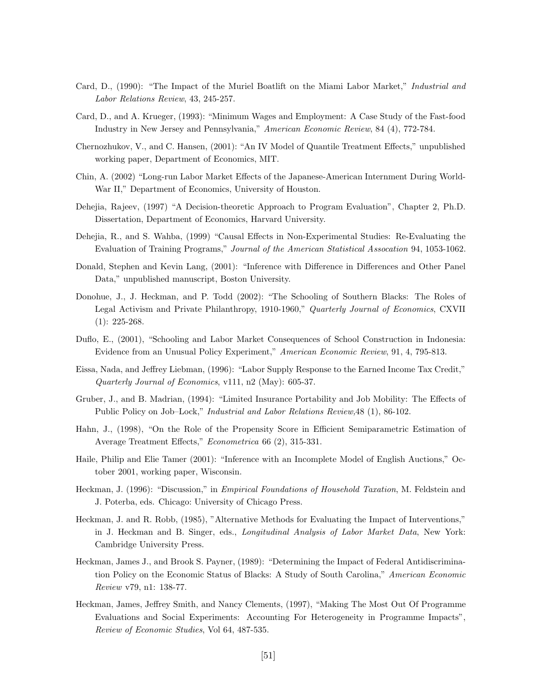- Card, D., (1990): "The Impact of the Muriel Boatlift on the Miami Labor Market," *Industrial and Labor Relations Review*, 43, 245-257.
- Card, D., and A. Krueger, (1993): "Minimum Wages and Employment: A Case Study of the Fast-food Industry in New Jersey and Pennsylvania," *American Economic Review*, 84 (4), 772-784.
- Chernozhukov, V., and C. Hansen, (2001): "An IV Model of Quantile Treatment Effects," unpublished working paper, Department of Economics, MIT.
- Chin, A. (2002) "Long-run Labor Market Effects of the Japanese-American Internment During World-War II," Department of Economics, University of Houston.
- Dehejia, Rajeev, (1997) "A Decision-theoretic Approach to Program Evaluation", Chapter 2, Ph.D. Dissertation, Department of Economics, Harvard University.
- Dehejia, R., and S. Wahba, (1999) "Causal Effects in Non-Experimental Studies: Re-Evaluating the Evaluation of Training Programs," *Journal of the American Statistical Assocation* 94, 1053-1062.
- Donald, Stephen and Kevin Lang, (2001): "Inference with Difference in Differences and Other Panel Data," unpublished manuscript, Boston University.
- Donohue, J., J. Heckman, and P. Todd (2002): "The Schooling of Southern Blacks: The Roles of Legal Activism and Private Philanthropy, 1910-1960," *Quarterly Journal of Economics*, CXVII (1): 225-268.
- Duflo, E., (2001), "Schooling and Labor Market Consequences of School Construction in Indonesia: Evidence from an Unusual Policy Experiment," *American Economic Review*, 91, 4, 795-813.
- Eissa, Nada, and Jeffrey Liebman, (1996): "Labor Supply Response to the Earned Income Tax Credit," *Quarterly Journal of Economics*, v111, n2 (May): 605-37.
- Gruber, J., and B. Madrian, (1994): "Limited Insurance Portability and Job Mobility: The Effects of Public Policy on Job–Lock," *Industrial and Labor Relations Review,*48 (1), 86-102.
- Hahn, J., (1998), "On the Role of the Propensity Score in Efficient Semiparametric Estimation of Average Treatment Effects," *Econometrica* 66 (2), 315-331.
- Haile, Philip and Elie Tamer (2001): "Inference with an Incomplete Model of English Auctions," October 2001, working paper, Wisconsin.
- Heckman, J. (1996): "Discussion," in *Empirical Foundations of Household Taxation*, M. Feldstein and J. Poterba, eds. Chicago: University of Chicago Press.
- Heckman, J. and R. Robb, (1985), "Alternative Methods for Evaluating the Impact of Interventions," in J. Heckman and B. Singer, eds., *Longitudinal Analysis of Labor Market Data*, New York: Cambridge University Press.
- Heckman, James J., and Brook S. Payner, (1989): "Determining the Impact of Federal Antidiscrimination Policy on the Economic Status of Blacks: A Study of South Carolina," *American Economic Review* v79, n1: 138-77.
- Heckman, James, Jeffrey Smith, and Nancy Clements, (1997), "Making The Most Out Of Programme Evaluations and Social Experiments: Accounting For Heterogeneity in Programme Impacts", *Review of Economic Studies*, Vol 64, 487-535.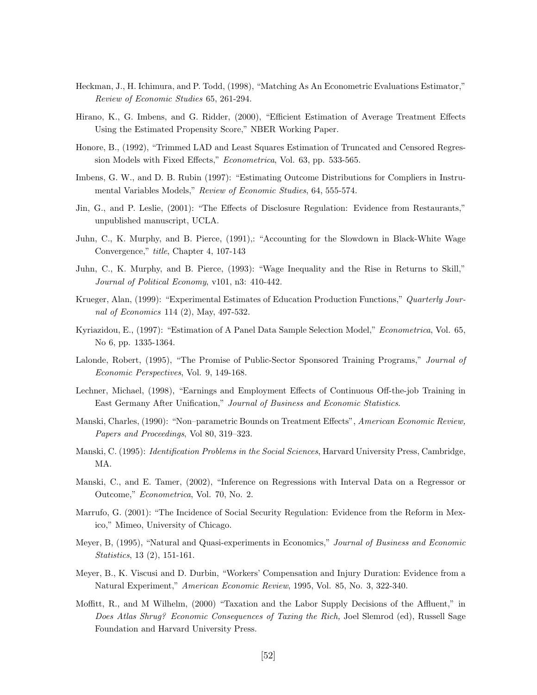- Heckman, J., H. Ichimura, and P. Todd, (1998), "Matching As An Econometric Evaluations Estimator," *Review of Economic Studies* 65, 261-294.
- Hirano, K., G. Imbens, and G. Ridder, (2000), "Efficient Estimation of Average Treatment Effects Using the Estimated Propensity Score," NBER Working Paper.
- Honore, B., (1992), "Trimmed LAD and Least Squares Estimation of Truncated and Censored Regression Models with Fixed Effects," *Econometrica*, Vol. 63, pp. 533-565.
- Imbens, G. W., and D. B. Rubin (1997): "Estimating Outcome Distributions for Compliers in Instrumental Variables Models," *Review of Economic Studies*, 64, 555-574.
- Jin, G., and P. Leslie, (2001): "The Effects of Disclosure Regulation: Evidence from Restaurants," unpublished manuscript, UCLA.
- Juhn, C., K. Murphy, and B. Pierce, (1991),: "Accounting for the Slowdown in Black-White Wage Convergence," *title*, Chapter 4, 107-143
- Juhn, C., K. Murphy, and B. Pierce, (1993): "Wage Inequality and the Rise in Returns to Skill," *Journal of Political Economy*, v101, n3: 410-442.
- Krueger, Alan, (1999): "Experimental Estimates of Education Production Functions," *Quarterly Journal of Economics* 114 (2), May, 497-532.
- Kyriazidou, E., (1997): "Estimation of A Panel Data Sample Selection Model," *Econometrica*, Vol. 65, No 6, pp. 1335-1364.
- Lalonde, Robert, (1995), "The Promise of Public-Sector Sponsored Training Programs," *Journal of Economic Perspectives*, Vol. 9, 149-168.
- Lechner, Michael, (1998), "Earnings and Employment Effects of Continuous Off-the-job Training in East Germany After Unification," *Journal of Business and Economic Statistics*.
- Manski, Charles, (1990): "Non–parametric Bounds on Treatment Effects", *American Economic Review, Papers and Proceedings*, Vol 80, 319–323.
- Manski, C. (1995): *Identification Problems in the Social Sciences*, Harvard University Press, Cambridge, MA.
- Manski, C., and E. Tamer, (2002), "Inference on Regressions with Interval Data on a Regressor or Outcome," *Econometrica*, Vol. 70, No. 2.
- Marrufo, G. (2001): "The Incidence of Social Security Regulation: Evidence from the Reform in Mexico," Mimeo, University of Chicago.
- Meyer, B, (1995), "Natural and Quasi-experiments in Economics," *Journal of Business and Economic Statistics*, 13 (2), 151-161.
- Meyer, B., K. Viscusi and D. Durbin, "Workers' Compensation and Injury Duration: Evidence from a Natural Experiment," *American Economic Review*, 1995, Vol. 85, No. 3, 322-340.
- Moffitt, R., and M Wilhelm, (2000) "Taxation and the Labor Supply Decisions of the Affluent," in *Does Atlas Shrug? Economic Consequences of Taxing the Rich,* Joel Slemrod (ed), Russell Sage Foundation and Harvard University Press.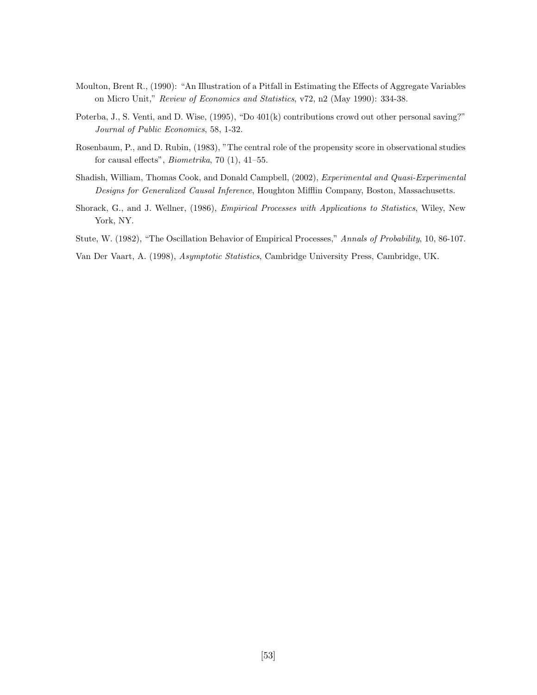- Moulton, Brent R., (1990): "An Illustration of a Pitfall in Estimating the Effects of Aggregate Variables on Micro Unit," *Review of Economics and Statistics*, v72, n2 (May 1990): 334-38.
- Poterba, J., S. Venti, and D. Wise, (1995), "Do 401(k) contributions crowd out other personal saving?" *Journal of Public Economics*, 58, 1-32.
- Rosenbaum, P., and D. Rubin, (1983), "The central role of the propensity score in observational studies for causal effects", *Biometrika*, 70 (1), 41–55.
- Shadish, William, Thomas Cook, and Donald Campbell, (2002), *Experimental and Quasi-Experimental Designs for Generalized Causal Inference*, Houghton Mifflin Company, Boston, Massachusetts.
- Shorack, G., and J. Wellner, (1986), *Empirical Processes with Applications to Statistics*, Wiley, New York, NY.
- Stute, W. (1982), "The Oscillation Behavior of Empirical Processes," *Annals of Probability*, 10, 86-107.

Van Der Vaart, A. (1998), *Asymptotic Statistics*, Cambridge University Press, Cambridge, UK.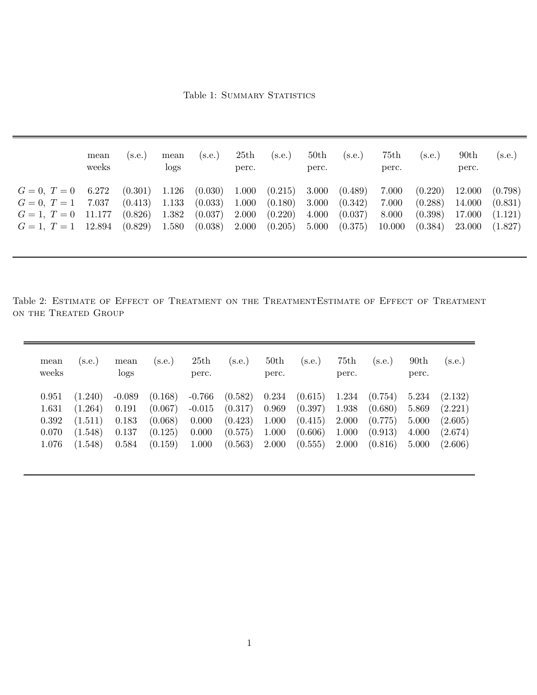Table 1: SUMMARY STATISTICS

|                                                                                                                                                 | logs                             |                                          | perc.                            |                                          | perc.                            |                                          | perc.                             |                                          | perc.                                | (s.e.)                                   |
|-------------------------------------------------------------------------------------------------------------------------------------------------|----------------------------------|------------------------------------------|----------------------------------|------------------------------------------|----------------------------------|------------------------------------------|-----------------------------------|------------------------------------------|--------------------------------------|------------------------------------------|
| (0.301)<br>6.272<br>$G = 0, T = 0$<br>7.037<br>(0.413)<br>$G = 0, T = 1$<br>(0.826)<br>11.177<br>$G=1, T=0$<br>(0.829)<br>$G = 1, T = 1$ 12.894 | 1.126<br>1.133<br>1.382<br>1.580 | (0.030)<br>(0.033)<br>(0.037)<br>(0.038) | 1.000<br>1.000<br>2.000<br>2.000 | (0.215)<br>(0.180)<br>(0.220)<br>(0.205) | 3.000<br>3.000<br>4.000<br>5.000 | (0.489)<br>(0.342)<br>(0.037)<br>(0.375) | 7.000<br>7.000<br>8.000<br>10.000 | (0.220)<br>(0.288)<br>(0.398)<br>(0.384) | 12.000<br>14.000<br>17.000<br>23.000 | (0.798)<br>(0.831)<br>(1.121)<br>(1.827) |

Table 2: ESTIMATE OF EFFECT OF TREATMENT ON THE TREATMENTESTIMATE OF EFFECT OF TREATMENT on the Treated Group

| mean<br>weeks | (s.e.)  | mean<br>logs | (s.e.)  | 25th<br>perc. | (s.e.)  | 50th<br>perc. | (s.e.   | 75th<br>perc. | (s.e.)  | 90th<br>perc. | (s.e.)  |
|---------------|---------|--------------|---------|---------------|---------|---------------|---------|---------------|---------|---------------|---------|
| 0.951         | (1.240) | $-0.089$     | (0.168) | $-0.766$      | (0.582) | 0.234         | (0.615) | 1.234         | (0.754) | 5.234         | (2.132) |
| 1.631         | (1.264) | 0.191        | (0.067) | $-0.015$      | (0.317) | 0.969         | (0.397) | 1.938         | (0.680) | 5.869         | (2.221) |
| 0.392         | (1.511) | 0.183        | (0.068) | 0.000         | (0.423) | 1.000         | (0.415) | 2.000         | (0.775) | 5.000         | (2.605) |
| 0.070         | (1.548) | 0.137        | (0.125) | 0.000         | (0.575) | 1.000         | (0.606) | 1.000         | (0.913) | 4.000         | (2.674) |
| 1.076         | (1.548) | 0.584        | (0.159) | 1.000         | (0.563) | 2.000         | (0.555) | 2.000         | (0.816) | 5.000         | (2.606) |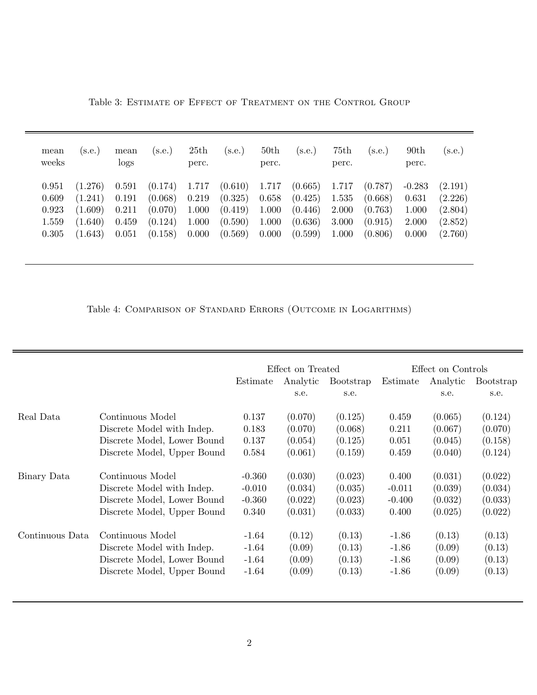| mean<br>weeks | s.e.    | mean<br>logs | (s.e.)  | 25th<br>perc. | (s.e.)  | 50th<br>perc. | (s.e.)  | 75th<br>perc. | (s.e.)  | 90 <sub>th</sub><br>perc. | $(\mathrm{s.e.})$ |
|---------------|---------|--------------|---------|---------------|---------|---------------|---------|---------------|---------|---------------------------|-------------------|
| 0.951         | (1.276) | 0.591        | (0.174) | 1.717         | (0.610) | 1.717         | (0.665) | 1.717         | (0.787) | $-0.283$                  | (2.191)           |
| 0.609         | (1.241) | 0.191        | (0.068) | 0.219         | (0.325) | 0.658         | (0.425) | 1.535         | (0.668) | 0.631                     | (2.226)           |
| 0.923         | (1.609) | 0.211        | (0.070) | 1.000         | (0.419) | 1.000         | (0.446) | 2.000         | (0.763) | 1.000                     | (2.804)           |
| 1.559         | (1.640) | 0.459        | (0.124) | 1.000         | (0.590) | 1.000         | (0.636) | 3.000         | (0.915) | 2.000                     | (2.852)           |
| 0.305         | (1.643) | 0.051        | (0.158) | 0.000         | (0.569) | 0.000         | (0.599) | 1.000         | (0.806) | 0.000                     | (2.760)           |

Table 3: ESTIMATE OF EFFECT OF TREATMENT ON THE CONTROL GROUP

Table 4: Comparison of Standard Errors (Outcome in Logarithms)

|                 |                             |          | Effect on Treated |                  | Effect on Controls |          |           |  |
|-----------------|-----------------------------|----------|-------------------|------------------|--------------------|----------|-----------|--|
|                 |                             | Estimate | Analytic          | <b>Bootstrap</b> | Estimate           | Analytic | Bootstrap |  |
|                 |                             |          | s.e.              | s.e.             |                    | s.e.     | s.e.      |  |
| Real Data       | Continuous Model            | 0.137    | (0.070)           | (0.125)          | 0.459              | (0.065)  | (0.124)   |  |
|                 | Discrete Model with Indep.  | 0.183    | (0.070)           | (0.068)          | 0.211              | (0.067)  | (0.070)   |  |
|                 | Discrete Model, Lower Bound | 0.137    | (0.054)           | (0.125)          | 0.051              | (0.045)  | (0.158)   |  |
|                 | Discrete Model, Upper Bound | 0.584    | (0.061)           | (0.159)          | 0.459              | (0.040)  | (0.124)   |  |
| Binary Data     | Continuous Model            | $-0.360$ | (0.030)           | (0.023)          | 0.400              | (0.031)  | (0.022)   |  |
|                 | Discrete Model with Indep.  | $-0.010$ | (0.034)           | (0.035)          | $-0.011$           | (0.039)  | (0.034)   |  |
|                 | Discrete Model, Lower Bound | $-0.360$ | (0.022)           | (0.023)          | $-0.400$           | (0.032)  | (0.033)   |  |
|                 | Discrete Model, Upper Bound | 0.340    | (0.031)           | (0.033)          | 0.400              | (0.025)  | (0.022)   |  |
| Continuous Data | Continuous Model            | $-1.64$  | (0.12)            | (0.13)           | $-1.86$            | (0.13)   | (0.13)    |  |
|                 | Discrete Model with Indep.  | $-1.64$  | (0.09)            | (0.13)           | $-1.86$            | (0.09)   | (0.13)    |  |
|                 | Discrete Model, Lower Bound | $-1.64$  | (0.09)            | (0.13)           | $-1.86$            | (0.09)   | (0.13)    |  |
|                 | Discrete Model, Upper Bound | $-1.64$  | (0.09)            | (0.13)           | $-1.86$            | (0.09)   | (0.13)    |  |